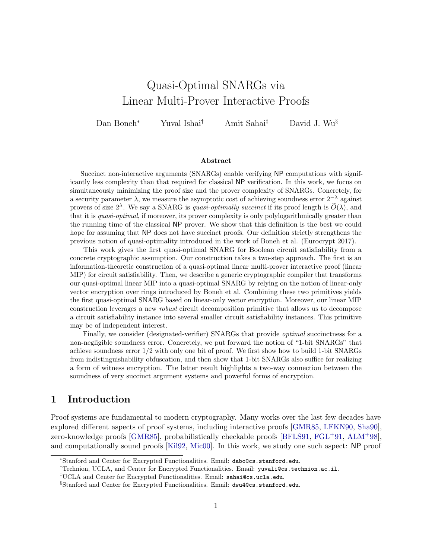# <span id="page-0-0"></span>Quasi-Optimal SNARGs via Linear Multi-Prover Interactive Proofs

Dan Boneh<sup>∗</sup> Yuval Ishai† Amit Sahai‡ David J. Wu§

#### Abstract

Succinct non-interactive arguments (SNARGs) enable verifying NP computations with significantly less complexity than that required for classical NP verification. In this work, we focus on simultaneously minimizing the proof size and the prover complexity of SNARGs. Concretely, for a security parameter  $\lambda$ , we measure the asymptotic cost of achieving soundness error  $2^{-\lambda}$  against provers of size  $2^{\lambda}$ . We say a SNARG is *quasi-optimally succinct* if its proof length is  $\widetilde{O}(\lambda)$ , and that it is quasi-optimal, if moreover, its prover complexity is only polylogarithmically greater than the running time of the classical NP prover. We show that this definition is the best we could hope for assuming that NP does not have succinct proofs. Our definition strictly strengthens the previous notion of quasi-optimality introduced in the work of Boneh et al. (Eurocrypt 2017).

This work gives the first quasi-optimal SNARG for Boolean circuit satisfiability from a concrete cryptographic assumption. Our construction takes a two-step approach. The first is an information-theoretic construction of a quasi-optimal linear multi-prover interactive proof (linear MIP) for circuit satisfiability. Then, we describe a generic cryptographic compiler that transforms our quasi-optimal linear MIP into a quasi-optimal SNARG by relying on the notion of linear-only vector encryption over rings introduced by Boneh et al. Combining these two primitives yields the first quasi-optimal SNARG based on linear-only vector encryption. Moreover, our linear MIP construction leverages a new robust circuit decomposition primitive that allows us to decompose a circuit satisfiability instance into several smaller circuit satisfiability instances. This primitive may be of independent interest.

Finally, we consider (designated-verifier) SNARGs that provide *optimal* succinctness for a non-negligible soundness error. Concretely, we put forward the notion of "1-bit SNARGs" that achieve soundness error 1/2 with only one bit of proof. We first show how to build 1-bit SNARGs from indistinguishability obfuscation, and then show that 1-bit SNARGs also suffice for realizing a form of witness encryption. The latter result highlights a two-way connection between the soundness of very succinct argument systems and powerful forms of encryption.

## <span id="page-0-1"></span>1 Introduction

Proof systems are fundamental to modern cryptography. Many works over the last few decades have explored different aspects of proof systems, including interactive proofs [\[GMR85,](#page-38-0) [LFKN90,](#page-39-0) [Sha90\]](#page-39-1), zero-knowledge proofs [\[GMR85\]](#page-38-0), probabilistically checkable proofs [\[BFLS91,](#page-36-0) [FGL](#page-37-0)+91, [ALM](#page-36-1)+98], and computationally sound proofs [\[Kil92,](#page-39-2) [Mic00\]](#page-39-3). In this work, we study one such aspect: NP proof

<sup>∗</sup>Stanford and Center for Encrypted Functionalities. Email: dabo@cs.stanford.edu.

<sup>†</sup>Technion, UCLA, and Center for Encrypted Functionalities. Email: yuvali@cs.technion.ac.il.

<sup>‡</sup>UCLA and Center for Encrypted Functionalities. Email: sahai@cs.ucla.edu.

<sup>§</sup>Stanford and Center for Encrypted Functionalities. Email: dwu4@cs.stanford.edu.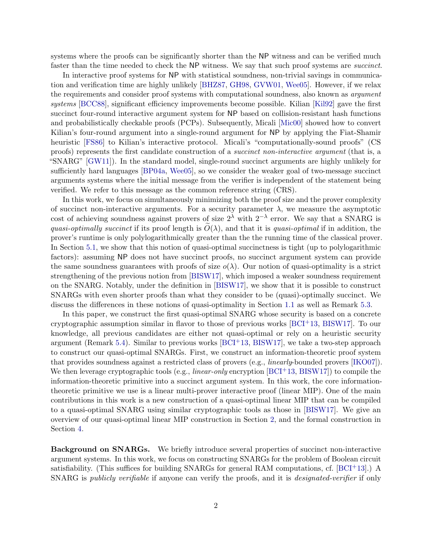systems where the proofs can be significantly shorter than the NP witness and can be verified much faster than the time needed to check the NP witness. We say that such proof systems are *succinct*.

In interactive proof systems for NP with statistical soundness, non-trivial savings in communication and verification time are highly unlikely [\[BHZ87,](#page-37-1) [GH98,](#page-38-1) [GVW01,](#page-38-2) [Wee05\]](#page-40-0). However, if we relax the requirements and consider proof systems with computational soundness, also known as argument systems [\[BCC88\]](#page-36-2), significant efficiency improvements become possible. Kilian [\[Kil92\]](#page-39-2) gave the first succinct four-round interactive argument system for NP based on collision-resistant hash functions and probabilistically checkable proofs (PCPs). Subsequently, Micali [\[Mic00\]](#page-39-3) showed how to convert Kilian's four-round argument into a single-round argument for NP by applying the Fiat-Shamir heuristic [\[FS86\]](#page-38-3) to Kilian's interactive protocol. Micali's "computationally-sound proofs" (CS proofs) represents the first candidate construction of a succinct non-interactive argument (that is, a "SNARG" [\[GW11\]](#page-39-4)). In the standard model, single-round succinct arguments are highly unlikely for sufficiently hard languages [\[BP04a,](#page-37-2) [Wee05\]](#page-40-0), so we consider the weaker goal of two-message succinct arguments systems where the initial message from the verifier is independent of the statement being verified. We refer to this message as the common reference string (CRS).

In this work, we focus on simultaneously minimizing both the proof size and the prover complexity of succinct non-interactive arguments. For a security parameter  $\lambda$ , we measure the asymptotic cost of achieving soundness against provers of size  $2^{\lambda}$  with  $2^{-\lambda}$  error. We say that a SNARG is quasi-optimally succinct if its proof length is  $O(\lambda)$ , and that it is quasi-optimal if in addition, the prover's runtime is only polylogarithmically greater than the the running time of the classical prover. In Section [5.1,](#page-22-0) we show that this notion of quasi-optimal succinctness is tight (up to polylogarithmic factors): assuming NP does not have succinct proofs, no succinct argument system can provide the same soundness guarantees with proofs of size  $o(\lambda)$ . Our notion of quasi-optimality is a strict strengthening of the previous notion from [\[BISW17\]](#page-37-3), which imposed a weaker soundness requirement on the SNARG. Notably, under the definition in [\[BISW17\]](#page-37-3), we show that it is possible to construct SNARGs with even shorter proofs than what they consider to be (quasi)-optimally succinct. We discuss the differences in these notions of quasi-optimality in Section [1.1](#page-2-0) as well as Remark [5.3.](#page-23-0)

In this paper, we construct the first quasi-optimal SNARG whose security is based on a concrete cryptographic assumption similar in flavor to those of previous works [\[BCI](#page-36-3)+13, [BISW17\]](#page-37-3). To our knowledge, all previous candidates are either not quasi-optimal or rely on a heuristic security argument (Remark [5.4\)](#page-23-1). Similar to previous works  $[BCI<sup>+</sup>13, BISW17]$  $[BCI<sup>+</sup>13, BISW17]$ , we take a two-step approach to construct our quasi-optimal SNARGs. First, we construct an information-theoretic proof system that provides soundness against a restricted class of provers (e.g., linearly-bounded provers [\[IKO07\]](#page-39-5)). We then leverage cryptographic tools (e.g., *linear-only* encryption  $[BCI^+13, BISW17]$  $[BCI^+13, BISW17]$ ) to compile the information-theoretic primitive into a succinct argument system. In this work, the core informationtheoretic primitive we use is a linear multi-prover interactive proof (linear MIP). One of the main contributions in this work is a new construction of a quasi-optimal linear MIP that can be compiled to a quasi-optimal SNARG using similar cryptographic tools as those in [\[BISW17\]](#page-37-3). We give an overview of our quasi-optimal linear MIP construction in Section [2,](#page-7-0) and the formal construction in Section [4.](#page-12-0)

Background on SNARGs. We briefly introduce several properties of succinct non-interactive argument systems. In this work, we focus on constructing SNARGs for the problem of Boolean circuit satisfiability. (This suffices for building SNARGs for general RAM computations, cf.  $[BCI+13]$ .) A SNARG is *publicly verifiable* if anyone can verify the proofs, and it is *designated-verifier* if only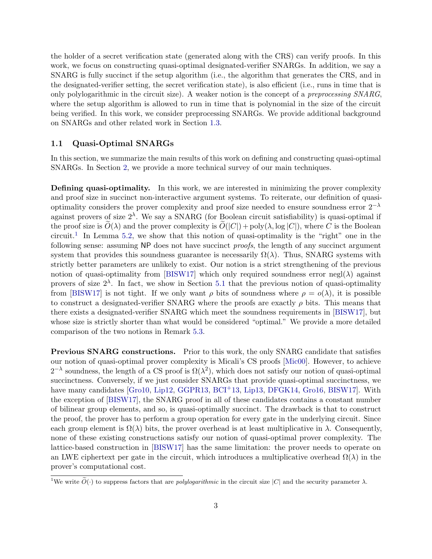the holder of a secret verification state (generated along with the CRS) can verify proofs. In this work, we focus on constructing quasi-optimal designated-verifier SNARGs. In addition, we say a SNARG is fully succinct if the setup algorithm (i.e., the algorithm that generates the CRS, and in the designated-verifier setting, the secret verification state), is also efficient (i.e., runs in time that is only polylogarithmic in the circuit size). A weaker notion is the concept of a preprocessing SNARG, where the setup algorithm is allowed to run in time that is polynomial in the size of the circuit being verified. In this work, we consider preprocessing SNARGs. We provide additional background on SNARGs and other related work in Section [1.3.](#page-6-0)

#### <span id="page-2-0"></span>1.1 Quasi-Optimal SNARGs

In this section, we summarize the main results of this work on defining and constructing quasi-optimal SNARGs. In Section [2,](#page-7-0) we provide a more technical survey of our main techniques.

Defining quasi-optimality. In this work, we are interested in minimizing the prover complexity and proof size in succinct non-interactive argument systems. To reiterate, our definition of quasioptimality considers the prover complexity and proof size needed to ensure soundness error  $2^{-\lambda}$ against provers of size  $2^{\lambda}$ . We say a SNARG (for Boolean circuit satisfiability) is quasi-optimal if the proof size is  $\widetilde{O}(\lambda)$  and the prover complexity is  $\widetilde{O}(|C|) + \text{poly}(\lambda, \log |C|)$ , where C is the Boolean circuit.<sup>[1](#page-0-0)</sup> In Lemma [5.2,](#page-22-1) we show that this notion of quasi-optimality is the "right" one in the following sense: assuming NP does not have succinct proofs, the length of any succinct argument system that provides this soundness guarantee is necessarily  $\Omega(\lambda)$ . Thus, SNARG systems with strictly better parameters are unlikely to exist. Our notion is a strict strengthening of the previous notion of quasi-optimality from [\[BISW17\]](#page-37-3) which only required soundness error negl( $\lambda$ ) against provers of size  $2^{\lambda}$ . In fact, we show in Section [5.1](#page-22-0) that the previous notion of quasi-optimality from [\[BISW17\]](#page-37-3) is not tight. If we only want  $\rho$  bits of soundness where  $\rho = o(\lambda)$ , it is possible to construct a designated-verifier SNARG where the proofs are exactly  $\rho$  bits. This means that there exists a designated-verifier SNARG which meet the soundness requirements in [\[BISW17\]](#page-37-3), but whose size is strictly shorter than what would be considered "optimal." We provide a more detailed comparison of the two notions in Remark [5.3.](#page-23-0)

Previous SNARG constructions. Prior to this work, the only SNARG candidate that satisfies our notion of quasi-optimal prover complexity is Micali's CS proofs [\[Mic00\]](#page-39-3). However, to achieve  $2^{-\lambda}$  soundness, the length of a CS proof is  $\Omega(\lambda^2)$ , which does not satisfy our notion of quasi-optimal succinctness. Conversely, if we just consider SNARGs that provide quasi-optimal succinctness, we have many candidates [\[Gro10,](#page-38-4) [Lip12,](#page-39-6) [GGPR13,](#page-38-5) [BCI](#page-36-3)<sup>+</sup>13, [Lip13,](#page-39-7) [DFGK14,](#page-37-4) [Gro16,](#page-38-6) [BISW17\]](#page-37-3). With the exception of [\[BISW17\]](#page-37-3), the SNARG proof in all of these candidates contains a constant number of bilinear group elements, and so, is quasi-optimally succinct. The drawback is that to construct the proof, the prover has to perform a group operation for every gate in the underlying circuit. Since each group element is  $\Omega(\lambda)$  bits, the prover overhead is at least multiplicative in  $\lambda$ . Consequently, none of these existing constructions satisfy our notion of quasi-optimal prover complexity. The lattice-based construction in [\[BISW17\]](#page-37-3) has the same limitation: the prover needs to operate on an LWE ciphertext per gate in the circuit, which introduces a multiplicative overhead  $\Omega(\lambda)$  in the prover's computational cost.

<sup>&</sup>lt;sup>1</sup>We write  $\tilde{O}(\cdot)$  to suppress factors that are *polylogarithmic* in the circuit size |C| and the security parameter  $\lambda$ .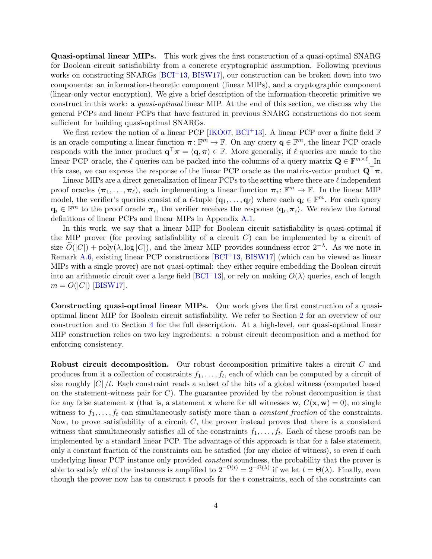Quasi-optimal linear MIPs. This work gives the first construction of a quasi-optimal SNARG for Boolean circuit satisfiability from a concrete cryptographic assumption. Following previous works on constructing SNARGs [\[BCI](#page-36-3)+13, [BISW17\]](#page-37-3), our construction can be broken down into two components: an information-theoretic component (linear MIPs), and a cryptographic component (linear-only vector encryption). We give a brief description of the information-theoretic primitive we construct in this work: a quasi-optimal linear MIP. At the end of this section, we discuss why the general PCPs and linear PCPs that have featured in previous SNARG constructions do not seem sufficient for building quasi-optimal SNARGs.

We first review the notion of a linear PCP [\[IKO07,](#page-39-5)  $BCI<sup>+</sup>13$  $BCI<sup>+</sup>13$ ]. A linear PCP over a finite field  $\mathbb F$ is an oracle computing a linear function  $\pi: \mathbb{F}^m \to \mathbb{F}$ . On any query  $\mathbf{q} \in \mathbb{F}^m$ , the linear PCP oracle responds with the inner product  $\mathbf{q}^\top \boldsymbol{\pi} = \langle \mathbf{q}, \boldsymbol{\pi} \rangle \in \mathbb{F}$ . More generally, if  $\ell$  queries are made to the linear PCP oracle, the  $\ell$  queries can be packed into the columns of a query matrix  $\mathbf{Q} \in \mathbb{F}^{m \times \ell}$ . In this case, we can express the response of the linear PCP oracle as the matrix-vector product  $\mathbf{Q}^{\top}\pi$ .

Linear MIPs are a direct generalization of linear PCPs to the setting where there are  $\ell$  independent proof oracles  $(\pi_1, \ldots, \pi_\ell)$ , each implementing a linear function  $\pi_i : \mathbb{F}^m \to \mathbb{F}$ . In the linear MIP model, the verifier's queries consist of a  $\ell$ -tuple  $(q_1, \ldots, q_\ell)$  where each  $q_i \in \mathbb{F}^m$ . For each query  $\mathbf{q}_i \in \mathbb{F}^m$  to the proof oracle  $\pi_i$ , the verifier receives the response  $\langle \mathbf{q}_i, \pi_i \rangle$ . We review the formal definitions of linear PCPs and linear MIPs in Appendix [A.1.](#page-41-0)

In this work, we say that a linear MIP for Boolean circuit satisfiability is quasi-optimal if the MIP prover (for proving satisfiability of a circuit  $C$ ) can be implemented by a circuit of size  $\widetilde{O}(|C|) + \text{poly}(\lambda, \log |C|)$ , and the linear MIP provides soundness error  $2^{-\lambda}$ . As we note in Remark [A.6,](#page-42-0) existing linear PCP constructions  $[BCI<sup>+</sup>13, BISW17]$  $[BCI<sup>+</sup>13, BISW17]$  (which can be viewed as linear MIPs with a single prover) are not quasi-optimal: they either require embedding the Boolean circuit into an arithmetic circuit over a large field [\[BCI](#page-36-3)+13], or rely on making  $O(\lambda)$  queries, each of length  $m = O(|C|)$  [\[BISW17\]](#page-37-3).

Constructing quasi-optimal linear MIPs. Our work gives the first construction of a quasioptimal linear MIP for Boolean circuit satisfiability. We refer to Section [2](#page-7-0) for an overview of our construction and to Section [4](#page-12-0) for the full description. At a high-level, our quasi-optimal linear MIP construction relies on two key ingredients: a robust circuit decomposition and a method for enforcing consistency.

Robust circuit decomposition. Our robust decomposition primitive takes a circuit C and produces from it a collection of constraints  $f_1, \ldots, f_t$ , each of which can be computed by a circuit of size roughly  $|C|/t$ . Each constraint reads a subset of the bits of a global witness (computed based on the statement-witness pair for  $C$ ). The guarantee provided by the robust decomposition is that for any false statement **x** (that is, a statement **x** where for all witnesses **w**,  $C(\mathbf{x}, \mathbf{w}) = 0$ ), no single witness to  $f_1, \ldots, f_t$  can simultaneously satisfy more than a *constant fraction* of the constraints. Now, to prove satisfiability of a circuit  $C$ , the prover instead proves that there is a consistent witness that simultaneously satisfies all of the constraints  $f_1, \ldots, f_t$ . Each of these proofs can be implemented by a standard linear PCP. The advantage of this approach is that for a false statement, only a constant fraction of the constraints can be satisfied (for any choice of witness), so even if each underlying linear PCP instance only provided *constant* soundness, the probability that the prover is able to satisfy all of the instances is amplified to  $2^{-\Omega(t)} = 2^{-\Omega(\lambda)}$  if we let  $t = \Theta(\lambda)$ . Finally, even though the prover now has to construct  $t$  proofs for the  $t$  constraints, each of the constraints can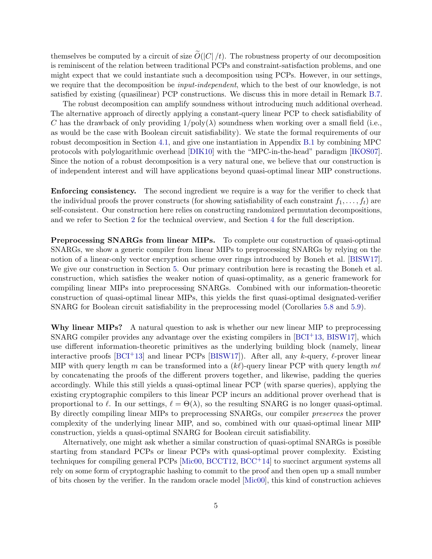themselves be computed by a circuit of size  $\tilde{O}(|C|/t)$ . The robustness property of our decomposition is reminiscent of the relation between traditional PCPs and constraint-satisfaction problems, and one might expect that we could instantiate such a decomposition using PCPs. However, in our settings, we require that the decomposition be *input-independent*, which to the best of our knowledge, is not satisfied by existing (quasilinear) PCP constructions. We discuss this in more detail in Remark [B.7.](#page-53-0)

The robust decomposition can amplify soundness without introducing much additional overhead. The alternative approach of directly applying a constant-query linear PCP to check satisfiability of C has the drawback of only providing  $1/\text{poly}(\lambda)$  soundness when working over a small field (i.e., as would be the case with Boolean circuit satisfiability). We state the formal requirements of our robust decomposition in Section [4.1,](#page-12-1) and give one instantiation in Appendix [B.1](#page-50-0) by combining MPC protocols with polylogarithmic overhead [\[DIK10\]](#page-37-5) with the "MPC-in-the-head" paradigm [\[IKOS07\]](#page-39-8). Since the notion of a robust decomposition is a very natural one, we believe that our construction is of independent interest and will have applications beyond quasi-optimal linear MIP constructions.

Enforcing consistency. The second ingredient we require is a way for the verifier to check that the individual proofs the prover constructs (for showing satisfiability of each constraint  $f_1, \ldots, f_t$ ) are self-consistent. Our construction here relies on constructing randomized permutation decompositions, and we refer to Section [2](#page-7-0) for the technical overview, and Section [4](#page-12-0) for the full description.

Preprocessing SNARGs from linear MIPs. To complete our construction of quasi-optimal SNARGs, we show a generic compiler from linear MIPs to preprocessing SNARGs by relying on the notion of a linear-only vector encryption scheme over rings introduced by Boneh et al. [\[BISW17\]](#page-37-3). We give our construction in Section [5.](#page-22-2) Our primary contribution here is recasting the Boneh et al. construction, which satisfies the weaker notion of quasi-optimality, as a generic framework for compiling linear MIPs into preprocessing SNARGs. Combined with our information-theoretic construction of quasi-optimal linear MIPs, this yields the first quasi-optimal designated-verifier SNARG for Boolean circuit satisfiability in the preprocessing model (Corollaries [5.8](#page-26-0) and [5.9\)](#page-26-1).

Why linear MIPs? A natural question to ask is whether our new linear MIP to preprocessing SNARG compiler provides any advantage over the existing compilers in  $[BCI<sup>+</sup>13, BISW17]$  $[BCI<sup>+</sup>13, BISW17]$ , which use different information-theoretic primitives as the underlying building block (namely, linear interactive proofs [\[BCI](#page-36-3)<sup>+</sup>13] and linear PCPs [\[BISW17\]](#page-37-3)). After all, any k-query,  $\ell$ -prover linear MIP with query length m can be transformed into a  $(k\ell)$ -query linear PCP with query length m $\ell$ by concatenating the proofs of the different provers together, and likewise, padding the queries accordingly. While this still yields a quasi-optimal linear PCP (with sparse queries), applying the existing cryptographic compilers to this linear PCP incurs an additional prover overhead that is proportional to  $\ell$ . In our settings,  $\ell = \Theta(\lambda)$ , so the resulting SNARG is no longer quasi-optimal. By directly compiling linear MIPs to preprocessing SNARGs, our compiler preserves the prover complexity of the underlying linear MIP, and so, combined with our quasi-optimal linear MIP construction, yields a quasi-optimal SNARG for Boolean circuit satisfiability.

Alternatively, one might ask whether a similar construction of quasi-optimal SNARGs is possible starting from standard PCPs or linear PCPs with quasi-optimal prover complexity. Existing techniques for compiling general PCPs [Mic $00$ , [BCCT12,](#page-36-4) [BCC](#page-36-5)<sup>+</sup>14] to succinct argument systems all rely on some form of cryptographic hashing to commit to the proof and then open up a small number of bits chosen by the verifier. In the random oracle model [\[Mic00\]](#page-39-3), this kind of construction achieves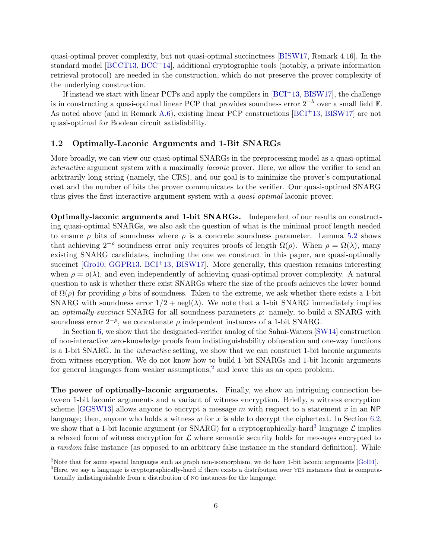quasi-optimal prover complexity, but not quasi-optimal succinctness [\[BISW17,](#page-37-3) Remark 4.16]. In the standard model [\[BCCT13,](#page-36-6) [BCC](#page-36-5)+14], additional cryptographic tools (notably, a private information retrieval protocol) are needed in the construction, which do not preserve the prover complexity of the underlying construction.

If instead we start with linear PCPs and apply the compilers in  $[BCI<sup>+</sup>13, BISW17]$  $[BCI<sup>+</sup>13, BISW17]$ , the challenge is in constructing a quasi-optimal linear PCP that provides soundness error  $2^{-\lambda}$  over a small field F. As noted above (and in Remark [A.6\)](#page-42-0), existing linear PCP constructions [\[BCI](#page-36-3)+13, [BISW17\]](#page-37-3) are not quasi-optimal for Boolean circuit satisfiability.

#### 1.2 Optimally-Laconic Arguments and 1-Bit SNARGs

More broadly, we can view our quasi-optimal SNARGs in the preprocessing model as a quasi-optimal interactive argument system with a maximally laconic prover. Here, we allow the verifier to send an arbitrarily long string (namely, the CRS), and our goal is to minimize the prover's computational cost and the number of bits the prover communicates to the verifier. Our quasi-optimal SNARG thus gives the first interactive argument system with a *quasi-optimal* laconic prover.

Optimally-laconic arguments and 1-bit SNARGs. Independent of our results on constructing quasi-optimal SNARGs, we also ask the question of what is the minimal proof length needed to ensure  $\rho$  bits of soundness where  $\rho$  is a concrete soundness parameter. Lemma [5.2](#page-22-1) shows that achieving  $2^{-\rho}$  soundness error only requires proofs of length  $\Omega(\rho)$ . When  $\rho = \Omega(\lambda)$ , many existing SNARG candidates, including the one we construct in this paper, are quasi-optimally succinct [\[Gro10,](#page-38-4) [GGPR13,](#page-38-5) [BCI](#page-36-3)<sup>+</sup>13, [BISW17\]](#page-37-3). More generally, this question remains interesting when  $\rho = o(\lambda)$ , and even independently of achieving quasi-optimal prover complexity. A natural question to ask is whether there exist SNARGs where the size of the proofs achieves the lower bound of  $\Omega(\rho)$  for providing  $\rho$  bits of soundness. Taken to the extreme, we ask whether there exists a 1-bit SNARG with soundness error  $1/2$  + negl( $\lambda$ ). We note that a 1-bit SNARG immediately implies an *optimally-succinct* SNARG for all soundness parameters  $\rho$ : namely, to build a SNARG with soundness error  $2^{-\rho}$ , we concatenate  $\rho$  independent instances of a 1-bit SNARG.

In Section [6,](#page-27-0) we show that the designated-verifier analog of the Sahai-Waters [\[SW14\]](#page-40-1) construction of non-interactive zero-knowledge proofs from indistinguishability obfuscation and one-way functions is a 1-bit SNARG. In the interactive setting, we show that we can construct 1-bit laconic arguments from witness encryption. We do not know how to build 1-bit SNARGs and 1-bit laconic arguments for general languages from weaker assumptions,<sup>[2](#page-0-0)</sup> and leave this as an open problem.

The power of optimally-laconic arguments. Finally, we show an intriguing connection between 1-bit laconic arguments and a variant of witness encryption. Briefly, a witness encryption scheme [\[GGSW13\]](#page-38-7) allows anyone to encrypt a message m with respect to a statement x in an NP language; then, anyone who holds a witness w for x is able to decrypt the ciphertext. In Section [6.2,](#page-29-0) we show that a 1-bit laconic argument (or SNARG) for a cryptographically-hard<sup>[3](#page-0-0)</sup> language  $\mathcal{L}$  implies a relaxed form of witness encryption for  $\mathcal L$  where semantic security holds for messages encrypted to a random false instance (as opposed to an arbitrary false instance in the standard definition). While

<sup>&</sup>lt;sup>2</sup>Note that for some special languages such as graph non-isomorphism, we do have 1-bit laconic arguments [\[Gol01\]](#page-38-8).

<sup>&</sup>lt;sup>3</sup>Here, we say a language is cryptographically-hard if there exists a distribution over YES instances that is computationally indistinguishable from a distribution of no instances for the language.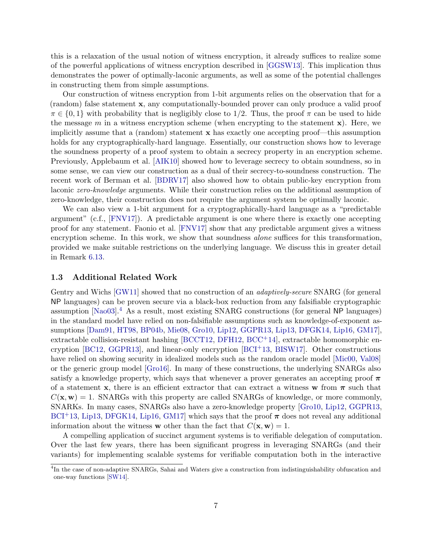this is a relaxation of the usual notion of witness encryption, it already suffices to realize some of the powerful applications of witness encryption described in [\[GGSW13\]](#page-38-7). This implication thus demonstrates the power of optimally-laconic arguments, as well as some of the potential challenges in constructing them from simple assumptions.

Our construction of witness encryption from 1-bit arguments relies on the observation that for a (random) false statement x, any computationally-bounded prover can only produce a valid proof  $\pi \in \{0,1\}$  with probability that is negligibly close to 1/2. Thus, the proof  $\pi$  can be used to hide the message  $m$  in a witness encryption scheme (when encrypting to the statement  $\mathbf{x}$ ). Here, we implicitly assume that a (random) statement x has exactly one accepting proof—this assumption holds for any cryptographically-hard language. Essentially, our construction shows how to leverage the soundness property of a proof system to obtain a secrecy property in an encryption scheme. Previously, Applebaum et al. [\[AIK10\]](#page-35-0) showed how to leverage secrecy to obtain soundness, so in some sense, we can view our construction as a dual of their secrecy-to-soundness construction. The recent work of Berman et al. [\[BDRV17\]](#page-36-7) also showed how to obtain public-key encryption from laconic *zero-knowledge* arguments. While their construction relies on the additional assumption of zero-knowledge, their construction does not require the argument system be optimally laconic.

We can also view a 1-bit argument for a cryptographically-hard language as a "predictable argument" (c.f., [\[FNV17\]](#page-38-9)). A predictable argument is one where there is exactly one accepting proof for any statement. Faonio et al. [\[FNV17\]](#page-38-9) show that any predictable argument gives a witness encryption scheme. In this work, we show that soundness *alone* suffices for this transformation. provided we make suitable restrictions on the underlying language. We discuss this in greater detail in Remark [6.13.](#page-34-0)

#### <span id="page-6-0"></span>1.3 Additional Related Work

Gentry and Wichs [\[GW11\]](#page-39-4) showed that no construction of an *adaptively-secure* SNARG (for general NP languages) can be proven secure via a black-box reduction from any falsifiable cryptographic assumption [\[Nao03\]](#page-39-9).[4](#page-0-0) As a result, most existing SNARG constructions (for general NP languages) in the standard model have relied on non-falsifiable assumptions such as knowledge-of-exponent assumptions [\[Dam91,](#page-37-6) [HT98,](#page-39-10) [BP04b,](#page-37-7) [Mie08,](#page-39-11) [Gro10,](#page-38-4) [Lip12,](#page-39-6) [GGPR13,](#page-38-5) [Lip13,](#page-39-7) [DFGK14,](#page-37-4) [Lip16,](#page-39-12) [GM17\]](#page-38-10), extractable collision-resistant hashing [\[BCCT12,](#page-36-4) [DFH12,](#page-37-8) [BCC](#page-36-5)+14], extractable homomorphic en-cryption [\[BC12,](#page-36-8) [GGPR13\]](#page-38-5), and linear-only encryption [\[BCI](#page-36-3)<sup>+</sup>13, [BISW17\]](#page-37-3). Other constructions have relied on showing security in idealized models such as the random oracle model [\[Mic00,](#page-39-3) [Val08\]](#page-40-2) or the generic group model [\[Gro16\]](#page-38-6). In many of these constructions, the underlying SNARGs also satisfy a knowledge property, which says that whenever a prover generates an accepting proof  $\pi$ of a statement x, there is an efficient extractor that can extract a witness w from  $\pi$  such that  $C(\mathbf{x}, \mathbf{w}) = 1$ . SNARGs with this property are called SNARGs of knowledge, or more commonly, SNARKs. In many cases, SNARGs also have a zero-knowledge property [\[Gro10,](#page-38-4) [Lip12,](#page-39-6) [GGPR13,](#page-38-5)  $BCI<sup>+</sup>13, Lip13, DFGK14, Lip16, GMI7]$  $BCI<sup>+</sup>13, Lip13, DFGK14, Lip16, GMI7]$  $BCI<sup>+</sup>13, Lip13, DFGK14, Lip16, GMI7]$  $BCI<sup>+</sup>13, Lip13, DFGK14, Lip16, GMI7]$  $BCI<sup>+</sup>13, Lip13, DFGK14, Lip16, GMI7]$  $BCI<sup>+</sup>13, Lip13, DFGK14, Lip16, GMI7]$  $BCI<sup>+</sup>13, Lip13, DFGK14, Lip16, GMI7]$  $BCI<sup>+</sup>13, Lip13, DFGK14, Lip16, GMI7]$  which says that the proof  $\pi$  does not reveal any additional information about the witness **w** other than the fact that  $C(\mathbf{x}, \mathbf{w}) = 1$ .

A compelling application of succinct argument systems is to verifiable delegation of computation. Over the last few years, there has been significant progress in leveraging SNARGs (and their variants) for implementing scalable systems for verifiable computation both in the interactive

<sup>&</sup>lt;sup>4</sup>In the case of non-adaptive SNARGs, Sahai and Waters give a construction from indistinguishability obfuscation and one-way functions [\[SW14\]](#page-40-1).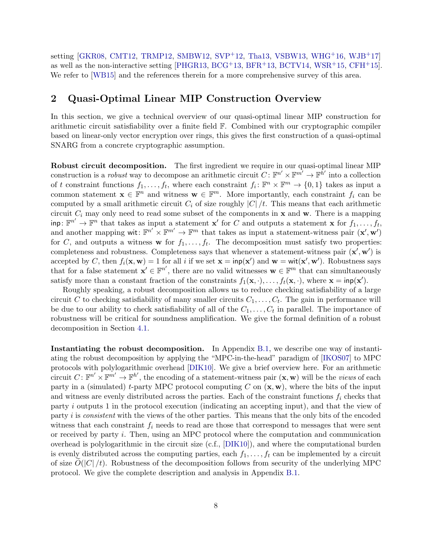setting [\[GKR08,](#page-38-11) [CMT12,](#page-37-9) [TRMP12,](#page-40-3) [SMBW12,](#page-40-4) [SVP](#page-40-5)+12, [Tha13,](#page-40-6) [VSBW13,](#page-40-7) [WHG](#page-40-8)+16, [WJB](#page-40-9)+17] as well as the non-interactive setting [\[PHGR13,](#page-39-13) [BCG](#page-36-9)<sup>+</sup>13, [BFR](#page-36-10)<sup>+</sup>13, [BCTV14,](#page-36-11) [WSR](#page-40-10)<sup>+</sup>15, [CFH](#page-37-10)<sup>+</sup>15]. We refer to [\[WB15\]](#page-40-11) and the references therein for a more comprehensive survey of this area.

## <span id="page-7-0"></span>2 Quasi-Optimal Linear MIP Construction Overview

In this section, we give a technical overview of our quasi-optimal linear MIP construction for arithmetic circuit satisfiability over a finite field F. Combined with our cryptographic compiler based on linear-only vector encryption over rings, this gives the first construction of a quasi-optimal SNARG from a concrete cryptographic assumption.

Robust circuit decomposition. The first ingredient we require in our quasi-optimal linear MIP construction is a *robust* way to decompose an arithmetic circuit  $C: \mathbb{F}^{n'} \times \mathbb{F}^{m'} \to \mathbb{F}^{\bar{h}'}$  into a collection of t constraint functions  $f_1, \ldots, f_t$ , where each constraint  $f_i: \mathbb{F}^n \times \mathbb{F}^m \to \{0, 1\}$  takes as input a common statement  $\mathbf{x} \in \mathbb{F}^n$  and witness  $\mathbf{w} \in \mathbb{F}^m$ . More importantly, each constraint  $f_i$  can be computed by a small arithmetic circuit  $C_i$  of size roughly  $|C|/t$ . This means that each arithmetic circuit  $C_i$  may only need to read some subset of the components in  $\bf{x}$  and  $\bf{w}$ . There is a mapping  $\text{inp}: \mathbb{F}^{n'} \to \mathbb{F}^n$  that takes as input a statement  $\mathbf{x}'$  for C and outputs a statement  $\mathbf{x}$  for  $f_1, \ldots, f_t$ , and another mapping wit:  $\mathbb{F}^{n'} \times \mathbb{F}^{m'} \to \mathbb{F}^m$  that takes as input a statement-witness pair  $(\mathbf{x}', \mathbf{w}')$ for C, and outputs a witness **w** for  $f_1, \ldots, f_t$ . The decomposition must satisfy two properties: completeness and robustness. Completeness says that whenever a statement-witness pair  $(\mathbf{x}', \mathbf{w}')$  is accepted by C, then  $f_i(\mathbf{x}, \mathbf{w}) = 1$  for all i if we set  $\mathbf{x} = \text{inp}(\mathbf{x}')$  and  $\mathbf{w} = \text{wit}(\mathbf{x}', \mathbf{w}')$ . Robustness says that for a false statement  $\mathbf{x}' \in \mathbb{F}^{n'}$ , there are no valid witnesses  $\mathbf{w} \in \mathbb{F}^m$  that can simultaneously satisfy more than a constant fraction of the constraints  $f_1(\mathbf{x}, \cdot), \ldots, f_t(\mathbf{x}, \cdot)$ , where  $\mathbf{x} = \text{inp}(\mathbf{x}')$ .

Roughly speaking, a robust decomposition allows us to reduce checking satisfiability of a large circuit C to checking satisfiability of many smaller circuits  $C_1, \ldots, C_t$ . The gain in performance will be due to our ability to check satisfiability of all of the  $C_1, \ldots, C_t$  in parallel. The importance of robustness will be critical for soundness amplification. We give the formal definition of a robust decomposition in Section [4.1.](#page-12-1)

Instantiating the robust decomposition. In Appendix [B.1,](#page-50-0) we describe one way of instantiating the robust decomposition by applying the "MPC-in-the-head" paradigm of [\[IKOS07\]](#page-39-8) to MPC protocols with polylogarithmic overhead [\[DIK10\]](#page-37-5). We give a brief overview here. For an arithmetic circuit  $C: \mathbb{F}^{n'} \times \mathbb{F}^{m'} \to \mathbb{F}^{h'}$ , the encoding of a statement-witness pair  $(\mathbf{x}, \mathbf{w})$  will be the *views* of each party in a (simulated) t-party MPC protocol computing C on  $(\mathbf{x}, \mathbf{w})$ , where the bits of the input and witness are evenly distributed across the parties. Each of the constraint functions  $f_i$  checks that party i outputs 1 in the protocol execution (indicating an accepting input), and that the view of party i is consistent with the views of the other parties. This means that the only bits of the encoded witness that each constraint  $f_i$  needs to read are those that correspond to messages that were sent or received by party i. Then, using an MPC protocol where the computation and communication overhead is polylogarithmic in the circuit size (c.f., [\[DIK10\]](#page-37-5)), and where the computational burden is evenly distributed across the computing parties, each  $f_1, \ldots, f_t$  can be implemented by a circuit of size  $O(|C|/t)$ . Robustness of the decomposition follows from security of the underlying MPC protocol. We give the complete description and analysis in Appendix [B.1.](#page-50-0)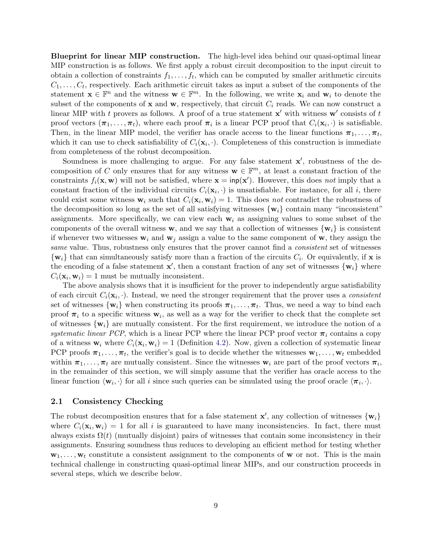Blueprint for linear MIP construction. The high-level idea behind our quasi-optimal linear MIP construction is as follows. We first apply a robust circuit decomposition to the input circuit to obtain a collection of constraints  $f_1, \ldots, f_t$ , which can be computed by smaller arithmetic circuits  $C_1, \ldots, C_t$ , respectively. Each arithmetic circuit takes as input a subset of the components of the statement  $\mathbf{x} \in \mathbb{F}^n$  and the witness  $\mathbf{w} \in \mathbb{F}^m$ . In the following, we write  $\mathbf{x}_i$  and  $\mathbf{w}_i$  to denote the subset of the components of  $x$  and  $w$ , respectively, that circuit  $C_i$  reads. We can now construct a linear MIP with t provers as follows. A proof of a true statement  $x'$  with witness  $w'$  consists of t proof vectors  $(\pi_1, \ldots, \pi_t)$ , where each proof  $\pi_i$  is a linear PCP proof that  $C_i(\mathbf{x}_i, \cdot)$  is satisfiable. Then, in the linear MIP model, the verifier has oracle access to the linear functions  $\pi_1, \ldots, \pi_t$ , which it can use to check satisfiability of  $C_i(\mathbf{x}_i, \cdot)$ . Completeness of this construction is immediate from completeness of the robust decomposition.

Soundness is more challenging to argue. For any false statement  $x'$ , robustness of the decomposition of C only ensures that for any witness  $\mathbf{w} \in \mathbb{F}^m$ , at least a constant fraction of the constraints  $f_i(\mathbf{x}, \mathbf{w})$  will not be satisfied, where  $\mathbf{x} = \text{inp}(\mathbf{x}')$ . However, this does not imply that a constant fraction of the individual circuits  $C_i(\mathbf{x}_i, \cdot)$  is unsatisfiable. For instance, for all i, there could exist some witness  $\mathbf{w}_i$  such that  $C_i(\mathbf{x}_i, \mathbf{w}_i) = 1$ . This does not contradict the robustness of the decomposition so long as the set of all satisfying witnesses  $\{w_i\}$  contain many "inconsistent" assignments. More specifically, we can view each  $w_i$  as assigning values to some subset of the components of the overall witness **w**, and we say that a collection of witnesses  $\{w_i\}$  is consistent if whenever two witnesses  $w_i$  and  $w_j$  assign a value to the same component of w, they assign the same value. Thus, robustness only ensures that the prover cannot find a *consistent* set of witnesses  $\{w_i\}$  that can simultaneously satisfy more than a fraction of the circuits  $C_i$ . Or equivalently, if x is the encoding of a false statement  $\mathbf{x}'$ , then a constant fraction of any set of witnesses  $\{\mathbf{w}_i\}$  where  $C_i(\mathbf{x}_i, \mathbf{w}_i) = 1$  must be mutually inconsistent.

The above analysis shows that it is insufficient for the prover to independently argue satisfiability of each circuit  $C_i(\mathbf{x}_i, \cdot)$ . Instead, we need the stronger requirement that the prover uses a *consistent* set of witnesses  $\{w_i\}$  when constructing its proofs  $\pi_1, \ldots, \pi_t$ . Thus, we need a way to bind each proof  $\pi_i$  to a specific witness  $\mathbf{w}_i$ , as well as a way for the verifier to check that the complete set of witnesses  $\{w_i\}$  are mutually consistent. For the first requirement, we introduce the notion of a systematic linear PCP, which is a linear PCP where the linear PCP proof vector  $\pi_i$  contains a copy of a witness  $\mathbf{w}_i$  where  $C_i(\mathbf{x}_i, \mathbf{w}_i) = 1$  (Definition [4.2\)](#page-13-0). Now, given a collection of systematic linear PCP proofs  $\pi_1, \ldots, \pi_t$ , the verifier's goal is to decide whether the witnesses  $\mathbf{w}_1, \ldots, \mathbf{w}_t$  embedded within  $\pi_1, \ldots, \pi_t$  are mutually consistent. Since the witnesses  $w_i$  are part of the proof vectors  $\pi_i$ , in the remainder of this section, we will simply assume that the verifier has oracle access to the linear function  $\langle \mathbf{w}_i, \cdot \rangle$  for all i since such queries can be simulated using the proof oracle  $\langle \pi_i, \cdot \rangle$ .

#### <span id="page-8-0"></span>2.1 Consistency Checking

The robust decomposition ensures that for a false statement  $\mathbf{x}'$ , any collection of witnesses  $\{\mathbf{w}_i\}$ where  $C_i(\mathbf{x}_i, \mathbf{w}_i) = 1$  for all i is guaranteed to have many inconsistencies. In fact, there must always exists  $\Omega(t)$  (mutually disjoint) pairs of witnesses that contain some inconsistency in their assignments. Ensuring soundness thus reduces to developing an efficient method for testing whether  $\mathbf{w}_1, \ldots, \mathbf{w}_t$  constitute a consistent assignment to the components of **w** or not. This is the main technical challenge in constructing quasi-optimal linear MIPs, and our construction proceeds in several steps, which we describe below.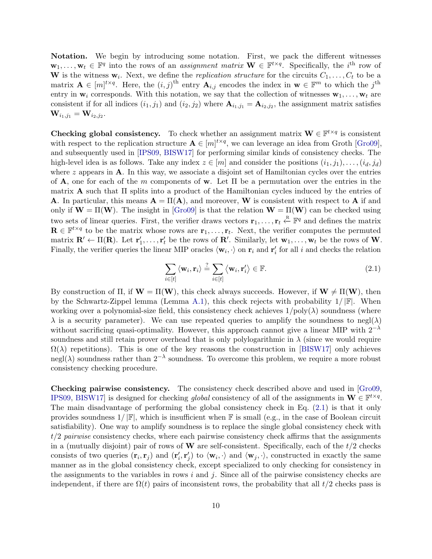Notation. We begin by introducing some notation. First, we pack the different witnesses  $\mathbf{w}_1,\ldots,\mathbf{w}_t \in \mathbb{F}^q$  into the rows of an *assignment matrix*  $\mathbf{W} \in \mathbb{F}^{t \times q}$ . Specifically, the *i*<sup>th</sup> row of **W** is the witness  $\mathbf{w}_i$ . Next, we define the *replication structure* for the circuits  $C_1, \ldots, C_t$  to be a matrix  $\mathbf{A} \in [m]^{t \times q}$ . Here, the  $(i, j)$ <sup>th</sup> entry  $\mathbf{A}_{i,j}$  encodes the index in  $\mathbf{w} \in \mathbb{F}^m$  to which the  $j$ <sup>th</sup> entry in  $w_i$  corresponds. With this notation, we say that the collection of witnesses  $w_1, \ldots, w_t$  are consistent if for all indices  $(i_1, j_1)$  and  $(i_2, j_2)$  where  $\mathbf{A}_{i_1, j_1} = \mathbf{A}_{i_2, j_2}$ , the assignment matrix satisfies  $\mathbf{W}_{i_1, j_1} = \mathbf{W}_{i_2, j_2}.$ 

**Checking global consistency.** To check whether an assignment matrix  $\mathbf{W} \in \mathbb{F}^{t \times q}$  is consistent with respect to the replication structure  $\mathbf{A} \in [m]^{t \times q}$ , we can leverage an idea from Groth [\[Gro09\]](#page-38-12), and subsequently used in [\[IPS09,](#page-39-14) [BISW17\]](#page-37-3) for performing similar kinds of consistency checks. The high-level idea is as follows. Take any index  $z \in [m]$  and consider the positions  $(i_1, j_1), \ldots, (i_d, j_d)$ where  $z$  appears in  $A$ . In this way, we associate a disjoint set of Hamiltonian cycles over the entries of A, one for each of the m components of w. Let  $\Pi$  be a permutation over the entries in the matrix **A** such that  $\Pi$  splits into a product of the Hamiltonian cycles induced by the entries of **A**. In particular, this means  $\mathbf{A} = \Pi(\mathbf{A})$ , and moreover, **W** is consistent with respect to **A** if and only if  $W = \Pi(W)$ . The insight in [\[Gro09\]](#page-38-12) is that the relation  $W = \Pi(W)$  can be checked using two sets of linear queries. First, the verifier draws vectors  $\mathbf{r}_1, \ldots, \mathbf{r}_t \stackrel{\text{R}}{\leftarrow} \mathbb{F}^q$  and defines the matrix  $\mathbf{R} \in \mathbb{F}^{t \times q}$  to be the matrix whose rows are  $\mathbf{r}_1, \ldots, \mathbf{r}_t$ . Next, the verifier computes the permuted matrix  $\mathbf{R}' \leftarrow \Pi(\mathbf{R})$ . Let  $\mathbf{r}'_1, \ldots, \mathbf{r}'_t$  be the rows of  $\mathbf{R}'$ . Similarly, let  $\mathbf{w}_1, \ldots, \mathbf{w}_t$  be the rows of  $\mathbf{W}$ . Finally, the verifier queries the linear MIP oracles  $\langle \mathbf{w}_i, \cdot \rangle$  on  $\mathbf{r}_i$  and  $\mathbf{r}'_i$  for all i and checks the relation

$$
\sum_{i \in [t]} \langle \mathbf{w}_i, \mathbf{r}_i \rangle \stackrel{?}{=} \sum_{i \in [t]} \langle \mathbf{w}_i, \mathbf{r}'_i \rangle \in \mathbb{F}.\tag{2.1}
$$

<span id="page-9-0"></span>By construction of  $\Pi$ , if  $W = \Pi(W)$ , this check always succeeds. However, if  $W \neq \Pi(W)$ , then by the Schwartz-Zippel lemma (Lemma [A.1\)](#page-40-12), this check rejects with probability  $1/|\mathbb{F}|$ . When working over a polynomial-size field, this consistency check achieves  $1/poly(\lambda)$  soundness (where  $\lambda$  is a security parameter). We can use repeated queries to amplify the soundness to negl( $\lambda$ ) without sacrificing quasi-optimality. However, this approach cannot give a linear MIP with  $2^{-\lambda}$ soundness and still retain prover overhead that is only polylogarithmic in  $\lambda$  (since we would require  $\Omega(\lambda)$  repetitions). This is one of the key reasons the construction in [\[BISW17\]](#page-37-3) only achieves negl( $\lambda$ ) soundness rather than 2<sup>- $\lambda$ </sup> soundness. To overcome this problem, we require a more robust consistency checking procedure.

Checking pairwise consistency. The consistency check described above and used in [\[Gro09,](#page-38-12) [IPS09,](#page-39-14) BISW17 is designed for checking *global* consistency of all of the assignments in  $\mathbf{W} \in \mathbb{F}^{t \times q}$ . The main disadvantage of performing the global consistency check in Eq. [\(2.1\)](#page-9-0) is that it only provides soundness  $1/|\mathbb{F}|$ , which is insufficient when  $\mathbb{F}$  is small (e.g., in the case of Boolean circuit satisfiability). One way to amplify soundness is to replace the single global consistency check with  $t/2$  pairwise consistency checks, where each pairwise consistency check affirms that the assignments in a (mutually disjoint) pair of rows of  $W$  are self-consistent. Specifically, each of the  $t/2$  checks consists of two queries  $(\mathbf{r}_i, \mathbf{r}_j)$  and  $(\mathbf{r}'_i, \mathbf{r}'_j)$  to  $\langle \mathbf{w}_i, \cdot \rangle$  and  $\langle \mathbf{w}_j, \cdot \rangle$ , constructed in exactly the same manner as in the global consistency check, except specialized to only checking for consistency in the assignments to the variables in rows i and j. Since all of the pairwise consistency checks are independent, if there are  $\Omega(t)$  pairs of inconsistent rows, the probability that all  $t/2$  checks pass is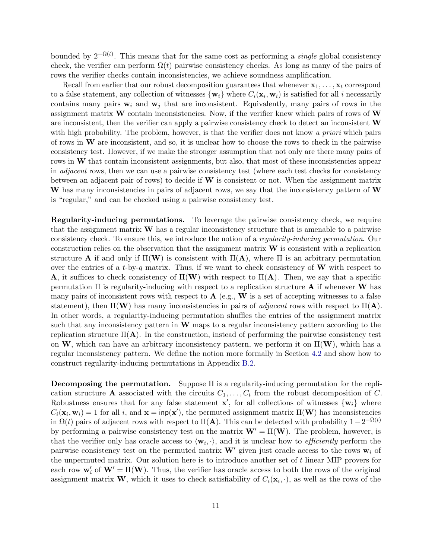bounded by  $2^{-\Omega(t)}$ . This means that for the same cost as performing a *single* global consistency check, the verifier can perform  $\Omega(t)$  pairwise consistency checks. As long as many of the pairs of rows the verifier checks contain inconsistencies, we achieve soundness amplification.

Recall from earlier that our robust decomposition guarantees that whenever  $x_1, \ldots, x_t$  correspond to a false statement, any collection of witnesses  $\{w_i\}$  where  $C_i(\mathbf{x}_i, \mathbf{w}_i)$  is satisfied for all i necessarily contains many pairs  $w_i$  and  $w_j$  that are inconsistent. Equivalently, many pairs of rows in the assignment matrix  $\bf{W}$  contain inconsistencies. Now, if the verifier knew which pairs of rows of  $\bf{W}$ are inconsistent, then the verifier can apply a pairwise consistency check to detect an inconsistent W with high probability. The problem, however, is that the verifier does not know a priori which pairs of rows in  $W$  are inconsistent, and so, it is unclear how to choose the rows to check in the pairwise consistency test. However, if we make the stronger assumption that not only are there many pairs of rows in W that contain inconsistent assignments, but also, that most of these inconsistencies appear in adjacent rows, then we can use a pairwise consistency test (where each test checks for consistency between an adjacent pair of rows) to decide if  $W$  is consistent or not. When the assignment matrix W has many inconsistencies in pairs of adjacent rows, we say that the inconsistency pattern of W is "regular," and can be checked using a pairwise consistency test.

Regularity-inducing permutations. To leverage the pairwise consistency check, we require that the assignment matrix  $\bf{W}$  has a regular inconsistency structure that is amenable to a pairwise consistency check. To ensure this, we introduce the notion of a regularity-inducing permutation. Our construction relies on the observation that the assignment matrix  $\bf{W}$  is consistent with a replication structure **A** if and only if  $\Pi(\mathbf{W})$  is consistent with  $\Pi(\mathbf{A})$ , where  $\Pi$  is an arbitrary permutation over the entries of a t-by-q matrix. Thus, if we want to check consistency of  $W$  with respect to **A**, it suffices to check consistency of  $\Pi(\mathbf{W})$  with respect to  $\Pi(\mathbf{A})$ . Then, we say that a specific permutation  $\Pi$  is regularity-inducing with respect to a replication structure **A** if whenever **W** has many pairs of inconsistent rows with respect to  $A$  (e.g.,  $W$  is a set of accepting witnesses to a false statement), then  $\Pi(\mathbf{W})$  has many inconsistencies in pairs of *adjacent* rows with respect to  $\Pi(\mathbf{A})$ . In other words, a regularity-inducing permutation shuffles the entries of the assignment matrix such that any inconsistency pattern in  $W$  maps to a regular inconsistency pattern according to the replication structure  $\Pi(A)$ . In the construction, instead of performing the pairwise consistency test on W, which can have an arbitrary inconsistency pattern, we perform it on  $\Pi(\mathbf{W})$ , which has a regular inconsistency pattern. We define the notion more formally in Section [4.2](#page-14-0) and show how to construct regularity-inducing permutations in Appendix [B.2.](#page-54-0)

Decomposing the permutation. Suppose Π is a regularity-inducing permutation for the replication structure A associated with the circuits  $C_1, \ldots, C_t$  from the robust decomposition of C. Robustness ensures that for any false statement  $\mathbf{x}'$ , for all collections of witnesses  $\{\mathbf{w}_i\}$  where  $C_i(\mathbf{x}_i, \mathbf{w}_i) = 1$  for all i, and  $\mathbf{x} = \text{inp}(\mathbf{x}')$ , the permuted assignment matrix  $\Pi(\mathbf{W})$  has inconsistencies in  $\Omega(t)$  pairs of adjacent rows with respect to  $\Pi(A)$ . This can be detected with probability  $1-2^{-\Omega(t)}$ by performing a pairwise consistency test on the matrix  $W' = \Pi(W)$ . The problem, however, is that the verifier only has oracle access to  $\langle \mathbf{w}_i, \cdot \rangle$ , and it is unclear how to *efficiently* perform the pairwise consistency test on the permuted matrix  $W'$  given just oracle access to the rows  $w_i$  of the unpermuted matrix. Our solution here is to introduce another set of  $t$  linear MIP provers for each row  $\mathbf{w}'_i$  of  $\mathbf{W}' = \Pi(\mathbf{W})$ . Thus, the verifier has oracle access to both the rows of the original assignment matrix **W**, which it uses to check satisfiability of  $C_i(\mathbf{x}_i, \cdot)$ , as well as the rows of the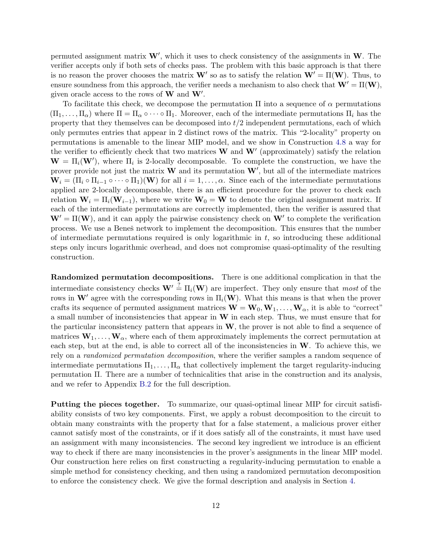permuted assignment matrix  $W'$ , which it uses to check consistency of the assignments in W. The verifier accepts only if both sets of checks pass. The problem with this basic approach is that there is no reason the prover chooses the matrix **W**' so as to satisfy the relation  $W' = \Pi(W)$ . Thus, to ensure soundness from this approach, the verifier needs a mechanism to also check that  $W' = \Pi(W)$ , given oracle access to the rows of  $W$  and  $W'$ .

To facilitate this check, we decompose the permutation  $\Pi$  into a sequence of  $\alpha$  permutations  $(\Pi_1,\ldots,\Pi_\alpha)$  where  $\Pi=\Pi_\alpha\circ\cdots\circ\Pi_1$ . Moreover, each of the intermediate permutations  $\Pi_i$  has the property that they themselves can be decomposed into  $t/2$  independent permutations, each of which only permutes entries that appear in 2 distinct rows of the matrix. This "2-locality" property on permutations is amenable to the linear MIP model, and we show in Construction [4.8](#page-15-0) a way for the verifier to efficiently check that two matrices  $W$  and  $W'$  (approximately) satisfy the relation  $\mathbf{W} = \Pi_i(\mathbf{W}')$ , where  $\Pi_i$  is 2-locally decomposable. To complete the construction, we have the prover provide not just the matrix **W** and its permutation  $W'$ , but all of the intermediate matrices  $\mathbf{W}_i = (\Pi_i \circ \Pi_{i-1} \circ \cdots \circ \Pi_1)(\mathbf{W})$  for all  $i = 1, \ldots, \alpha$ . Since each of the intermediate permutations applied are 2-locally decomposable, there is an efficient procedure for the prover to check each relation  $W_i = \Pi_i(W_{i-1})$ , where we write  $W_0 = W$  to denote the original assignment matrix. If each of the intermediate permutations are correctly implemented, then the verifier is assured that  $W' = \Pi(W)$ , and it can apply the pairwise consistency check on  $W'$  to complete the verification process. We use a Beneš network to implement the decomposition. This ensures that the number of intermediate permutations required is only logarithmic in  $t$ , so introducing these additional steps only incurs logarithmic overhead, and does not compromise quasi-optimality of the resulting construction.

Randomized permutation decompositions. There is one additional complication in that the intermediate consistency checks  $\mathbf{W}' \stackrel{?}{=} \Pi_i(\mathbf{W})$  are imperfect. They only ensure that most of the rows in  $\mathbf{W}'$  agree with the corresponding rows in  $\Pi_i(\mathbf{W})$ . What this means is that when the prover crafts its sequence of permuted assignment matrices  $\mathbf{W} = \mathbf{W}_0, \mathbf{W}_1, \dots, \mathbf{W}_\alpha$ , it is able to "correct" a small number of inconsistencies that appear in  $W$  in each step. Thus, we must ensure that for the particular inconsistency pattern that appears in  $W$ , the prover is not able to find a sequence of matrices  $W_1, \ldots, W_\alpha$ , where each of them approximately implements the correct permutation at each step, but at the end, is able to correct all of the inconsistencies in  $W$ . To achieve this, we rely on a randomized permutation decomposition, where the verifier samples a random sequence of intermediate permutations  $\Pi_1, \ldots, \Pi_\alpha$  that collectively implement the target regularity-inducing permutation Π. There are a number of technicalities that arise in the construction and its analysis, and we refer to Appendix [B.2](#page-54-0) for the full description.

Putting the pieces together. To summarize, our quasi-optimal linear MIP for circuit satisfiability consists of two key components. First, we apply a robust decomposition to the circuit to obtain many constraints with the property that for a false statement, a malicious prover either cannot satisfy most of the constraints, or if it does satisfy all of the constraints, it must have used an assignment with many inconsistencies. The second key ingredient we introduce is an efficient way to check if there are many inconsistencies in the prover's assignments in the linear MIP model. Our construction here relies on first constructing a regularity-inducing permutation to enable a simple method for consistency checking, and then using a randomized permutation decomposition to enforce the consistency check. We give the formal description and analysis in Section [4.](#page-12-0)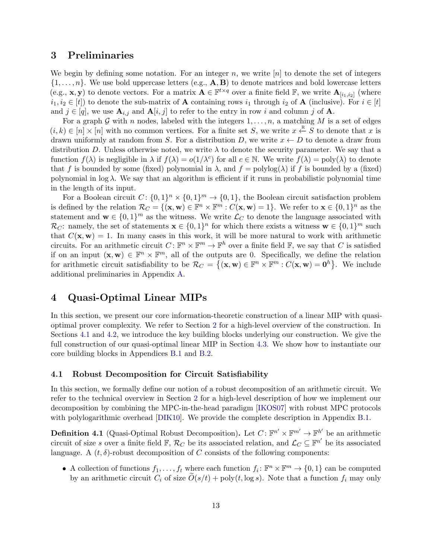## 3 Preliminaries

We begin by defining some notation. For an integer  $n$ , we write  $[n]$  to denote the set of integers  $\{1,\ldots,n\}$ . We use bold uppercase letters (e.g.,  $\mathbf{A}, \mathbf{B}$ ) to denote matrices and bold lowercase letters (e.g., **x**, **y**) to denote vectors. For a matrix  $A \in \mathbb{F}^{t \times q}$  over a finite field  $\mathbb{F}$ , we write  $A_{[i_1,i_2]}$  (where  $i_1, i_2 \in [t]$ ) to denote the sub-matrix of **A** containing rows  $i_1$  through  $i_2$  of **A** (inclusive). For  $i \in [t]$ and  $j \in [q]$ , we use  $\mathbf{A}_{i,j}$  and  $\mathbf{A}[i,j]$  to refer to the entry in row i and column j of  $\mathbf{A}$ .

For a graph G with n nodes, labeled with the integers  $1, \ldots, n$ , a matching M is a set of edges  $(i,k) \in [n] \times [n]$  with no common vertices. For a finite set S, we write  $x \stackrel{R}{\leftarrow} S$  to denote that x is drawn uniformly at random from S. For a distribution D, we write  $x \leftarrow D$  to denote a draw from distribution D. Unless otherwise noted, we write  $\lambda$  to denote the security parameter. We say that a function  $f(\lambda)$  is negligible in  $\lambda$  if  $f(\lambda) = o(1/\lambda^c)$  for all  $c \in \mathbb{N}$ . We write  $f(\lambda) = \text{poly}(\lambda)$  to denote that f is bounded by some (fixed) polynomial in  $\lambda$ , and  $f = \text{polylog}(\lambda)$  if f is bounded by a (fixed) polynomial in  $log \lambda$ . We say that an algorithm is efficient if it runs in probabilistic polynomial time in the length of its input.

For a Boolean circuit  $C: \{0,1\}^n \times \{0,1\}^m \to \{0,1\}$ , the Boolean circuit satisfaction problem is defined by the relation  $\mathcal{R}_C = \{(\mathbf{x}, \mathbf{w}) \in \mathbb{F}^n \times \mathbb{F}^m : C(\mathbf{x}, \mathbf{w}) = 1\}$ . We refer to  $\mathbf{x} \in \{0, 1\}^n$  as the statement and  $\mathbf{w} \in \{0,1\}^m$  as the witness. We write  $\mathcal{L}_C$  to denote the language associated with  $\mathcal{R}_C$ : namely, the set of statements  $\mathbf{x} \in \{0,1\}^n$  for which there exists a witness  $\mathbf{w} \in \{0,1\}^m$  such that  $C(\mathbf{x}, \mathbf{w}) = 1$ . In many cases in this work, it will be more natural to work with arithmetic circuits. For an arithmetic circuit  $C \colon \mathbb{F}^n \times \mathbb{F}^m \to \mathbb{F}^h$  over a finite field  $\mathbb{F}$ , we say that C is satisfied if on an input  $(\mathbf{x}, \mathbf{w}) \in \mathbb{F}^n \times \mathbb{F}^m$ , all of the outputs are 0. Specifically, we define the relation for arithmetic circuit satisfiability to be  $\mathcal{R}_C = \{(\mathbf{x}, \mathbf{w}) \in \mathbb{F}^n \times \mathbb{F}^m : C(\mathbf{x}, \mathbf{w}) = \mathbf{0}^h\}$ . We include additional preliminaries in Appendix [A.](#page-40-13)

## <span id="page-12-0"></span>4 Quasi-Optimal Linear MIPs

In this section, we present our core information-theoretic construction of a linear MIP with quasioptimal prover complexity. We refer to Section [2](#page-7-0) for a high-level overview of the construction. In Sections [4.1](#page-12-1) and [4.2,](#page-14-0) we introduce the key building blocks underlying our construction. We give the full construction of our quasi-optimal linear MIP in Section [4.3.](#page-19-0) We show how to instantiate our core building blocks in Appendices [B.1](#page-50-0) and [B.2.](#page-54-0)

#### <span id="page-12-1"></span>4.1 Robust Decomposition for Circuit Satisfiability

In this section, we formally define our notion of a robust decomposition of an arithmetic circuit. We refer to the technical overview in Section [2](#page-7-0) for a high-level description of how we implement our decomposition by combining the MPC-in-the-head paradigm [\[IKOS07\]](#page-39-8) with robust MPC protocols with polylogarithmic overhead [\[DIK10\]](#page-37-5). We provide the complete description in Appendix [B.1.](#page-50-0)

<span id="page-12-2"></span>**Definition 4.1** (Quasi-Optimal Robust Decomposition). Let  $C: \mathbb{F}^{n'} \times \mathbb{F}^{m'} \to \mathbb{F}^{h'}$  be an arithmetic circuit of size s over a finite field  $\mathbb{F}$ ,  $\mathcal{R}_C$  be its associated relation, and  $\mathcal{L}_C \subseteq \mathbb{F}^{n'}$  be its associated language. A  $(t, \delta)$ -robust decomposition of C consists of the following components:

• A collection of functions  $f_1, \ldots, f_t$  where each function  $f_i: \mathbb{F}^n \times \mathbb{F}^m \to \{0, 1\}$  can be computed by an arithmetic circuit  $C_i$  of size  $\tilde{O}(s/t) + \text{poly}(t, \log s)$ . Note that a function  $f_i$  may only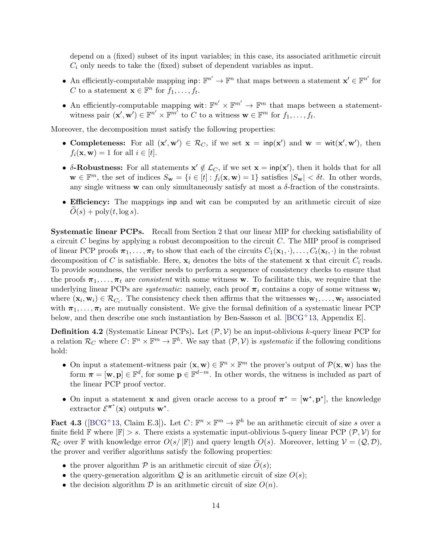depend on a (fixed) subset of its input variables; in this case, its associated arithmetic circuit  $C_i$  only needs to take the (fixed) subset of dependent variables as input.

- An efficiently-computable mapping  $\text{inp}: \mathbb{F}^{n'} \to \mathbb{F}^n$  that maps between a statement  $\mathbf{x}' \in \mathbb{F}^{n'}$  for C to a statement  $\mathbf{x} \in \mathbb{F}^n$  for  $f_1, \ldots, f_t$ .
- An efficiently-computable mapping wit:  $\mathbb{F}^{n'} \times \mathbb{F}^{m'} \to \mathbb{F}^m$  that maps between a statementwitness pair  $(\mathbf{x}', \mathbf{w}') \in \mathbb{F}^{n'} \times \mathbb{F}^{m'}$  to C to a witness  $\mathbf{w} \in \mathbb{F}^m$  for  $f_1, \ldots, f_t$ .

Moreover, the decomposition must satisfy the following properties:

- Completeness: For all  $(x', w') \in \mathcal{R}_C$ , if we set  $x = \text{inp}(x')$  and  $w = \text{wit}(x', w')$ , then  $f_i(\mathbf{x}, \mathbf{w}) = 1$  for all  $i \in [t]$ .
- $\delta$ -Robustness: For all statements  $x' \notin \mathcal{L}_C$ , if we set  $x = \text{inp}(x')$ , then it holds that for all  $\mathbf{w} \in \mathbb{F}^m$ , the set of indices  $S_{\mathbf{w}} = \{i \in [t] : f_i(\mathbf{x}, \mathbf{w}) = 1\}$  satisfies  $|S_{\mathbf{w}}| < \delta t$ . In other words, any single witness **w** can only simultaneously satisfy at most a  $\delta$ -fraction of the constraints.
- Efficiency: The mappings inp and wit can be computed by an arithmetic circuit of size  $O(s) + \text{poly}(t, \log s).$

Systematic linear PCPs. Recall from Section [2](#page-7-0) that our linear MIP for checking satisfiability of a circuit  $C$  begins by applying a robust decomposition to the circuit  $C$ . The MIP proof is comprised of linear PCP proofs  $\pi_1, \ldots, \pi_t$  to show that each of the circuits  $C_1(\mathbf{x}_1, \cdot), \ldots, C_t(\mathbf{x}_t, \cdot)$  in the robust decomposition of C is satisfiable. Here,  $\mathbf{x}_i$  denotes the bits of the statement  $\mathbf{x}$  that circuit  $C_i$  reads. To provide soundness, the verifier needs to perform a sequence of consistency checks to ensure that the proofs  $\pi_1, \ldots, \pi_t$  are consistent with some witness w. To facilitate this, we require that the underlying linear PCPs are *systematic*: namely, each proof  $\pi_i$  contains a copy of some witness  $\mathbf{w}_i$ where  $(\mathbf{x}_i, \mathbf{w}_i) \in \mathcal{R}_{C_i}$ . The consistency check then affirms that the witnesses  $\mathbf{w}_1, \ldots, \mathbf{w}_t$  associated with  $\pi_1, \ldots, \pi_t$  are mutually consistent. We give the formal definition of a systematic linear PCP below, and then describe one such instantiation by Ben-Sasson et al. [\[BCG](#page-36-9)+13, Appendix E].

<span id="page-13-0"></span>**Definition 4.2** (Systematic Linear PCPs). Let  $(\mathcal{P}, \mathcal{V})$  be an input-oblivious k-query linear PCP for a relation  $\mathcal{R}_C$  where  $C \colon \mathbb{F}^n \times \mathbb{F}^m \to \mathbb{F}^h$ . We say that  $(\mathcal{P}, \mathcal{V})$  is *systematic* if the following conditions hold:

- On input a statement-witness pair  $(\mathbf{x}, \mathbf{w}) \in \mathbb{F}^n \times \mathbb{F}^m$  the prover's output of  $\mathcal{P}(\mathbf{x}, \mathbf{w})$  has the form  $\pi = [\mathbf{w}, \mathbf{p}] \in \mathbb{F}^d$ , for some  $\mathbf{p} \in \mathbb{F}^{d-m}$ . In other words, the witness is included as part of the linear PCP proof vector.
- On input a statement **x** and given oracle access to a proof  $\pi^* = [\mathbf{w}^*, \mathbf{p}^*]$ , the knowledge extractor  $\mathcal{E}^{\pi^*}(\mathbf{x})$  outputs  $\mathbf{w}^*$ .

<span id="page-13-1"></span>Fact 4.3 ( $[BCG^+13, Claim E.3]$  $[BCG^+13, Claim E.3]$ ). Let  $C: \mathbb{F}^n \times \mathbb{F}^m \to \mathbb{F}^h$  be an arithmetic circuit of size s over a finite field  $\mathbb F$  where  $|\mathbb F| > s$ . There exists a systematic input-oblivious 5-query linear PCP  $(\mathcal P, \mathcal V)$  for  $\mathcal{R}_{\mathcal{C}}$  over F with knowledge error  $O(s/|\mathbb{F}|)$  and query length  $O(s)$ . Moreover, letting  $V = (Q, \mathcal{D})$ , the prover and verifier algorithms satisfy the following properties:

- the prover algorithm  $P$  is an arithmetic circuit of size  $\tilde{O}(s)$ ;
- the query-generation algorithm  $Q$  is an arithmetic circuit of size  $O(s)$ ;
- the decision algorithm  $\mathcal D$  is an arithmetic circuit of size  $O(n)$ .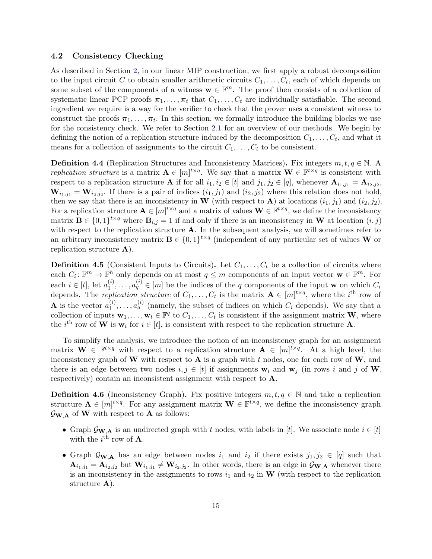#### <span id="page-14-0"></span>4.2 Consistency Checking

As described in Section [2,](#page-7-0) in our linear MIP construction, we first apply a robust decomposition to the input circuit C to obtain smaller arithmetic circuits  $C_1, \ldots, C_t$ , each of which depends on some subset of the components of a witness  $\mathbf{w} \in \mathbb{F}^m$ . The proof then consists of a collection of systematic linear PCP proofs  $\pi_1, \ldots, \pi_t$  that  $C_1, \ldots, C_t$  are individually satisfiable. The second ingredient we require is a way for the verifier to check that the prover uses a consistent witness to construct the proofs  $\pi_1, \ldots, \pi_t$ . In this section, we formally introduce the building blocks we use for the consistency check. We refer to Section [2.1](#page-8-0) for an overview of our methods. We begin by defining the notion of a replication structure induced by the decomposition  $C_1, \ldots, C_t$ , and what it means for a collection of assignments to the circuit  $C_1, \ldots, C_t$  to be consistent.

<span id="page-14-1"></span>**Definition 4.4** (Replication Structures and Inconsistency Matrices). Fix integers  $m, t, q \in \mathbb{N}$ . A replication structure is a matrix  $\mathbf{A} \in [m]^{t \times q}$ . We say that a matrix  $\mathbf{W} \in \mathbb{F}^{t \times q}$  is consistent with respect to a replication structure **A** if for all  $i_1, i_2 \in [t]$  and  $j_1, j_2 \in [q]$ , whenever  $\mathbf{A}_{i_1,j_1} = \mathbf{A}_{i_2,j_2}$ ,  $\mathbf{W}_{i_1,j_1} = \mathbf{W}_{i_2,j_2}$ . If there is a pair of indices  $(i_1, j_1)$  and  $(i_2, j_2)$  where this relation does not hold, then we say that there is an inconsistency in W (with respect to A) at locations  $(i_1, j_1)$  and  $(i_2, j_2)$ . For a replication structure  $\mathbf{A} \in [m]^{t \times q}$  and a matrix of values  $\mathbf{W} \in \mathbb{F}^{t \times q}$ , we define the inconsistency matrix  $\mathbf{B} \in \{0,1\}^{t \times q}$  where  $\mathbf{B}_{i,j} = 1$  if and only if there is an inconsistency in W at location  $(i, j)$ with respect to the replication structure  $A$ . In the subsequent analysis, we will sometimes refer to an arbitrary inconsistency matrix  $\mathbf{B} \in \{0,1\}^{t \times q}$  (independent of any particular set of values W or replication structure A).

**Definition 4.5** (Consistent Inputs to Circuits). Let  $C_1, \ldots, C_t$  be a collection of circuits where each  $C_i: \mathbb{F}^m \to \mathbb{F}^h$  only depends on at most  $q \leq m$  components of an input vector  $\mathbf{w} \in \mathbb{F}^m$ . For each  $i \in [t]$ , let  $a_1^{(i)}$  $a_1^{(i)}, \ldots, a_q^{(i)} \in [m]$  be the indices of the q components of the input w on which  $C_i$ depends. The *replication structure* of  $C_1, \ldots, C_t$  is the matrix  $\mathbf{A} \in [m]^{t \times q}$ , where the *i*<sup>th</sup> row of **A** is the vector  $a_1^{(i)}$  $a_1^{(i)}, \ldots, a_q^{(i)}$  (namely, the subset of indices on which  $C_i$  depends). We say that a collection of inputs  $\mathbf{w}_1, \ldots, \mathbf{w}_t \in \mathbb{F}^q$  to  $C_1, \ldots, C_t$  is consistent if the assignment matrix **W**, where the *i*<sup>th</sup> row of **W** is  $\mathbf{w}_i$  for  $i \in [t]$ , is consistent with respect to the replication structure **A**.

To simplify the analysis, we introduce the notion of an inconsistency graph for an assignment matrix  $\mathbf{W} \in \mathbb{F}^{t \times q}$  with respect to a replication structure  $\mathbf{A} \in [m]^{t \times q}$ . At a high level, the inconsistency graph of W with respect to  $A$  is a graph with t nodes, one for each row of W, and there is an edge between two nodes  $i, j \in [t]$  if assignments  $w_i$  and  $w_j$  (in rows i and j of W, respectively) contain an inconsistent assignment with respect to A.

**Definition 4.6** (Inconsistency Graph). Fix positive integers  $m, t, q \in \mathbb{N}$  and take a replication structure  $\mathbf{A} \in [m]^{t \times q}$ . For any assignment matrix  $\mathbf{W} \in \mathbb{F}^{t \times q}$ , we define the inconsistency graph  $\mathcal{G}_{\mathbf{W},\mathbf{A}}$  of **W** with respect to **A** as follows:

- Graph  $\mathcal{G}_{\mathbf{W},\mathbf{A}}$  is an undirected graph with t nodes, with labels in [t]. We associate node  $i \in [t]$ with the  $i^{\text{th}}$  row of **A**.
- Graph  $\mathcal{G}_{\mathbf{W},\mathbf{A}}$  has an edge between nodes  $i_1$  and  $i_2$  if there exists  $j_1, j_2 \in [q]$  such that  $\mathbf{A}_{i_1,j_1} = \mathbf{A}_{i_2,j_2}$  but  $\mathbf{W}_{i_1,j_1} \neq \mathbf{W}_{i_2,j_2}$ . In other words, there is an edge in  $\mathcal{G}_{\mathbf{W},\mathbf{A}}$  whenever there is an inconsistency in the assignments to rows  $i_1$  and  $i_2$  in W (with respect to the replication structure **A**).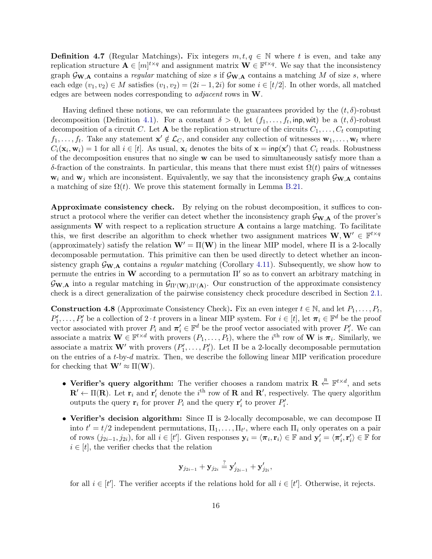**Definition 4.7** (Regular Matchings). Fix integers  $m, t, q \in \mathbb{N}$  where t is even, and take any replication structure  $\mathbf{A} \in [m]^{t \times q}$  and assignment matrix  $\mathbf{W} \in \mathbb{F}^{t \times q}$ . We say that the inconsistency graph  $\mathcal{G}_{\mathbf{W},\mathbf{A}}$  contains a regular matching of size s if  $\mathcal{G}_{\mathbf{W},\mathbf{A}}$  contains a matching M of size s, where each edge  $(v_1, v_2) \in M$  satisfies  $(v_1, v_2) = (2i - 1, 2i)$  for some  $i \in [t/2]$ . In other words, all matched edges are between nodes corresponding to adjacent rows in W.

Having defined these notions, we can reformulate the guarantees provided by the  $(t, \delta)$ -robust decomposition (Definition [4.1\)](#page-12-2). For a constant  $\delta > 0$ , let  $(f_1, \ldots, f_t, \text{inp}, \text{wit})$  be a  $(t, \delta)$ -robust decomposition of a circuit C. Let **A** be the replication structure of the circuits  $C_1, \ldots, C_t$  computing  $f_1,\ldots,f_t$ . Take any statement  $\mathbf{x}'\notin\mathcal{L}_C$ , and consider any collection of witnesses  $\mathbf{w}_1,\ldots,\mathbf{w}_t$  where  $C_i(\mathbf{x}_i, \mathbf{w}_i) = 1$  for all  $i \in [t]$ . As usual,  $\mathbf{x}_i$  denotes the bits of  $\mathbf{x} = \text{inp}(\mathbf{x}')$  that  $C_i$  reads. Robustness of the decomposition ensures that no single w can be used to simultaneously satisfy more than a δ-fraction of the constraints. In particular, this means that there must exist Ω(t) pairs of witnesses  $w_i$  and  $w_j$  which are inconsistent. Equivalently, we say that the inconsistency graph  $\mathcal{G}_{w,\mathbf{A}}$  contains a matching of size  $\Omega(t)$ . We prove this statement formally in Lemma [B.21.](#page-63-0)

Approximate consistency check. By relying on the robust decomposition, it suffices to construct a protocol where the verifier can detect whether the inconsistency graph  $\mathcal{G}_{\mathbf{W},\mathbf{A}}$  of the prover's assignments  $W$  with respect to a replication structure  $A$  contains a large matching. To facilitate this, we first describe an algorithm to check whether two assignment matrices  $\mathbf{W}, \mathbf{W}' \in \mathbb{F}^{t \times q}$ (approximately) satisfy the relation  $\mathbf{W}' = \Pi(\mathbf{W})$  in the linear MIP model, where  $\Pi$  is a 2-locally decomposable permutation. This primitive can then be used directly to detect whether an inconsistency graph  $\mathcal{G}_{\mathbf{W},\mathbf{A}}$  contains a *regular* matching (Corollary [4.11\)](#page-16-0). Subsequently, we show how to permute the entries in W according to a permutation  $\Pi'$  so as to convert an arbitrary matching in  $\mathcal{G}_{\mathbf{W},\mathbf{A}}$  into a regular matching in  $\mathcal{G}_{\Pi'(\mathbf{W}),\Pi'(\mathbf{A})}$ . Our construction of the approximate consistency check is a direct generalization of the pairwise consistency check procedure described in Section [2.1.](#page-8-0)

<span id="page-15-0"></span>**Construction 4.8** (Approximate Consistency Check). Fix an even integer  $t \in \mathbb{N}$ , and let  $P_1, \ldots, P_t$ ,  $P'_1, \ldots, P'_t$  be a collection of  $2 \cdot t$  provers in a linear MIP system. For  $i \in [t]$ , let  $\pi_i \in \mathbb{F}^d$  be the proof vector associated with prover  $P_i$  and  $\pi'_i \in \mathbb{F}^d$  be the proof vector associated with prover  $P'_i$ . We can associate a matrix  $\mathbf{W} \in \mathbb{F}^{t \times d}$  with provers  $(P_1, \ldots, P_t)$ , where the *i*<sup>th</sup> row of **W** is  $\boldsymbol{\pi}_i$ . Similarly, we associate a matrix **W'** with provers  $(P'_1, \ldots, P'_t)$ . Let  $\Pi$  be a 2-locally decomposable permutation on the entries of a t-by-d matrix. Then, we describe the following linear MIP verification procedure for checking that  $\mathbf{W}' \approx \Pi(\mathbf{W})$ .

- Verifier's query algorithm: The verifier chooses a random matrix  $\mathbf{R} \stackrel{R}{\leftarrow} \mathbb{F}^{t \times d}$ , and sets  $\mathbf{R}' \leftarrow \Pi(\mathbf{R})$ . Let  $\mathbf{r}_i$  and  $\mathbf{r}'_i$  denote the i<sup>th</sup> row of **R** and  $\mathbf{R}'$ , respectively. The query algorithm outputs the query  $\mathbf{r}_i$  for prover  $P_i$  and the query  $\mathbf{r}'_i$  to prover  $P'_i$ .
- Verifier's decision algorithm: Since  $\Pi$  is 2-locally decomposable, we can decompose  $\Pi$ into  $t' = t/2$  independent permutations,  $\Pi_1, \ldots, \Pi_{t'}$ , where each  $\Pi_i$  only operates on a pair of rows  $(j_{2i-1}, j_{2i})$ , for all  $i \in [t']$ . Given responses  $\mathbf{y}_i = \langle \boldsymbol{\pi}_i, \mathbf{r}_i \rangle \in \mathbb{F}$  and  $\mathbf{y}'_i = \langle \boldsymbol{\pi}'_i, \mathbf{r}'_i \rangle \in \mathbb{F}$  for  $i \in [t]$ , the verifier checks that the relation

$$
\mathbf{y}_{j_{2i-1}}+\mathbf{y}_{j_{2i}}\stackrel{?}{=}\mathbf{y}_{j_{2i-1}}'+\mathbf{y}_{j_{2i}}',
$$

for all  $i \in [t']$ . The verifier accepts if the relations hold for all  $i \in [t']$ . Otherwise, it rejects.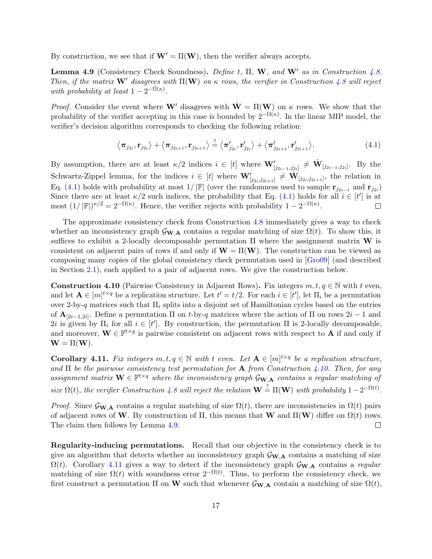By construction, we see that if  $\mathbf{W}' = \Pi(\mathbf{W})$ , then the verifier always accepts.

<span id="page-16-3"></span>Lemma 4.9 (Consistency Check Soundness). Define t,  $\Pi$ , W, and W' as in Construction [4.8.](#page-15-0) Then, if the matrix  $\mathbf{W}'$  disagrees with  $\Pi(\mathbf{W})$  on  $\kappa$  rows, the verifier in Construction [4.8](#page-15-0) will reject with probability at least  $1 - 2^{-\Omega(\kappa)}$ .

*Proof.* Consider the event where W' disagrees with  $\hat{\mathbf{W}} = \Pi(\mathbf{W})$  on  $\kappa$  rows. We show that the probability of the verifier accepting in this case is bounded by  $2^{-\Omega(\kappa)}$ . In the linear MIP model, the verifier's decision algorithm corresponds to checking the following relation:

<span id="page-16-1"></span>
$$
\langle \boldsymbol{\pi}_{j_{2i}}, \mathbf{r}_{j_{2i}} \rangle + \langle \boldsymbol{\pi}_{j_{2i+1}}, \mathbf{r}_{j_{2i+1}} \rangle \stackrel{?}{=} \langle \boldsymbol{\pi}'_{j_{2i}}, \mathbf{r}'_{j_{2i}} \rangle + \langle \boldsymbol{\pi}'_{j_{2i+1}}, \mathbf{r}'_{j_{2i+1}} \rangle. \tag{4.1}
$$

By assumption, there are at least  $\kappa/2$  indices  $i \in [t]$  where  $\mathbf{W}'_{[j_{2i-1},j_{2i}]} \neq \hat{\mathbf{W}}_{[j_{2i-1},j_{2i}]}$ . By the Schwartz-Zippel lemma, for the indices  $i \in [t]$  where  $\mathbf{W}'_{[j_{2i},j_{2i+1}]} \neq \hat{\mathbf{W}}_{[j_{2i},j_{2i+1}]}$ , the relation in Eq. [\(4.1\)](#page-16-1) holds with probability at most  $1/|\mathbb{F}|$  (over the randomness used to sample  $\mathbf{r}_{j_{2i-1}}$  and  $\mathbf{r}_{j_{2i}}$ ) Since there are at least  $\kappa/2$  such indices, the probability that Eq. [\(4.1\)](#page-16-1) holds for all  $i \in [t']$  is at most  $(1/|\mathbb{F}|)^{\kappa/2} = 2^{-\Omega(\kappa)}$ . Hence, the verifier rejects with probability  $1 - 2^{-\Omega(\kappa)}$ .  $\Box$ 

The approximate consistency check from Construction [4.8](#page-15-0) immediately gives a way to check whether an inconsistency graph  $\mathcal{G}_{\mathbf{W},\mathbf{A}}$  contains a regular matching of size  $\Omega(t)$ . To show this, it suffices to exhibit a 2-locally decomposable permutation  $\Pi$  where the assignment matrix **W** is consistent on adjacent pairs of rows if and only if  $W = \Pi(W)$ . The construction can be viewed as composing many copies of the global consistency check permutation used in [\[Gro09\]](#page-38-12) (and described in Section [2.1\)](#page-8-0), each applied to a pair of adjacent rows. We give the construction below.

<span id="page-16-2"></span>**Construction 4.10** (Pairwise Consistency in Adjacent Rows). Fix integers  $m, t, q \in \mathbb{N}$  with t even, and let  $\mathbf{A} \in [m]^{t \times q}$  be a replication structure. Let  $t' = t/2$ . For each  $i \in [t']$ , let  $\Pi_i$  be a permutation over 2-by-q matrices such that  $\Pi_i$  splits into a disjoint set of Hamiltonian cycles based on the entries of  $\mathbf{A}_{[2i-1,2i]}$ . Define a permutation  $\Pi$  on t-by-q matrices where the action of  $\Pi$  on rows  $2i-1$  and 2i is given by  $\Pi_i$  for all  $i \in [t']$ . By construction, the permutation  $\Pi$  is 2-locally decomposable, and moreover,  $\mathbf{W} \in \mathbb{F}^{t \times q}$  is pairwise consistent on adjacent rows with respect to **A** if and only if  $\mathbf{W} = \Pi(\mathbf{W}).$ 

<span id="page-16-0"></span>**Corollary 4.11.** Fix integers  $m, t, q \in \mathbb{N}$  with t even. Let  $A \in [m]^{t \times q}$  be a replication structure, and  $\Pi$  be the pairwise consistency test permutation for  $A$  from Construction [4.10.](#page-16-2) Then, for any assignment matrix  $\mathbf{W} \in \mathbb{F}^{t \times q}$  where the inconsistency graph  $\mathcal{G}_{\mathbf{W},A}$  contains a regular matching of size  $\Omega(t)$ , the verifier Construction [4.8](#page-15-0) will reject the relation  $\mathbf{W} \stackrel{?}{=} \Pi(\mathbf{W})$  with probability  $1-2^{-\Omega(t)}$ .

Proof. Since  $\mathcal{G}_{\mathbf{W},\mathbf{A}}$  contains a regular matching of size  $\Omega(t)$ , there are inconsistencies in  $\Omega(t)$  pairs of adjacent rows of W. By construction of  $\Pi$ , this means that W and  $\Pi(\mathbf{W})$  differ on  $\Omega(t)$  rows. The claim then follows by Lemma [4.9.](#page-16-3)  $\Box$ 

Regularity-inducing permutations. Recall that our objective in the consistency check is to give an algorithm that detects whether an inconsistency graph  $\mathcal{G}_{\mathbf{W},\mathbf{A}}$  contains a matching of size  $\Omega(t)$ . Corollary [4.11](#page-16-0) gives a way to detect if the inconsistency graph  $\mathcal{G}_{\mathbf{W},\mathbf{A}}$  contains a regular matching of size  $\Omega(t)$  with soundness error  $2^{-\Omega(t)}$ . Thus, to perform the consistency check, we first construct a permutation  $\Pi$  on W such that whenever  $\mathcal{G}_{\mathbf{W},\mathbf{A}}$  contain a matching of size  $\Omega(t)$ ,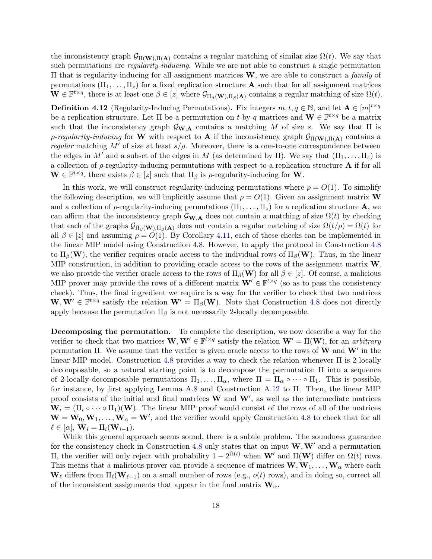the inconsistency graph  $\mathcal{G}_{\Pi(\mathbf{W}),\Pi(\mathbf{A})}$  contains a regular matching of similar size  $\Omega(t)$ . We say that such permutations are *regularity-inducing*. While we are not able to construct a single permutation  $\Pi$  that is regularity-inducing for all assignment matrices **W**, we are able to construct a *family* of permutations  $(\Pi_1, \ldots, \Pi_z)$  for a fixed replication structure **A** such that for all assignment matrices  $\mathbf{W} \in \mathbb{F}^{t \times q}$ , there is at least one  $\beta \in [z]$  where  $\mathcal{G}_{\Pi_{\beta}}(\mathbf{w}), \Pi_{\beta}(\mathbf{A})$  contains a regular matching of size  $\Omega(t)$ .

<span id="page-17-0"></span>**Definition 4.12** (Regularity-Inducing Permutations). Fix integers  $m, t, q \in \mathbb{N}$ , and let  $\mathbf{A} \in [m]^{t \times q}$ be a replication structure. Let  $\Pi$  be a permutation on t-by-q matrices and  $\mathbf{W} \in \mathbb{F}^{t \times q}$  be a matrix such that the inconsistency graph  $\mathcal{G}_{\mathbf{W},\mathbf{A}}$  contains a matching M of size s. We say that  $\Pi$  is ρ-regularity-inducing for W with respect to **A** if the inconsistency graph  $G_{\Pi(W),\Pi(A)}$  contains a regular matching M' of size at least  $s/\rho$ . Moreover, there is a one-to-one correspondence between the edges in M' and a subset of the edges in M (as determined by  $\Pi$ ). We say that  $(\Pi_1, \ldots, \Pi_z)$  is a collection of  $\rho$ -regularity-inducing permutations with respect to a replication structure **A** if for all  $\mathbf{W} \in \mathbb{F}^{t \times q}$ , there exists  $\beta \in [z]$  such that  $\Pi_{\beta}$  is  $\rho$ -regularity-inducing for **W**.

In this work, we will construct regularity-inducing permutations where  $\rho = O(1)$ . To simplify the following description, we will implicitly assume that  $\rho = O(1)$ . Given an assignment matrix **W** and a collection of  $\rho$ -regularity-inducing permutations  $(\Pi_1, \ldots, \Pi_z)$  for a replication structure **A**, we can affirm that the inconsistency graph  $\mathcal{G}_{\mathbf{W},\mathbf{A}}$  does not contain a matching of size  $\Omega(t)$  by checking that each of the graphs  $\mathcal{G}_{\Pi_{\beta}(\mathbf{W}),\Pi_{\beta}(\mathbf{A})}$  does not contain a regular matching of size  $\Omega(t/\rho) = \Omega(t)$  for all  $\beta \in [z]$  and assuming  $\rho = O(1)$ . By Corollary [4.11,](#page-16-0) each of these checks can be implemented in the linear MIP model using Construction [4.8.](#page-15-0) However, to apply the protocol in Construction [4.8](#page-15-0) to  $\Pi_\beta(\mathbf{W})$ , the verifier requires oracle access to the individual rows of  $\Pi_\beta(\mathbf{W})$ . Thus, in the linear MIP construction, in addition to providing oracle access to the rows of the assignment matrix  $W$ , we also provide the verifier oracle access to the rows of  $\Pi_\beta(\mathbf{W})$  for all  $\beta \in [z]$ . Of course, a malicious MIP prover may provide the rows of a different matrix  $\mathbf{W}' \in \mathbb{F}^{t \times q}$  (so as to pass the consistency check). Thus, the final ingredient we require is a way for the verifier to check that two matrices  $W, W' \in \mathbb{F}^{t \times q}$  satisfy the relation  $W' = \Pi_{\beta}(W)$ . Note that Construction [4.8](#page-15-0) does not directly apply because the permutation  $\Pi_{\beta}$  is not necessarily 2-locally decomposable.

Decomposing the permutation. To complete the description, we now describe a way for the verifier to check that two matrices  $\mathbf{W}, \mathbf{W}' \in \mathbb{F}^{t \times q}$  satisfy the relation  $\mathbf{W}' = \Pi(\mathbf{W})$ , for an arbitrary permutation II. We assume that the verifier is given oracle access to the rows of  $W$  and  $W'$  in the linear MIP model. Construction [4.8](#page-15-0) provides a way to check the relation whenever  $\Pi$  is 2-locally decomposable, so a natural starting point is to decompose the permutation  $\Pi$  into a sequence of 2-locally-decomposable permutations  $\Pi_1, \ldots, \Pi_\alpha$ , where  $\Pi = \Pi_\alpha \circ \cdots \circ \Pi_1$ . This is possible, for instance, by first applying Lemma [A.8](#page-43-0) and Construction [A.12](#page-44-0) to Π. Then, the linear MIP proof consists of the initial and final matrices  $W$  and  $W'$ , as well as the intermediate matrices  $W_i = (\Pi_i \circ \cdots \circ \Pi_1)(W)$ . The linear MIP proof would consist of the rows of all of the matrices  $\mathbf{W} = \mathbf{W}_0, \mathbf{W}_1, \dots, \mathbf{W}_\alpha = \mathbf{W}'$ , and the verifier would apply Construction [4.8](#page-15-0) to check that for all  $\ell \in [\alpha], \mathbf{W}_i = \Pi_i(\mathbf{W}_{i-1}).$ 

While this general approach seems sound, there is a subtle problem. The soundness guarantee for the consistency check in Construction [4.8](#page-15-0) only states that on input  $W, W'$  and a permutation II, the verifier will only reject with probability  $1-2^{\Omega(t)}$  when W' and  $\Pi(\mathbf{W})$  differ on  $\Omega(t)$  rows. This means that a malicious prover can provide a sequence of matrices  $\mathbf{W}, \mathbf{W}_1, \ldots, \mathbf{W}_{\alpha}$  where each  $\mathbf{W}_{\ell}$  differs from  $\Pi_{\ell}(\mathbf{W}_{\ell-1})$  on a small number of rows (e.g.,  $o(t)$  rows), and in doing so, correct all of the inconsistent assignments that appear in the final matrix  $\mathbf{W}_{\alpha}$ .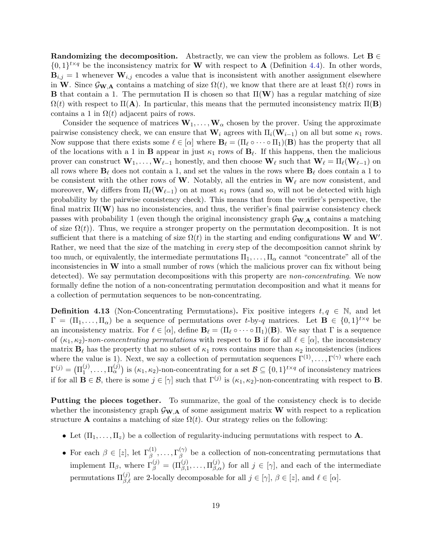Randomizing the decomposition. Abstractly, we can view the problem as follows. Let  $B \in$  $\{0,1\}^{t \times q}$  be the inconsistency matrix for **W** with respect to **A** (Definition [4.4\)](#page-14-1). In other words,  **whenever**  $**W**<sub>i,j</sub>$  **encodes a value that is inconsistent with another assignment elsewhere** in W. Since  $\mathcal{G}_{\mathbf{W},\mathbf{A}}$  contains a matching of size  $\Omega(t)$ , we know that there are at least  $\Omega(t)$  rows in **B** that contain a 1. The permutation  $\Pi$  is chosen so that  $\Pi(\mathbf{W})$  has a regular matching of size  $\Omega(t)$  with respect to  $\Pi(A)$ . In particular, this means that the permuted inconsistency matrix  $\Pi(B)$ contains a 1 in  $\Omega(t)$  adjacent pairs of rows.

Consider the sequence of matrices  $W_1, \ldots, W_\alpha$  chosen by the prover. Using the approximate pairwise consistency check, we can ensure that  $\mathbf{W}_i$  agrees with  $\Pi_i(\mathbf{W}_{i-1})$  on all but some  $\kappa_1$  rows. Now suppose that there exists some  $\ell \in [\alpha]$  where  $\mathbf{B}_{\ell} = (\Pi_{\ell} \circ \cdots \circ \Pi_{1})(\mathbf{B})$  has the property that all of the locations with a 1 in **B** appear in just  $\kappa_1$  rows of  $\mathbf{B}_\ell$ . If this happens, then the malicious prover can construct  $W_1, \ldots, W_{\ell-1}$  honestly, and then choose  $W_\ell$  such that  $W_\ell = \Pi_\ell(W_{\ell-1})$  on all rows where  $\mathbf{B}_\ell$  does not contain a 1, and set the values in the rows where  $\mathbf{B}_\ell$  does contain a 1 to be consistent with the other rows of W. Notably, all the entries in  $W_\ell$  are now consistent, and moreover,  $\mathbf{W}_{\ell}$  differs from  $\Pi_{\ell}(\mathbf{W}_{\ell-1})$  on at most  $\kappa_1$  rows (and so, will not be detected with high probability by the pairwise consistency check). This means that from the verifier's perspective, the final matrix  $\Pi(\mathbf{W})$  has no inconsistencies, and thus, the verifier's final pairwise consistency check passes with probability 1 (even though the original inconsistency graph  $\mathcal{G}_{\mathbf{W},\mathbf{A}}$  contains a matching of size  $\Omega(t)$ ). Thus, we require a stronger property on the permutation decomposition. It is not sufficient that there is a matching of size  $\Omega(t)$  in the starting and ending configurations W and W'. Rather, we need that the size of the matching in *every* step of the decomposition cannot shrink by too much, or equivalently, the intermediate permutations  $\Pi_1, \ldots, \Pi_\alpha$  cannot "concentrate" all of the inconsistencies in  $W$  into a small number of rows (which the malicious prover can fix without being detected). We say permutation decompositions with this property are *non-concentrating*. We now formally define the notion of a non-concentrating permutation decomposition and what it means for a collection of permutation sequences to be non-concentrating.

<span id="page-18-0"></span>**Definition 4.13** (Non-Concentrating Permutations). Fix positive integers  $t, q \in \mathbb{N}$ , and let  $\Gamma = (\Pi_1, \ldots, \Pi_\alpha)$  be a sequence of permutations over t-by-q matrices. Let  $\mathbf{B} \in \{0,1\}^{t \times q}$  be an inconsistency matrix. For  $\ell \in [\alpha]$ , define  $\mathbf{B}_{\ell} = (\Pi_{\ell} \circ \cdots \circ \Pi_{1})(\mathbf{B})$ . We say that  $\Gamma$  is a sequence of  $(\kappa_1, \kappa_2)$ -non-concentrating permutations with respect to **B** if for all  $\ell \in [\alpha]$ , the inconsistency matrix  $\mathbf{B}_{\ell}$  has the property that no subset of  $\kappa_1$  rows contains more than  $\kappa_2$  inconsistencies (indices where the value is 1). Next, we say a collection of permutation sequences  $\Gamma^{(1)}, \ldots, \Gamma^{(\gamma)}$  where each  $\Gamma^{(j)} = \bigl( \Pi^{(j)}_1$  $\mathcal{L}_{1}^{(j)},\ldots,\mathcal{L}_{\alpha}^{(j)}$  is  $(\kappa_1,\kappa_2)$ -non-concentrating for a set  $\mathcal{B}\subseteq\{0,1\}^{t\times q}$  of inconsistency matrices if for all  $\mathbf{B} \in \mathcal{B}$ , there is some  $j \in [\gamma]$  such that  $\Gamma^{(j)}$  is  $(\kappa_1, \kappa_2)$ -non-concentrating with respect to **B**.

Putting the pieces together. To summarize, the goal of the consistency check is to decide whether the inconsistency graph  $\mathcal{G}_{\mathbf{W},\mathbf{A}}$  of some assignment matrix W with respect to a replication structure **A** contains a matching of size  $\Omega(t)$ . Our strategy relies on the following:

- Let  $(\Pi_1, \ldots, \Pi_z)$  be a collection of regularity-inducing permutations with respect to **A**.
- For each  $\beta \in [z]$ , let  $\Gamma_{\beta}^{(1)}, \ldots, \Gamma_{\beta}^{(\gamma)}$  $\beta$  be a collection of non-concentrating permutations that implement  $\Pi_{\beta}$ , where  $\Gamma_{\beta}^{(j)} = (\Pi_{\beta,1}^{(j)}, \ldots, \Pi_{\beta,\alpha}^{(j)})$  for all  $j \in [\gamma]$ , and each of the intermediate permutations  $\Pi_{\beta,\ell}^{(j)}$  are 2-locally decomposable for all  $j \in [\gamma], \beta \in [z]$ , and  $\ell \in [\alpha]$ .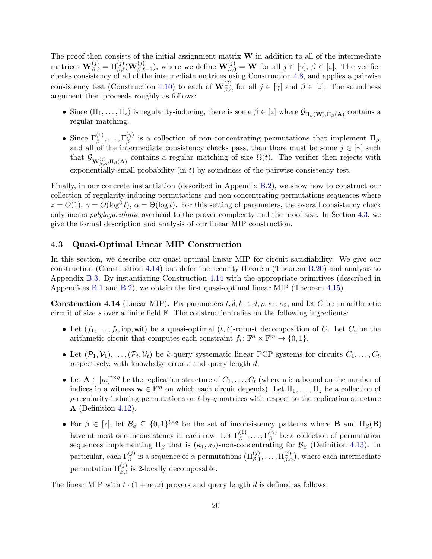The proof then consists of the initial assignment matrix  $W$  in addition to all of the intermediate matrices  $\mathbf{W}^{(j)}_{\beta,\ell} = \Pi^{(j)}_{\beta,\ell}(\mathbf{W}^{(j)}_{\beta,\ell-1}),$  where we define  $\mathbf{W}^{(j)}_{\beta,0} = \mathbf{W}$  for all  $j \in [\gamma], \beta \in [z]$ . The verifier checks consistency of all of the intermediate matrices using Construction [4.8,](#page-15-0) and applies a pairwise consistency test (Construction [4.10\)](#page-16-2) to each of  $\mathbf{W}_{\beta,\alpha}^{(j)}$  for all  $j \in [\gamma]$  and  $\beta \in [z]$ . The soundness argument then proceeds roughly as follows:

- Since  $(\Pi_1,\ldots,\Pi_z)$  is regularity-inducing, there is some  $\beta \in [z]$  where  $\mathcal{G}_{\Pi_\beta(\mathbf{W}),\Pi_\beta(\mathbf{A})}$  contains a regular matching.
- Since  $\Gamma_{\beta}^{(1)}, \ldots, \Gamma_{\beta}^{(\gamma)}$  $\beta_{\beta}^{(\gamma)}$  is a collection of non-concentrating permutations that implement  $\Pi_{\beta}$ , and all of the intermediate consistency checks pass, then there must be some  $j \in [\gamma]$  such that  $\mathcal{G}_{\mathbf{W}^{(j)}_{\beta,\alpha},\Pi_{\beta}(\mathbf{A})}$  contains a regular matching of size  $\Omega(t)$ . The verifier then rejects with exponentially-small probability (in  $t$ ) by soundness of the pairwise consistency test.

Finally, in our concrete instantiation (described in Appendix [B.2\)](#page-54-0), we show how to construct our collection of regularity-inducing permutations and non-concentrating permutations sequences where  $z = O(1), \gamma = O(\log^3 t), \alpha = \Theta(\log t)$ . For this setting of parameters, the overall consistency check only incurs polylogarithmic overhead to the prover complexity and the proof size. In Section [4.3,](#page-19-0) we give the formal description and analysis of our linear MIP construction.

#### <span id="page-19-0"></span>4.3 Quasi-Optimal Linear MIP Construction

In this section, we describe our quasi-optimal linear MIP for circuit satisfiability. We give our construction (Construction [4.14\)](#page-19-1) but defer the security theorem (Theorem [B.20\)](#page-62-0) and analysis to Appendix [B.3.](#page-62-1) By instantiating Construction [4.14](#page-19-1) with the appropriate primitives (described in Appendices [B.1](#page-50-0) and [B.2\)](#page-54-0), we obtain the first quasi-optimal linear MIP (Theorem [4.15\)](#page-21-0).

<span id="page-19-1"></span>**Construction 4.14** (Linear MIP). Fix parameters  $t, \delta, k, \epsilon, d, \rho, \kappa_1, \kappa_2$ , and let C be an arithmetic circuit of size s over a finite field  $\mathbb{F}$ . The construction relies on the following ingredients:

- Let  $(f_1, \ldots, f_t, \text{inp}, \text{wit})$  be a quasi-optimal  $(t, \delta)$ -robust decomposition of C. Let  $C_i$  be the arithmetic circuit that computes each constraint  $f_i: \mathbb{F}^n \times \mathbb{F}^m \to \{0, 1\}.$
- Let  $(\mathcal{P}_1, \mathcal{V}_1), \ldots, (\mathcal{P}_t, \mathcal{V}_t)$  be k-query systematic linear PCP systems for circuits  $C_1, \ldots, C_t$ , respectively, with knowledge error  $\varepsilon$  and query length d.
- Let  $A \in [m]^{t \times q}$  be the replication structure of  $C_1, \ldots, C_t$  (where q is a bound on the number of indices in a witness  $\mathbf{w} \in \mathbb{F}^m$  on which each circuit depends). Let  $\Pi_1, \ldots, \Pi_z$  be a collection of  $\rho$ -regularity-inducing permutations on t-by-q matrices with respect to the replication structure A (Definition [4.12\)](#page-17-0).
- For  $\beta \in [z]$ , let  $\mathcal{B}_{\beta} \subseteq \{0,1\}^{t \times q}$  be the set of inconsistency patterns where **B** and  $\Pi_{\beta}(\mathbf{B})$ have at most one inconsistency in each row. Let  $\Gamma_{\beta}^{(1)}, \ldots, \Gamma_{\beta}^{(\gamma)}$  $\beta^{\gamma}$  be a collection of permutation sequences implementing  $\Pi_\beta$  that is  $(\kappa_1, \kappa_2)$ -non-concentrating for  $\mathcal{B}_\beta$  (Definition [4.13\)](#page-18-0). In particular, each  $\Gamma_{\beta}^{(j)}$  is a sequence of  $\alpha$  permutations  $(\Pi_{\beta,1}^{(j)})$  $\prod_{\beta,1}^{(j)}, \ldots, \Pi_{\beta,\alpha}^{(j)}$ , where each intermediate permutation  $\Pi_{\beta,\ell}^{(j)}$  is 2-locally decomposable.

The linear MIP with  $t \cdot (1 + \alpha \gamma z)$  provers and query length d is defined as follows: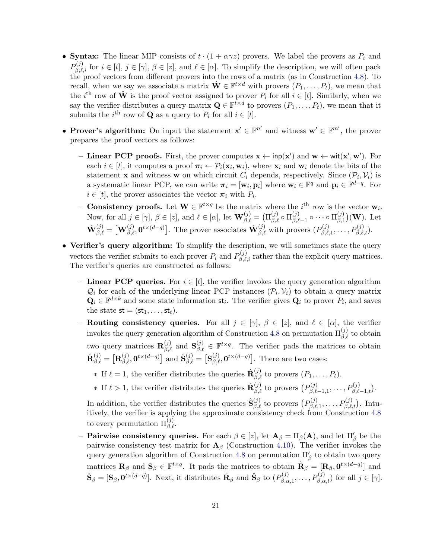- Syntax: The linear MIP consists of  $t \cdot (1 + \alpha \gamma z)$  provers. We label the provers as  $P_i$  and  $P_{\beta,\ell,i}^{(j)}$  for  $i \in [t], j \in [\gamma], \beta \in [z],$  and  $\ell \in [\alpha]$ . To simplify the description, we will often pack the proof vectors from different provers into the rows of a matrix (as in Construction [4.8\)](#page-15-0). To recall, when we say we associate a matrix  $\hat{\mathbf{W}} \in \mathbb{F}^{t \times d}$  with provers  $(P_1, \ldots, P_t)$ , we mean that the i<sup>th</sup> row of  $\hat{\mathbf{W}}$  is the proof vector assigned to prover  $P_i$  for all  $i \in [t]$ . Similarly, when we say the verifier distributes a query matrix  $\mathbf{Q} \in \mathbb{F}^{t \times d}$  to provers  $(P_1, \ldots, P_t)$ , we mean that it submits the  $i^{\text{th}}$  row of **Q** as a query to  $P_i$  for all  $i \in [t]$ .
- Prover's algorithm: On input the statement  $\mathbf{x}' \in \mathbb{F}^{n'}$  and witness  $\mathbf{w}' \in \mathbb{F}^{m'}$ , the prover prepares the proof vectors as follows:
	- Linear PCP proofs. First, the prover computes  $x \leftarrow \text{inp}(x')$  and  $w \leftarrow \text{wit}(x', w')$ . For each  $i \in [t]$ , it computes a proof  $\pi_i \leftarrow \mathcal{P}_i(\mathbf{x}_i, \mathbf{w}_i)$ , where  $\mathbf{x}_i$  and  $\mathbf{w}_i$  denote the bits of the statement **x** and witness **w** on which circuit  $C_i$  depends, respectively. Since  $(\mathcal{P}_i, \mathcal{V}_i)$  is a systematic linear PCP, we can write  $\pi_i = [\mathbf{w}_i, \mathbf{p}_i]$  where  $\mathbf{w}_i \in \mathbb{F}^q$  and  $\mathbf{p}_i \in \mathbb{F}^{d-q}$ . For  $i \in [t]$ , the prover associates the vector  $\pi_i$  with  $P_i$ .
	- Consistency proofs. Let  $\mathbf{W} \in \mathbb{F}^{t \times q}$  be the matrix where the i<sup>th</sup> row is the vector  $\mathbf{w}_i$ . Now, for all  $j \in [\gamma], \beta \in [z]$ , and  $\ell \in [\alpha],$  let  $\mathbf{W}^{(j)}_{\beta,\ell} = (\Pi^{(j)}_{\beta,\ell} \circ \Pi^{(j)}_{\beta,\ell})$  $\mu^{(j)}_{\beta,\ell-1}\circ\cdots\circ \Pi^{(j)}_{\beta,1}$  $\binom{(J)}{\beta,1}(\mathbf{W})$ . Let  $\hat{\mathbf{W}}_{\beta,\ell}^{(j)} = \left[\mathbf{W}_{\beta,\ell}^{(j)}, \mathbf{0}^{t \times (d-q)}\right]$ . The prover associates  $\hat{\mathbf{W}}_{\beta,\ell}^{(j)}$  with provers  $(P_{\beta,\ell}^{(j)})$  $P_{\beta,\ell,1}^{(j)},\ldots,P_{\beta,\ell,t}^{(j)}).$
- Verifier's query algorithm: To simplify the description, we will sometimes state the query vectors the verifier submits to each prover  $P_i$  and  $P_{\beta,\ell,i}^{(j)}$  rather than the explicit query matrices. The verifier's queries are constructed as follows:
	- Linear PCP queries. For  $i \in [t]$ , the verifier invokes the query generation algorithm  $\mathcal{Q}_i$  for each of the underlying linear PCP instances  $(\mathcal{P}_i, \mathcal{V}_i)$  to obtain a query matrix  $\mathbf{Q}_i \in \mathbb{F}^{d \times k}$  and some state information  $\mathsf{st}_i$ . The verifier gives  $\mathbf{Q}_i$  to prover  $P_i$ , and saves the state  $st = (st_1, \ldots, st_t)$ .
	- Routing consistency queries. For all  $j \in [\gamma], \beta \in [z]$ , and  $\ell \in [\alpha]$ , the verifier invokes the query generation algorithm of Construction [4.8](#page-15-0) on permutation  $\Pi_{\beta,\ell}^{(j)}$  to obtain two query matrices  $\mathbf{R}^{(j)}_{\beta,\ell}$  and  $\mathbf{S}^{(j)}_{\beta,\ell} \in \mathbb{F}^{t \times q}$ . The verifier pads the matrices to obtain  $\hat{\mathbf{R}}_{\beta,\ell}^{(j)} = \left[ \mathbf{R}_{\beta,\ell}^{(j)}, \mathbf{0}^{t \times (d-q)} \right]$  and  $\hat{\mathbf{S}}_{\beta,\ell}^{(j)} = \left[ \mathbf{S}_{\beta,\ell}^{(j)}, \mathbf{0}^{t \times (d-q)} \right]$ . There are two cases:
		- ∗ If  $\ell = 1$ , the verifier distributes the queries  $\hat{\mathbf{R}}_{\beta,\ell}^{(j)}$  to provers  $(P_1, \ldots, P_t)$ .
		- ∗ If  $\ell > 1$ , the verifier distributes the queries  $\hat{\mathbf{R}}_{\beta,\ell}^{(j)}$  to provers  $(P_{\beta,\ell}^{(j)})$  $P_{\beta,\ell-1,1}^{(j)},\ldots,P_{\beta,\ell-1,t}^{(j)}$ .

In addition, the verifier distributes the queries  $\hat{\mathbf{S}}_{\beta,\ell}^{(j)}$  to provers  $(P_{\beta,\ell}^{(j)})$  $P_{\beta,\ell,1}^{(j)},\ldots,P_{\beta,\ell,t}^{(j)}$ ). Intuitively, the verifier is applying the approximate consistency check from Construction [4.8](#page-15-0) to every permutation  $\Pi_{\beta,\ell}^{(j)}$ .

- **Pairwise consistency queries.** For each  $\beta \in [z]$ , let  $\mathbf{A}_{\beta} = \Pi_{\beta}(\mathbf{A})$ , and let  $\Pi_{\beta}'$  be the pairwise consistency test matrix for  $A_\beta$  (Construction [4.10\)](#page-16-2). The verifier invokes the query generation algorithm of Construction [4.8](#page-15-0) on permutation  $\Pi_{\beta}^{\prime}$  to obtain two query matrices  $\mathbf{R}_{\beta}$  and  $\mathbf{S}_{\beta} \in \mathbb{F}^{t \times q}$ . It pads the matrices to obtain  $\hat{\mathbf{R}}_{\beta} = [\mathbf{R}_{\beta}, \mathbf{0}^{t \times (d-q)}]$  and  $\hat{\mathbf{S}}_{\beta} = [\mathbf{S}_{\beta}, \mathbf{0}^{t \times (d-q)}].$  Next, it distributes  $\hat{\mathbf{R}}_{\beta}$  and  $\hat{\mathbf{S}}_{\beta}$  to  $(P_{\beta,\alpha}^{(j)})$  $p_{\beta,\alpha,1}^{(j)},\ldots,P_{\beta,\alpha,t}^{(j)}$  for all  $j \in [\gamma]$ .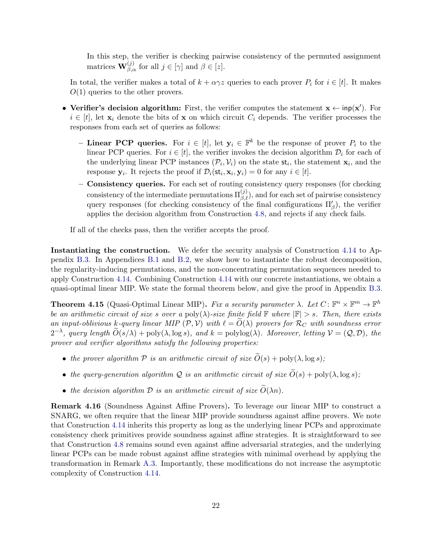In this step, the verifier is checking pairwise consistency of the permuted assignment matrices  $\mathbf{W}_{\beta,\alpha}^{(j)}$  for all  $j \in [\gamma]$  and  $\beta \in [z]$ .

In total, the verifier makes a total of  $k + \alpha \gamma z$  queries to each prover  $P_i$  for  $i \in [t]$ . It makes  $O(1)$  queries to the other provers.

- Verifier's decision algorithm: First, the verifier computes the statement  $x \leftarrow \text{inp}(x')$ . For  $i \in [t]$ , let  $\mathbf{x}_i$  denote the bits of x on which circuit  $C_i$  depends. The verifier processes the responses from each set of queries as follows:
	- Linear PCP queries. For  $i \in [t]$ , let  $y_i \in \mathbb{F}^k$  be the response of prover  $P_i$  to the linear PCP queries. For  $i \in [t]$ , the verifier invokes the decision algorithm  $\mathcal{D}_i$  for each of the underlying linear PCP instances  $(\mathcal{P}_i, \mathcal{V}_i)$  on the state  $st_i$ , the statement  $x_i$ , and the response  $y_i$ . It rejects the proof if  $\mathcal{D}_i(\mathsf{st}_i, \mathbf{x}_i, \mathbf{y}_i) = 0$  for any  $i \in [t]$ .
	- Consistency queries. For each set of routing consistency query responses (for checking consistency of the intermediate permutations  $\Pi_{\beta,\ell}^{(j)}$ , and for each set of pairwise consistency query responses (for checking consistency of the final configurations  $\Pi'_{\beta}$ ), the verifier applies the decision algorithm from Construction [4.8,](#page-15-0) and rejects if any check fails.

If all of the checks pass, then the verifier accepts the proof.

Instantiating the construction. We defer the security analysis of Construction [4.14](#page-19-1) to Appendix [B.3.](#page-62-1) In Appendices [B.1](#page-50-0) and [B.2,](#page-54-0) we show how to instantiate the robust decomposition, the regularity-inducing permutations, and the non-concentrating permutation sequences needed to apply Construction [4.14.](#page-19-1) Combining Construction [4.14](#page-19-1) with our concrete instantiations, we obtain a quasi-optimal linear MIP. We state the formal theorem below, and give the proof in Appendix [B.3.](#page-62-1)

<span id="page-21-0"></span>**Theorem 4.15** (Quasi-Optimal Linear MIP). Fix a security parameter  $\lambda$ . Let  $C: \mathbb{F}^n \times \mathbb{F}^m \to \mathbb{F}^h$ be an arithmetic circuit of size s over a poly( $\lambda$ )-size finite field  $\mathbb F$  where  $|\mathbb F| > s$ . Then, there exists an input-oblivious k-query linear MIP  $(\mathcal{P}, \mathcal{V})$  with  $\ell = O(\lambda)$  provers for  $\mathcal{R}_C$  with soundness error  $2^{-\lambda}$ , query length  $\widetilde{O}(s/\lambda) + \text{poly}(\lambda, \log s)$ , and  $k = \text{polylog}(\lambda)$ . Moreover, letting  $\mathcal{V} = (\mathcal{Q}, \mathcal{D})$ , the prover and verifier algorithms satisfy the following properties:

- the prover algorithm  $P$  is an arithmetic circuit of size  $\widetilde{O}(s) + \text{poly}(\lambda, \log s)$ ;
- the query-generation algorithm Q is an arithmetic circuit of size  $\widetilde{O}(s) + \text{poly}(\lambda, \log s)$ ;
- the decision algorithm  $\mathcal D$  is an arithmetic circuit of size  $\widetilde{O}(\lambda n)$ .

Remark 4.16 (Soundness Against Affine Provers). To leverage our linear MIP to construct a SNARG, we often require that the linear MIP provide soundness against affine provers. We note that Construction [4.14](#page-19-1) inherits this property as long as the underlying linear PCPs and approximate consistency check primitives provide soundness against affine strategies. It is straightforward to see that Construction [4.8](#page-15-0) remains sound even against affine adversarial strategies, and the underlying linear PCPs can be made robust against affine strategies with minimal overhead by applying the transformation in Remark [A.3.](#page-41-1) Importantly, these modifications do not increase the asymptotic complexity of Construction [4.14.](#page-19-1)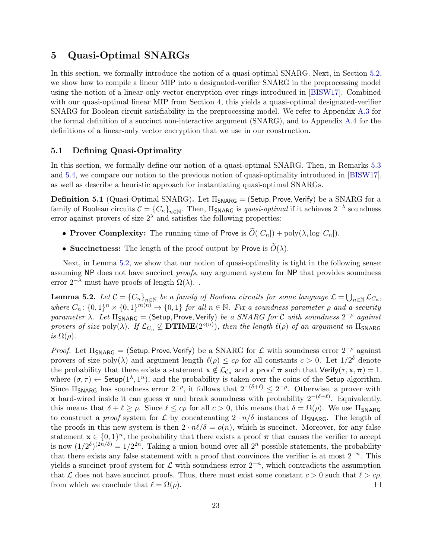## <span id="page-22-2"></span>5 Quasi-Optimal SNARGs

In this section, we formally introduce the notion of a quasi-optimal SNARG. Next, in Section [5.2,](#page-23-2) we show how to compile a linear MIP into a designated-verifier SNARG in the preprocessing model using the notion of a linear-only vector encryption over rings introduced in [\[BISW17\]](#page-37-3). Combined with our quasi-optimal linear MIP from Section [4,](#page-12-0) this yields a quasi-optimal designated-verifier SNARG for Boolean circuit satisfiability in the preprocessing model. We refer to Appendix [A.3](#page-46-0) for the formal definition of a succinct non-interactive argument (SNARG), and to Appendix [A.4](#page-47-0) for the definitions of a linear-only vector encryption that we use in our construction.

#### <span id="page-22-0"></span>5.1 Defining Quasi-Optimality

In this section, we formally define our notion of a quasi-optimal SNARG. Then, in Remarks [5.3](#page-23-0) and [5.4,](#page-23-1) we compare our notion to the previous notion of quasi-optimality introduced in [\[BISW17\]](#page-37-3), as well as describe a heuristic approach for instantiating quasi-optimal SNARGs.

<span id="page-22-3"></span>**Definition 5.1** (Quasi-Optimal SNARG). Let  $\Pi_{\text{SNARG}} = (\text{Setup}, \text{Prove}, \text{Verify})$  be a SNARG for a family of Boolean circuits  $C = \{C_n\}_{n\in\mathbb{N}}$ . Then,  $\Pi$ <sub>SNARG</sub> is *quasi-optimal* if it achieves  $2^{-\lambda}$  soundness error against provers of size  $2^{\lambda}$  and satisfies the following properties:

- Prover Complexity: The running time of Prove is  $\widetilde{O}(|C_n|) + \text{poly}(\lambda, \log |C_n|)$ .
- Succinctness: The length of the proof output by Prove is  $\tilde{O}(\lambda)$ .

Next, in Lemma [5.2,](#page-22-1) we show that our notion of quasi-optimality is tight in the following sense: assuming NP does not have succinct *proofs*, any argument system for NP that provides soundness error  $2^{-\lambda}$  must have proofs of length  $\Omega(\lambda)$ .

<span id="page-22-1"></span>**Lemma 5.2.** Let  $C = {C_n}_{n \in \mathbb{N}}$  be a family of Boolean circuits for some language  $\mathcal{L} = \bigcup_{n \in \mathbb{N}} \mathcal{L}_{C_n}$ , where  $C_n$ :  $\{0,1\}^n \times \{0,1\}^{m(n)} \to \{0,1\}$  for all  $n \in \mathbb{N}$ . Fix a soundness parameter  $\rho$  and a security parameter  $\lambda$ . Let  $\Pi_{\mathsf{SNARG}} = (\mathsf{Setup}, \mathsf{Prove}, \mathsf{Verify})$  be a SNARG for C with soundness  $2^{-\rho}$  against provers of size  $poly(\lambda)$ . If  $\mathcal{L}_{C_n} \not\subseteq \mathbf{DTIME}(2^{o(n)})$ , then the length  $\ell(\rho)$  of an argument in  $\Pi_{\mathsf{SNARG}}$ is  $\Omega(\rho)$ .

Proof. Let  $\Pi_{\text{SNARG}} = (\textsf{Setup}, \textsf{Prove}, \textsf{Verify})$  be a SNARG for  $\mathcal L$  with soundness error  $2^{-\rho}$  against provers of size poly( $\lambda$ ) and argument length  $\ell(\rho) \leq c\rho$  for all constants  $c > 0$ . Let  $1/2^{\delta}$  denote the probability that there exists a statement  $\mathbf{x} \notin \mathcal{L}_{\mathcal{C}_n}$  and a proof  $\pi$  such that Verify( $\tau, \mathbf{x}, \pi$ ) = 1, where  $(\sigma, \tau) \leftarrow$  Setup $(1^{\lambda}, 1^n)$ , and the probability is taken over the coins of the Setup algorithm. Since  $\Pi_{\mathsf{SNARG}}$  has soundness error  $2^{-\rho}$ , it follows that  $2^{-(\delta+\ell)} \leq 2^{-\rho}$ . Otherwise, a prover with x hard-wired inside it can guess  $\pi$  and break soundness with probability  $2^{-(\delta+\ell)}$ . Equivalently, this means that  $\delta + \ell \ge \rho$ . Since  $\ell \le c\rho$  for all  $c > 0$ , this means that  $\delta = \Omega(\rho)$ . We use  $\Pi_{\mathsf{SNARG}}$ to construct a proof system for L by concatenating  $2 \cdot n/\delta$  instances of  $\Pi_{\text{SNARG}}$ . The length of the proofs in this new system is then  $2 \cdot n\ell/\delta = o(n)$ , which is succinct. Moreover, for any false statement  $\mathbf{x} \in \{0,1\}^n$ , the probability that there exists a proof  $\pi$  that causes the verifier to accept is now  $(1/2^{\delta})^{(2n/\delta)} = 1/2^{2n}$ . Taking a union bound over all  $2^n$  possible statements, the probability that there exists any false statement with a proof that convinces the verifier is at most  $2^{-n}$ . This yields a succinct proof system for  $\mathcal L$  with soundness error  $2^{-n}$ , which contradicts the assumption that L does not have succinct proofs. Thus, there must exist some constant  $c > 0$  such that  $\ell > c\rho$ , from which we conclude that  $\ell = \Omega(\rho)$ .  $\Box$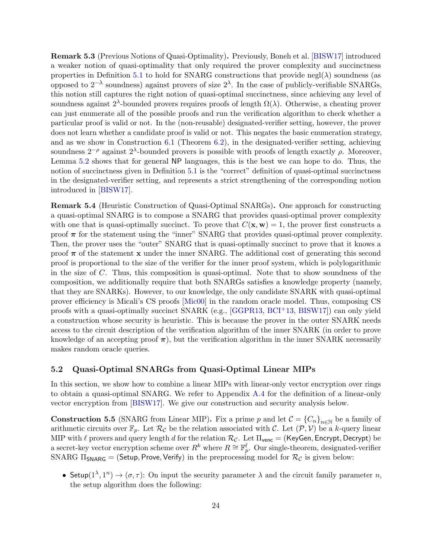<span id="page-23-0"></span>Remark 5.3 (Previous Notions of Quasi-Optimality). Previously, Boneh et al. [\[BISW17\]](#page-37-3) introduced a weaker notion of quasi-optimality that only required the prover complexity and succinctness properties in Definition [5.1](#page-22-3) to hold for SNARG constructions that provide negl( $\lambda$ ) soundness (as opposed to  $2^{-\lambda}$  soundness) against provers of size  $2^{\lambda}$ . In the case of publicly-verifiable SNARGs, this notion still captures the right notion of quasi-optimal succinctness, since achieving any level of soundness against  $2^{\lambda}$ -bounded provers requires proofs of length  $\Omega(\lambda)$ . Otherwise, a cheating prover can just enumerate all of the possible proofs and run the verification algorithm to check whether a particular proof is valid or not. In the (non-reusable) designated-verifier setting, however, the prover does not learn whether a candidate proof is valid or not. This negates the basic enumeration strategy, and as we show in Construction [6.1](#page-27-1) (Theorem [6.2\)](#page-28-0), in the designated-verifier setting, achieving soundness  $2^{-\rho}$  against  $2^{\lambda}$ -bounded provers is possible with proofs of length exactly  $\rho$ . Moreover, Lemma [5.2](#page-22-1) shows that for general NP languages, this is the best we can hope to do. Thus, the notion of succinctness given in Definition [5.1](#page-22-3) is the "correct" definition of quasi-optimal succinctness in the designated-verifier setting, and represents a strict strengthening of the corresponding notion introduced in [\[BISW17\]](#page-37-3).

<span id="page-23-1"></span>Remark 5.4 (Heuristic Construction of Quasi-Optimal SNARGs). One approach for constructing a quasi-optimal SNARG is to compose a SNARG that provides quasi-optimal prover complexity with one that is quasi-optimally succinct. To prove that  $C(\mathbf{x}, \mathbf{w}) = 1$ , the prover first constructs a proof  $\pi$  for the statement using the "inner" SNARG that provides quasi-optimal prover complexity. Then, the prover uses the "outer" SNARG that is quasi-optimally succinct to prove that it knows a proof  $\pi$  of the statement x under the inner SNARG. The additional cost of generating this second proof is proportional to the size of the verifier for the inner proof system, which is polylogarithmic in the size of C. Thus, this composition is quasi-optimal. Note that to show soundness of the composition, we additionally require that both SNARGs satisfies a knowledge property (namely, that they are SNARKs). However, to our knowledge, the only candidate SNARK with quasi-optimal prover efficiency is Micali's CS proofs [\[Mic00\]](#page-39-3) in the random oracle model. Thus, composing CS proofs with a quasi-optimally succinct SNARK (e.g., [\[GGPR13,](#page-38-5) [BCI](#page-36-3)+13, [BISW17\]](#page-37-3)) can only yield a construction whose security is heuristic. This is because the prover in the outer SNARK needs access to the circuit description of the verification algorithm of the inner SNARK (in order to prove knowledge of an accepting proof  $\pi$ ), but the verification algorithm in the inner SNARK necessarily makes random oracle queries.

#### <span id="page-23-2"></span>5.2 Quasi-Optimal SNARGs from Quasi-Optimal Linear MIPs

In this section, we show how to combine a linear MIPs with linear-only vector encryption over rings to obtain a quasi-optimal SNARG. We refer to Appendix [A.4](#page-47-0) for the definition of a linear-only vector encryption from [\[BISW17\]](#page-37-3). We give our construction and security analysis below.

<span id="page-23-3"></span>**Construction 5.5** (SNARG from Linear MIP). Fix a prime p and let  $C = \{C_n\}_{n\in\mathbb{N}}$  be a family of arithmetic circuits over  $\mathbb{F}_p$ . Let  $\mathcal{R}_{\mathcal{C}}$  be the relation associated with C. Let  $(\mathcal{P}, \mathcal{V})$  be a k-query linear MIP with  $\ell$  provers and query length d for the relation  $\mathcal{R}_{\mathcal{C}}$ . Let  $\Pi_{\text{venc}} =$  (KeyGen, Encrypt, Decrypt) be a secret-key vector encryption scheme over  $R^k$  where  $R \cong \mathbb{F}_p^{\ell}$ . Our single-theorem, designated-verifier SNARG  $\Pi_{\text{SNARG}} = (\text{Setup}, \text{Prove}, \text{Verify})$  in the preprocessing model for  $\mathcal{R}_{\mathcal{C}}$  is given below:

• Setup( $1^{\lambda}, 1^n$ )  $\rightarrow (\sigma, \tau)$ : On input the security parameter  $\lambda$  and the circuit family parameter n, the setup algorithm does the following: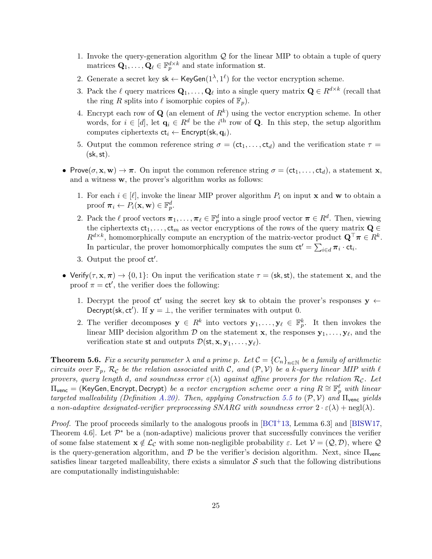- 1. Invoke the query-generation algorithm  $\mathcal Q$  for the linear MIP to obtain a tuple of query matrices  $\mathbf{Q}_1, \ldots, \mathbf{Q}_{\ell} \in \mathbb{F}_p^{d \times k}$  and state information st.
- 2. Generate a secret key  $sk \leftarrow \text{KeyGen}(1^{\lambda}, 1^{\ell})$  for the vector encryption scheme.
- 3. Pack the  $\ell$  query matrices  $\mathbf{Q}_1, \ldots, \mathbf{Q}_\ell$  into a single query matrix  $\mathbf{Q} \in R^{d \times k}$  (recall that the ring R splits into  $\ell$  isomorphic copies of  $\mathbb{F}_n$ .
- 4. Encrypt each row of  $\mathbf{Q}$  (an element of  $R^k$ ) using the vector encryption scheme. In other words, for  $i \in [d]$ , let  $\mathbf{q}_i \in R^d$  be the i<sup>th</sup> row of **Q**. In this step, the setup algorithm computes ciphertexts  $ct_i \leftarrow$  Encrypt(sk,  $q_i$ ).
- 5. Output the common reference string  $\sigma = (ct_1, \ldots, ct_d)$  and the verification state  $\tau =$  $(\mathsf{sk}, \mathsf{st}).$
- Prove $(\sigma, \mathbf{x}, \mathbf{w}) \to \pi$ . On input the common reference string  $\sigma = (\mathsf{ct}_1, \dots, \mathsf{ct}_d)$ , a statement **x**, and a witness w, the prover's algorithm works as follows:
	- 1. For each  $i \in [\ell]$ , invoke the linear MIP prover algorithm  $P_i$  on input **x** and **w** to obtain a proof  $\boldsymbol{\pi}_i \leftarrow P_i(\mathbf{x}, \mathbf{w}) \in \mathbb{F}_p^d$ .
	- 2. Pack the  $\ell$  proof vectors  $\boldsymbol{\pi}_1, \ldots, \boldsymbol{\pi}_{\ell} \in \mathbb{F}_p^d$  into a single proof vector  $\boldsymbol{\pi} \in R^d$ . Then, viewing the ciphertexts  $ct_1, \ldots, ct_m$  as vector encryptions of the rows of the query matrix  $Q \in$  $R^{d \times k}$ , homomorphically compute an encryption of the matrix-vector product  $\mathbf{Q}^{\top} \boldsymbol{\pi} \in R^{k}$ . In particular, the prover homomorphically computes the sum  $ct' = \sum_{i \in d} \pi_i \cdot ct_i$ .
	- 3. Output the proof ct'.
- Verify( $\tau, \mathbf{x}, \pi$ )  $\rightarrow$  {0,1}: On input the verification state  $\tau = (\mathsf{sk}, \mathsf{st})$ , the statement x, and the proof  $\pi = ct'$ , the verifier does the following:
	- 1. Decrypt the proof ct' using the secret key sk to obtain the prover's responses  $y \leftarrow$ Decrypt(sk, ct'). If  $y = \perp$ , the verifier terminates with output 0.
	- 2. The verifier decomposes  $y \in R^k$  into vectors  $y_1, \ldots, y_\ell \in \mathbb{F}_p^k$ . It then invokes the linear MIP decision algorithm  $D$  on the statement **x**, the responses  $y_1, \ldots, y_\ell$ , and the verification state st and outputs  $\mathcal{D}(\mathsf{st}, \mathbf{x}, \mathbf{y}_1, \dots, \mathbf{y}_\ell).$

**Theorem 5.6.** Fix a security parameter  $\lambda$  and a prime p. Let  $C = \{C_n\}_{n\in\mathbb{N}}$  be a family of arithmetic circuits over  $\mathbb{F}_p$ ,  $\mathcal{R}_\mathcal{C}$  be the relation associated with C, and  $(\mathcal{P}, \mathcal{V})$  be a k-query linear MIP with  $\ell$ provers, query length d, and soundness error  $\varepsilon(\lambda)$  against affine provers for the relation  $\mathcal{R}_{\mathcal{C}}$ . Let  $\Pi_{\mathsf{venc}} = (\mathsf{KeyGen}, \mathsf{Encrypt}, \mathsf{Decrypt})$  be a vector encryption scheme over a ring  $R \cong \mathbb{F}_p^\ell$  with linear targeted malleability (Definition [A.20\)](#page-48-0). Then, applying Construction [5.5](#page-23-3) to  $(\mathcal{P}, \mathcal{V})$  and  $\Pi_{\text{venc}}$  yields a non-adaptive designated-verifier preprocessing SNARG with soundness error  $2 \cdot \varepsilon(\lambda) + \text{negl}(\lambda)$ .

*Proof.* The proof proceeds similarly to the analogous proofs in  $[BCI^+13, Lemma 6.3]$  and  $[BISW17, ]$ Theorem 4.6. Let  $\mathcal{P}^*$  be a (non-adaptive) malicious prover that successfully convinces the verifier of some false statement  $x \notin L_{\mathcal{C}}$  with some non-negligible probability  $\varepsilon$ . Let  $\mathcal{V} = (\mathcal{Q}, \mathcal{D})$ , where  $\mathcal{Q}$ is the query-generation algorithm, and  $\mathcal D$  be the verifier's decision algorithm. Next, since  $\Pi_{\text{venc}}$ satisfies linear targeted malleability, there exists a simulator  $S$  such that the following distributions are computationally indistinguishable: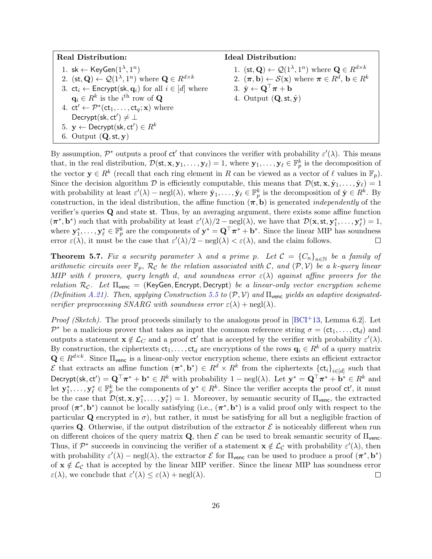| <b>Real Distribution:</b>                                                                                     | <b>Ideal Distribution:</b>                                                                                    |
|---------------------------------------------------------------------------------------------------------------|---------------------------------------------------------------------------------------------------------------|
| 1. sk $\leftarrow$ KeyGen $(1^{\lambda}, 1^n)$                                                                | 1. $(\mathsf{st}, \mathbf{Q}) \leftarrow \mathcal{Q}(1^{\lambda}, 1^n)$ where $\mathbf{Q} \in R^{d \times k}$ |
| 2. $(\mathsf{st}, \mathbf{Q}) \leftarrow \mathcal{Q}(1^{\lambda}, 1^n)$ where $\mathbf{Q} \in R^{d \times k}$ | 2. $(\pi, \mathbf{b}) \leftarrow \mathcal{S}(\mathbf{x})$ where $\pi \in R^d$ , $\mathbf{b} \in R^k$          |
| 3. $ct_i \leftarrow$ Encrypt(sk, $q_i$ ) for all $i \in [d]$ where                                            | 3. $\hat{\mathbf{y}} \leftarrow \mathbf{Q}^{\top} \boldsymbol{\pi} + \mathbf{b}$                              |
| $\mathbf{q}_i \in R^k$ is the <i>i</i> <sup>th</sup> row of <b>Q</b>                                          | 4. Output $(Q, st, \hat{y})$                                                                                  |
| 4. $ct' \leftarrow \mathcal{P}^*(ct_1, \ldots, ct_q; \mathbf{x})$ where                                       |                                                                                                               |
| Decrypt(sk, ct') $\neq \bot$                                                                                  |                                                                                                               |
| 5. $y \leftarrow$ Decrypt(sk, ct') $\in R^k$                                                                  |                                                                                                               |
| 6. Output $(Q, st, y)$                                                                                        |                                                                                                               |

By assumption,  $\mathcal{P}^*$  outputs a proof ct' that convinces the verifier with probability  $\varepsilon'(\lambda)$ . This means that, in the real distribution,  $\mathcal{D}(\mathsf{st}, \mathbf{x}, \mathbf{y}_1, \dots, \mathbf{y}_\ell) = 1$ , where  $\mathbf{y}_1, \dots, \mathbf{y}_\ell \in \mathbb{F}_p^k$  is the decomposition of the vector  $y \in R^k$  (recall that each ring element in R can be viewed as a vector of  $\ell$  values in  $\mathbb{F}_p$ ). Since the decision algorithm  $\mathcal D$  is efficiently computable, this means that  $\mathcal D(\mathsf{st}, \mathbf x, \hat{\mathbf{y}}_1, \dots, \hat{\mathbf{y}}_\ell) = 1$ with probability at least  $\varepsilon'(\lambda) - \text{negl}(\lambda)$ , where  $\hat{\mathbf{y}}_1, \ldots, \hat{\mathbf{y}}_\ell \in \mathbb{F}_p^k$  is the decomposition of  $\hat{\mathbf{y}} \in R^k$ . By construction, in the ideal distribution, the affine function  $(\pi, b)$  is generated *independently* of the verifier's queries Q and state st. Thus, by an averaging argument, there exists some affine function  $(\pi^*, \mathbf{b}^*)$  such that with probability at least  $\varepsilon'(\lambda)/2 - \text{negl}(\lambda)$ , we have that  $\mathcal{D}(\mathbf{x}, \mathsf{st}, \mathbf{y}_1^*, \dots, \mathbf{y}_\ell^*) = 1$ , where  $\mathbf{y}_1^*,\ldots,\mathbf{y}_{\ell}^* \in \mathbb{F}_p^k$  are the components of  $\mathbf{y}^* = \mathbf{Q}^\top \boldsymbol{\pi}^* + \mathbf{b}^*$ . Since the linear MIP has soundness error  $\varepsilon(\lambda)$ , it must be the case that  $\varepsilon'(\lambda)/2 - \text{negl}(\lambda) < \varepsilon(\lambda)$ , and the claim follows.  $\Box$ 

**Theorem 5.7.** Fix a security parameter  $\lambda$  and a prime p. Let  $C = {C_n}_{n \in \mathbb{N}}$  be a family of arithmetic circuits over  $\mathbb{F}_p$ ,  $\mathcal{R}_\mathcal{C}$  be the relation associated with C, and  $(\mathcal{P}, \mathcal{V})$  be a k-query linear MIP with  $\ell$  provers, query length d, and soundness error  $\varepsilon(\lambda)$  against affine provers for the relation  $\mathcal{R}_{\mathcal{C}}$ . Let  $\Pi_{\text{venc}} = (\text{KeyGen}, \text{Energy}, \text{Decrypt})$  be a linear-only vector encryption scheme (Definition [A.21\)](#page-48-1). Then, applying Construction [5.5](#page-23-3) to  $(\mathcal{P}, \mathcal{V})$  and  $\Pi_{\text{venc}}$  yields an adaptive designatedverifier preprocessing SNARG with soundness error  $\varepsilon(\lambda) + \text{negl}(\lambda)$ .

*Proof (Sketch).* The proof proceeds similarly to the analogous proof in  $[BCI<sup>+</sup>13$ , Lemma 6.2]. Let  $\mathcal{P}^*$  be a malicious prover that takes as input the common reference string  $\sigma = (ct_1, \ldots, ct_d)$  and outputs a statement  $\mathbf{x} \notin \mathcal{L}_C$  and a proof ct' that is accepted by the verifier with probability  $\varepsilon'(\lambda)$ . By construction, the ciphertexts  $ct_1, \ldots, ct_d$  are encryptions of the rows  $q_i \in R^k$  of a query matrix  $\mathbf{Q} \in R^{d \times k}$ . Since  $\Pi_{\text{venc}}$  is a linear-only vector encryption scheme, there exists an efficient extractor E that extracts an affine function  $(\pi^*, \mathbf{b}^*) \in R^d \times R^k$  from the ciphertexts  $\{\text{ct}_i\}_{i \in [d]}$  such that Decrypt(sk, ct') =  $\mathbf{Q}^\top \boldsymbol{\pi}^* + \mathbf{b}^* \in R^k$  with probability  $1 - \text{negl}(\lambda)$ . Let  $\mathbf{y}^* = \mathbf{Q}^\top \boldsymbol{\pi}^* + \mathbf{b}^* \in R^k$  and let  $\mathbf{y}_1^*,\ldots,\mathbf{y}_{\ell}^* \in \mathbb{F}_p^k$  be the components of  $\mathbf{y}^* \in R^k$ . Since the verifier accepts the proof  $ct'$ , it must be the case that  $\mathcal{D}(\mathsf{st}, \mathbf{x}, \mathbf{y}_1^*, \dots, \mathbf{y}_\ell^*) = 1$ . Moreover, by semantic security of  $\Pi_{\text{venc}}$ , the extracted proof  $(\pi^*, \mathbf{b}^*)$  cannot be locally satisfying (i.e.,  $(\pi^*, \mathbf{b}^*)$  is a valid proof only with respect to the particular Q encrypted in  $\sigma$ ), but rather, it must be satisfying for all but a negligible fraction of queries Q. Otherwise, if the output distribution of the extractor  $\mathcal E$  is noticeably different when run on different choices of the query matrix  $\mathbf{Q}$ , then  $\mathcal E$  can be used to break semantic security of  $\Pi_{\text{venc}}$ . Thus, if  $\mathcal{P}^*$  succeeds in convincing the verifier of a statement  $\mathbf{x} \notin \mathcal{L}_{\mathcal{C}}$  with probability  $\varepsilon'(\lambda)$ , then with probability  $\varepsilon'(\lambda)$  – negl( $\lambda$ ), the extractor  $\mathcal E$  for  $\Pi_{\text{venc}}$  can be used to produce a proof  $(\pi^*, \mathbf b^*)$ of  $x \notin \mathcal{L}_{\mathcal{C}}$  that is accepted by the linear MIP verifier. Since the linear MIP has soundness error  $\varepsilon(\lambda)$ , we conclude that  $\varepsilon'(\lambda) \leq \varepsilon(\lambda) + \text{negl}(\lambda)$ .  $\Box$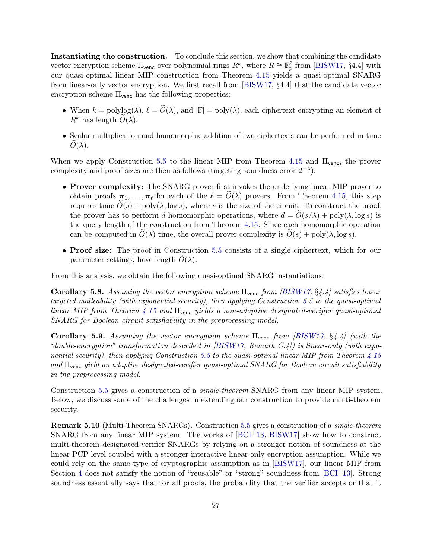Instantiating the construction. To conclude this section, we show that combining the candidate vector encryption scheme  $\Pi_{\text{venc}}$  over polynomial rings  $R^k$ , where  $R \cong \mathbb{F}_p^{\ell}$  from [\[BISW17,](#page-37-3) §4.4] with our quasi-optimal linear MIP construction from Theorem [4.15](#page-21-0) yields a quasi-optimal SNARG from linear-only vector encryption. We first recall from [\[BISW17,](#page-37-3) §4.4] that the candidate vector encryption scheme  $\Pi_{\text{venc}}$  has the following properties:

- When  $k = \text{polylog}(\lambda)$ ,  $\ell = \widetilde{O}(\lambda)$ , and  $|\mathbb{F}| = \text{poly}(\lambda)$ , each ciphertext encrypting an element of  $R^k$  has length  $O(\lambda)$ .
- Scalar multiplication and homomorphic addition of two ciphertexts can be performed in time  $O(\lambda)$ .

When we apply Construction [5.5](#page-23-3) to the linear MIP from Theorem [4.15](#page-21-0) and  $\Pi_{\text{venc}}$ , the prover complexity and proof sizes are then as follows (targeting soundness error  $2^{-\lambda}$ ):

- Prover complexity: The SNARG prover first invokes the underlying linear MIP prover to obtain proofs  $\pi_1, \ldots, \pi_\ell$  for each of the  $\ell = O(\lambda)$  provers. From Theorem [4.15,](#page-21-0) this step requires time  $\tilde{O}(s)$  + poly( $\lambda$ , log s), where s is the size of the circuit. To construct the proof, the prover has to perform d homomorphic operations, where  $d = O(s/\lambda) + \text{poly}(\lambda, \log s)$  is the query length of the construction from Theorem [4.15.](#page-21-0) Since each homomorphic operation can be computed in  $O(\lambda)$  time, the overall prover complexity is  $O(s) + \text{poly}(\lambda, \log s)$ .
- Proof size: The proof in Construction [5.5](#page-23-3) consists of a single ciphertext, which for our parameter settings, have length  $O(\lambda)$ .

From this analysis, we obtain the following quasi-optimal SNARG instantiations:

<span id="page-26-0"></span>**Corollary 5.8.** Assuming the vector encryption scheme  $\Pi_{\text{venc}}$  from [\[BISW17,](#page-37-3) §4.4] satisfies linear targeted malleability (with exponential security), then applying Construction [5.5](#page-23-3) to the quasi-optimal linear MIP from Theorem [4.15](#page-21-0) and  $\Pi_{\text{venc}}$  yields a non-adaptive designated-verifier quasi-optimal SNARG for Boolean circuit satisfiability in the preprocessing model.

<span id="page-26-1"></span>Corollary 5.9. Assuming the vector encryption scheme  $\Pi_{\text{venc}}$  from [\[BISW17,](#page-37-3) §4.4] (with the "double-encryption" transformation described in  $\overline{BISW17}$ , Remark  $C.4$ ) is linear-only (with expo-nential security), then applying Construction [5.5](#page-23-3) to the quasi-optimal linear MIP from Theorem [4.15](#page-21-0) and Πvenc yield an adaptive designated-verifier quasi-optimal SNARG for Boolean circuit satisfiability in the preprocessing model.

Construction [5.5](#page-23-3) gives a construction of a single-theorem SNARG from any linear MIP system. Below, we discuss some of the challenges in extending our construction to provide multi-theorem security.

Remark 5.10 (Multi-Theorem SNARGs). Construction [5.5](#page-23-3) gives a construction of a single-theorem SNARG from any linear MIP system. The works of  $[BCI<sup>+</sup>13, BISW17]$  $[BCI<sup>+</sup>13, BISW17]$  show how to construct multi-theorem designated-verifier SNARGs by relying on a stronger notion of soundness at the linear PCP level coupled with a stronger interactive linear-only encryption assumption. While we could rely on the same type of cryptographic assumption as in [\[BISW17\]](#page-37-3), our linear MIP from Section [4](#page-12-0) does not satisfy the notion of "reusable" or "strong" soundness from [\[BCI](#page-36-3)+13]. Strong soundness essentially says that for all proofs, the probability that the verifier accepts or that it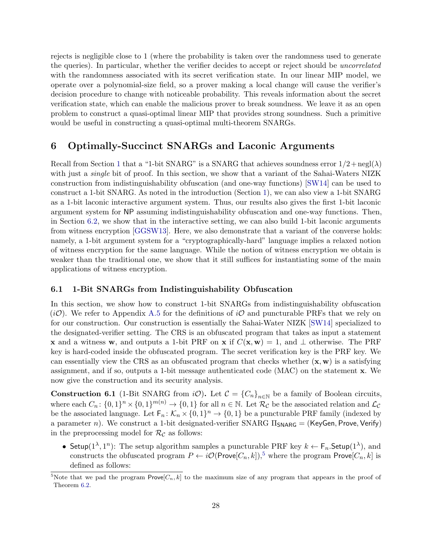rejects is negligible close to 1 (where the probability is taken over the randomness used to generate the queries). In particular, whether the verifier decides to accept or reject should be *uncorrelated* with the randomness associated with its secret verification state. In our linear MIP model, we operate over a polynomial-size field, so a prover making a local change will cause the verifier's decision procedure to change with noticeable probability. This reveals information about the secret verification state, which can enable the malicious prover to break soundness. We leave it as an open problem to construct a quasi-optimal linear MIP that provides strong soundness. Such a primitive would be useful in constructing a quasi-optimal multi-theorem SNARGs.

## <span id="page-27-0"></span>6 Optimally-Succinct SNARGs and Laconic Arguments

Recall from Section [1](#page-0-1) that a "1-bit SNARG" is a SNARG that achieves soundness error  $1/2 + negl(\lambda)$ with just a *single* bit of proof. In this section, we show that a variant of the Sahai-Waters NIZK construction from indistinguishability obfuscation (and one-way functions) [\[SW14\]](#page-40-1) can be used to construct a 1-bit SNARG. As noted in the introduction (Section [1\)](#page-0-1), we can also view a 1-bit SNARG as a 1-bit laconic interactive argument system. Thus, our results also gives the first 1-bit laconic argument system for NP assuming indistinguishability obfuscation and one-way functions. Then, in Section [6.2,](#page-29-0) we show that in the interactive setting, we can also build 1-bit laconic arguments from witness encryption [\[GGSW13\]](#page-38-7). Here, we also demonstrate that a variant of the converse holds: namely, a 1-bit argument system for a "cryptographically-hard" language implies a relaxed notion of witness encryption for the same language. While the notion of witness encryption we obtain is weaker than the traditional one, we show that it still suffices for instantiating some of the main applications of witness encryption.

#### 6.1 1-Bit SNARGs from Indistinguishability Obfuscation

In this section, we show how to construct 1-bit SNARGs from indistinguishability obfuscation (*iO*). We refer to Appendix [A.5](#page-49-0) for the definitions of *iO* and puncturable PRFs that we rely on for our construction. Our construction is essentially the Sahai-Water NIZK [\[SW14\]](#page-40-1) specialized to the designated-verifier setting. The CRS is an obfuscated program that takes as input a statement **x** and a witness **w**, and outputs a 1-bit PRF on **x** if  $C(\mathbf{x}, \mathbf{w}) = 1$ , and  $\perp$  otherwise. The PRF key is hard-coded inside the obfuscated program. The secret verification key is the PRF key. We can essentially view the CRS as an obfuscated program that checks whether  $(\mathbf{x}, \mathbf{w})$  is a satisfying assignment, and if so, outputs a 1-bit message authenticated code (MAC) on the statement x. We now give the construction and its security analysis.

<span id="page-27-1"></span>**Construction 6.1** (1-Bit SNARG from  $i\mathcal{O}$ ). Let  $\mathcal{C} = \{C_n\}_{n\in\mathbb{N}}$  be a family of Boolean circuits, where each  $C_n$ :  $\{0,1\}^n \times \{0,1\}^{m(n)} \to \{0,1\}$  for all  $n \in \mathbb{N}$ . Let  $\mathcal{R}_{\mathcal{C}}$  be the associated relation and  $\mathcal{L}_{\mathcal{C}}$ be the associated language. Let  $\mathsf{F}_n: \mathcal{K}_n \times \{0,1\}^n \to \{0,1\}$  be a puncturable PRF family (indexed by a parameter n). We construct a 1-bit designated-verifier SNARG  $\Pi_{\text{SNARG}} = (KeyGen, Prove, Verify)$ in the preprocessing model for  $\mathcal{R}_{\mathcal{C}}$  as follows:

• Setup( $1^{\lambda}, 1^{n}$ ): The setup algorithm samples a puncturable PRF key  $k \leftarrow F_n$ . Setup( $1^{\lambda}$ ), and constructs the obfuscated program  $P \leftarrow i\mathcal{O}(\mathsf{Prove}[C_n,k])$ ,<sup>[5](#page-0-0)</sup> where the program Prove $[C_n,k]$  is defined as follows:

<sup>&</sup>lt;sup>5</sup>Note that we pad the program Prove $[C_n, k]$  to the maximum size of any program that appears in the proof of Theorem [6.2.](#page-28-0)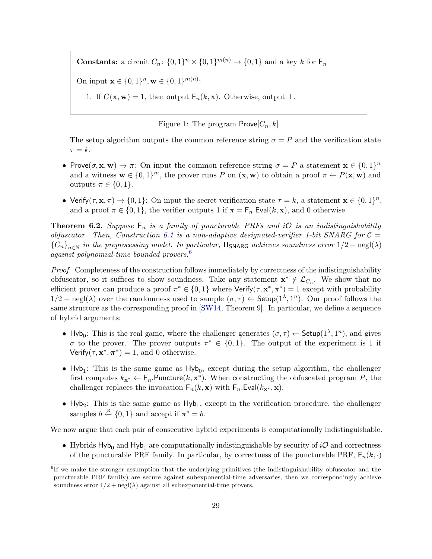**Constants:** a circuit  $C_n$ :  $\{0,1\}^n \times \{0,1\}^{m(n)} \to \{0,1\}$  and a key k for  $\mathsf{F}_n$ 

On input  $\mathbf{x} \in \{0,1\}^n, \mathbf{w} \in \{0,1\}^{m(n)}$ :

1. If  $C(\mathbf{x}, \mathbf{w}) = 1$ , then output  $F_n(k, \mathbf{x})$ . Otherwise, output  $\perp$ .

Figure 1: The program  $Prove[C_n, k]$ 

The setup algorithm outputs the common reference string  $\sigma = P$  and the verification state  $\tau = k$ .

- Prove $(\sigma, \mathbf{x}, \mathbf{w}) \to \pi$ : On input the common reference string  $\sigma = P$  a statement  $\mathbf{x} \in \{0, 1\}^n$ and a witness  $\mathbf{w} \in \{0,1\}^m$ , the prover runs P on  $(\mathbf{x}, \mathbf{w})$  to obtain a proof  $\pi \leftarrow P(\mathbf{x}, \mathbf{w})$  and outputs  $\pi \in \{0, 1\}.$
- Verify $(\tau, \mathbf{x}, \pi) \to \{0, 1\}$ : On input the secret verification state  $\tau = k$ , a statement  $\mathbf{x} \in \{0, 1\}^n$ , and a proof  $\pi \in \{0, 1\}$ , the verifier outputs 1 if  $\pi = F_n$ . Eval(k, x), and 0 otherwise.

<span id="page-28-0"></span>**Theorem 6.2.** Suppose  $F_n$  is a family of puncturable PRFs and iO is an indistinguishability obfuscator. Then, Construction [6.1](#page-27-1) is a non-adaptive designated-verifier 1-bit SNARG for  $C =$  ${C_n}_{n\in\mathbb{N}}$  in the preprocessing model. In particular,  $\Pi$ <sub>SNARG</sub> achieves soundness error  $1/2 + \text{negl}(\lambda)$ against polynomial-time bounded provers.[6](#page-0-0)

Proof. Completeness of the construction follows immediately by correctness of the indistinguishability obfuscator, so it suffices to show soundness. Take any statement  $\mathbf{x}^* \notin \mathcal{L}_{C_n}$ . We show that no efficient prover can produce a proof  $\pi^* \in \{0,1\}$  where  $Verify(\tau, \mathbf{x}^*, \pi^*) = 1$  except with probability  $1/2 + \text{negl}(\lambda)$  over the randomness used to sample  $(\sigma, \tau) \leftarrow$  Setup $(1^{\lambda}, 1^n)$ . Our proof follows the same structure as the corresponding proof in [\[SW14,](#page-40-1) Theorem 9]. In particular, we define a sequence of hybrid arguments:

- Hyb<sub>0</sub>: This is the real game, where the challenger generates  $(\sigma, \tau) \leftarrow$  Setup $(1^{\lambda}, 1^n)$ , and gives σ to the prover. The prover outputs  $\pi^* \in \{0,1\}$ . The output of the experiment is 1 if Verify $(\tau, \mathbf{x}^*, \boldsymbol{\pi}^*) = 1$ , and 0 otherwise.
- $Hyb_1$ : This is the same game as  $Hyb_0$ , except during the setup algorithm, the challenger first computes  $k_{\mathbf{x}^*} \leftarrow \mathsf{F}_n$ . Puncture $(k, \mathbf{x}^*)$ . When constructing the obfuscated program P, the challenger replaces the invocation  $F_n(k, x)$  with  $F_n$ . Eval $(k_{x^*}, x)$ .
- Hyb<sub>2</sub>: This is the same game as  $Hyb<sub>1</sub>$ , except in the verification procedure, the challenger samples  $b \stackrel{\text{R}}{\leftarrow} \{0, 1\}$  and accept if  $\pi^* = b$ .

We now argue that each pair of consecutive hybrid experiments is computationally indistinguishable.

• Hybrids  $Hyb_0$  and  $Hyb_1$  are computationally indistinguishable by security of iO and correctness of the puncturable PRF family. In particular, by correctness of the puncturable PRF,  $F_n(k, \cdot)$ 

<sup>&</sup>lt;sup>6</sup>If we make the stronger assumption that the underlying primitives (the indistinguishability obfuscator and the puncturable PRF family) are secure against subexponential-time adversaries, then we correspondingly achieve soundness error  $1/2$  + negl( $\lambda$ ) against all subexponential-time provers.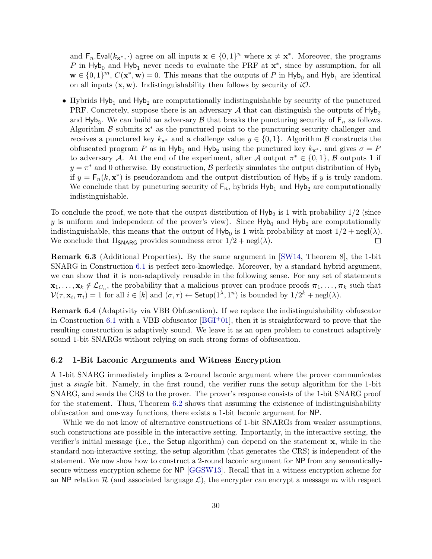and  $\mathsf{F}_n$ . Eval $(k_{\mathbf{x}^*}, \cdot)$  agree on all inputs  $\mathbf{x} \in \{0,1\}^n$  where  $\mathbf{x} \neq \mathbf{x}^*$ . Moreover, the programs P in Hyb<sub>0</sub> and Hyb<sub>1</sub> never needs to evaluate the PRF at  $x^*$ , since by assumption, for all  $\mathbf{w} \in \{0,1\}^m$ ,  $C(\mathbf{x}^*, \mathbf{w}) = 0$ . This means that the outputs of P in  $\mathsf{Hyb}_0$  and  $\mathsf{Hyb}_1$  are identical on all inputs  $(x, w)$ . Indistinguishability then follows by security of  $i\mathcal{O}$ .

• Hybrids  $Hyb<sub>1</sub>$  and  $Hyb<sub>2</sub>$  are computationally indistinguishable by security of the punctured PRF. Concretely, suppose there is an adversary  $A$  that can distinguish the outputs of Hyb<sub>2</sub> and Hyb<sub>3</sub>. We can build an adversary  $\beta$  that breaks the puncturing security of  $F_n$  as follows. Algorithm  $\beta$  submits  $\mathbf{x}^*$  as the punctured point to the puncturing security challenger and receives a punctured key  $k_{\mathbf{x}^*}$  and a challenge value  $y \in \{0, 1\}$ . Algorithm B constructs the obfuscated program P as in Hyb<sub>1</sub> and Hyb<sub>2</sub> using the punctured key  $k_{\mathbf{x}^*}$ , and gives  $\sigma = P$ to adversary A. At the end of the experiment, after A output  $\pi^* \in \{0,1\}$ , B outputs 1 if  $y = \pi^*$  and 0 otherwise. By construction,  $\beta$  perfectly simulates the output distribution of  $\mathsf{Hyb}_1$ if  $y = F_n(k, \mathbf{x}^*)$  is pseudorandom and the output distribution of  $Hyb_2$  if y is truly random. We conclude that by puncturing security of  $F_n$ , hybrids  $Hyb_1$  and  $Hyb_2$  are computationally indistinguishable.

To conclude the proof, we note that the output distribution of  $Hyb<sub>2</sub>$  is 1 with probability  $1/2$  (since y is uniform and independent of the prover's view). Since  $Hyb_0$  and  $Hyb_2$  are computationally indistinguishable, this means that the output of  $Hyb_0$  is 1 with probability at most  $1/2 + negl(\lambda)$ . We conclude that  $\Pi_{\text{SNARG}}$  provides soundness error  $1/2 + \text{negl}(\lambda)$ .  $\Box$ 

Remark 6.3 (Additional Properties). By the same argument in [\[SW14,](#page-40-1) Theorem 8], the 1-bit SNARG in Construction [6.1](#page-27-1) is perfect zero-knowledge. Moreover, by a standard hybrid argument, we can show that it is non-adaptively reusable in the following sense. For any set of statements  $\mathbf{x}_1,\ldots,\mathbf{x}_k\notin\mathcal{L}_{C_n}$ , the probability that a malicious prover can produce proofs  $\boldsymbol{\pi}_1,\ldots,\boldsymbol{\pi}_k$  such that  $\mathcal{V}(\tau,\mathbf{x}_i,\boldsymbol{\pi}_i)=1$  for all  $i\in[k]$  and  $(\sigma,\tau)\leftarrow \mathsf{Setup}(1^{\lambda},1^n)$  is bounded by  $1/2^k+\text{negl}(\lambda)$ .

Remark 6.4 (Adaptivity via VBB Obfuscation). If we replace the indistinguishability obfuscator in Construction [6.1](#page-27-1) with a VBB obfuscator  $[{\rm BGI^+01}]$ , then it is straightforward to prove that the resulting construction is adaptively sound. We leave it as an open problem to construct adaptively sound 1-bit SNARGs without relying on such strong forms of obfuscation.

#### <span id="page-29-0"></span>6.2 1-Bit Laconic Arguments and Witness Encryption

A 1-bit SNARG immediately implies a 2-round laconic argument where the prover communicates just a *single* bit. Namely, in the first round, the verifier runs the setup algorithm for the 1-bit SNARG, and sends the CRS to the prover. The prover's response consists of the 1-bit SNARG proof for the statement. Thus, Theorem [6.2](#page-28-0) shows that assuming the existence of indistinguishability obfuscation and one-way functions, there exists a 1-bit laconic argument for NP.

While we do not know of alternative constructions of 1-bit SNARGs from weaker assumptions, such constructions are possible in the interactive setting. Importantly, in the interactive setting, the verifier's initial message (i.e., the Setup algorithm) can depend on the statement x, while in the standard non-interactive setting, the setup algorithm (that generates the CRS) is independent of the statement. We now show how to construct a 2-round laconic argument for NP from any semanticallysecure witness encryption scheme for NP [\[GGSW13\]](#page-38-7). Recall that in a witness encryption scheme for an NP relation  $\mathcal R$  (and associated language  $\mathcal L$ ), the encrypter can encrypt a message m with respect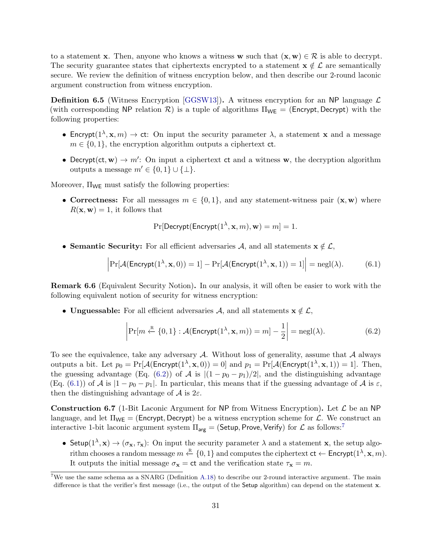to a statement x. Then, anyone who knows a witness w such that  $(x, w) \in \mathcal{R}$  is able to decrypt. The security guarantee states that ciphertexts encrypted to a statement  $\mathbf{x} \notin \mathcal{L}$  are semantically secure. We review the definition of witness encryption below, and then describe our 2-round laconic argument construction from witness encryption.

<span id="page-30-3"></span>**Definition 6.5** (Witness Encryption [\[GGSW13\]](#page-38-7)). A witness encryption for an NP language  $\mathcal{L}$ (with corresponding NP relation  $\mathcal{R}$ ) is a tuple of algorithms  $\Pi_{WE} = (Energypt, Decrypt)$  with the following properties:

- Encrypt( $1^{\lambda}, \mathbf{x}, m$ )  $\rightarrow$  ct: On input the security parameter  $\lambda$ , a statement x and a message  $m \in \{0, 1\}$ , the encryption algorithm outputs a ciphertext ct.
- Decrypt(ct, w)  $\rightarrow$  m': On input a ciphertext ct and a witness w, the decryption algorithm outputs a message  $m' \in \{0, 1\} \cup \{\perp\}.$

Moreover,  $\Pi_{WE}$  must satisfy the following properties:

• Correctness: For all messages  $m \in \{0, 1\}$ , and any statement-witness pair  $(\mathbf{x}, \mathbf{w})$  where  $R(\mathbf{x}, \mathbf{w}) = 1$ , it follows that

<span id="page-30-1"></span><span id="page-30-0"></span>
$$
\Pr[\mathsf{Decrypt}(\mathsf{Encrypt}(1^{\lambda}, \mathbf{x}, m), \mathbf{w}) = m] = 1.
$$

• Semantic Security: For all efficient adversaries A, and all statements  $x \notin \mathcal{L}$ ,

$$
\left|\Pr[\mathcal{A}(\mathsf{Encrypt}(1^{\lambda}, \mathbf{x}, 0)) = 1] - \Pr[\mathcal{A}(\mathsf{Encrypt}(1^{\lambda}, \mathbf{x}, 1)) = 1]\right| = \text{negl}(\lambda). \tag{6.1}
$$

<span id="page-30-4"></span>Remark 6.6 (Equivalent Security Notion). In our analysis, it will often be easier to work with the following equivalent notion of security for witness encryption:

• Unguessable: For all efficient adversaries A, and all statements  $x \notin \mathcal{L}$ ,

$$
\left|\Pr[m \stackrel{\text{R}}{\leftarrow} \{0,1\} : \mathcal{A}(\mathsf{Encrypt}(1^{\lambda}, \mathbf{x}, m)) = m] - \frac{1}{2}\right| = \text{negl}(\lambda). \tag{6.2}
$$

To see the equivalence, take any adversary  $A$ . Without loss of generality, assume that  $A$  always outputs a bit. Let  $p_0 = Pr[\mathcal{A}(\mathsf{Encrypt}(1^\lambda, \mathbf{x}, 0)) = 0]$  and  $p_1 = Pr[\mathcal{A}(\mathsf{Encrypt}(1^\lambda, \mathbf{x}, 1)) = 1]$ . Then, the guessing advantage (Eq. [\(6.2\)](#page-30-0)) of A is  $|(1-p_0-p_1)/2|$ , and the distinguishing advantage (Eq. [\(6.1\)](#page-30-1)) of A is  $|1-p_0-p_1|$ . In particular, this means that if the guessing advantage of A is  $\varepsilon$ , then the distinguishing advantage of  $\mathcal A$  is  $2\varepsilon$ .

<span id="page-30-2"></span>**Construction 6.7** (1-Bit Laconic Argument for NP from Witness Encryption). Let  $\mathcal{L}$  be an NP language, and let  $\Pi_{WE} = (Energypt, Decrypt)$  be a witness encryption scheme for  $\mathcal{L}$ . We construct an interactive 1-bit laconic argument system  $\Pi_{\text{arg}} = ($ Setup, Prove, Verify) for  $\mathcal L$  as follows:<sup>[7](#page-0-0)</sup>

• Setup $(1^{\lambda}, \mathbf{x}) \to (\sigma_{\mathbf{x}}, \tau_{\mathbf{x}})$ : On input the security parameter  $\lambda$  and a statement  $\mathbf{x}$ , the setup algorithm chooses a random message  $m \stackrel{\text{R}}{\leftarrow} \{0,1\}$  and computes the ciphertext  $ct \leftarrow \text{Encrypt}(1^{\lambda}, \mathbf{x}, m)$ . It outputs the initial message  $\sigma_{\mathbf{x}} = c\mathbf{t}$  and the verification state  $\tau_{\mathbf{x}} = m$ .

<sup>&</sup>lt;sup>7</sup>We use the same schema as a SNARG (Definition [A.18\)](#page-46-1) to describe our 2-round interactive argument. The main difference is that the verifier's first message (i.e., the output of the Setup algorithm) can depend on the statement x.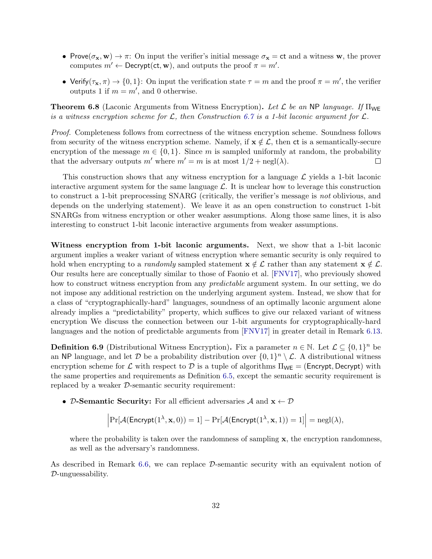- Prove $(\sigma_x, w) \to \pi$ : On input the verifier's initial message  $\sigma_x = ct$  and a witness w, the prover computes  $m' \leftarrow \text{Decrypt}(\text{ct}, \textbf{w})$ , and outputs the proof  $\pi = m'.$
- Verify $(\tau_x, \pi) \to \{0, 1\}$ : On input the verification state  $\tau = m$  and the proof  $\pi = m'$ , the verifier outputs 1 if  $m = m'$ , and 0 otherwise.

**Theorem 6.8** (Laconic Arguments from Witness Encryption). Let  $\mathcal{L}$  be an NP language. If  $\Pi_{WE}$ is a witness encryption scheme for  $\mathcal{L}$ , then Construction [6.7](#page-30-2) is a 1-bit laconic argument for  $\mathcal{L}$ .

Proof. Completeness follows from correctness of the witness encryption scheme. Soundness follows from security of the witness encryption scheme. Namely, if  $\mathbf{x} \notin \mathcal{L}$ , then ct is a semantically-secure encryption of the message  $m \in \{0, 1\}$ . Since m is sampled uniformly at random, the probability that the adversary outputs m' where  $m' = m$  is at most  $1/2 + \text{negl}(\lambda)$ .  $\Box$ 

This construction shows that any witness encryption for a language  $\mathcal L$  yields a 1-bit laconic interactive argument system for the same language  $\mathcal{L}$ . It is unclear how to leverage this construction to construct a 1-bit preprocessing SNARG (critically, the verifier's message is not oblivious, and depends on the underlying statement). We leave it as an open construction to construct 1-bit SNARGs from witness encryption or other weaker assumptions. Along those same lines, it is also interesting to construct 1-bit laconic interactive arguments from weaker assumptions.

Witness encryption from 1-bit laconic arguments. Next, we show that a 1-bit laconic argument implies a weaker variant of witness encryption where semantic security is only required to hold when encrypting to a *randomly* sampled statement  $\mathbf{x} \notin \mathcal{L}$  rather than any statement  $\mathbf{x} \notin \mathcal{L}$ . Our results here are conceptually similar to those of Faonio et al. [\[FNV17\]](#page-38-9), who previously showed how to construct witness encryption from any *predictable* argument system. In our setting, we do not impose any additional restriction on the underlying argument system. Instead, we show that for a class of "cryptographically-hard" languages, soundness of an optimally laconic argument alone already implies a "predictability" property, which suffices to give our relaxed variant of witness encryption We discuss the connection between our 1-bit arguments for cryptographically-hard languages and the notion of predictable arguments from [\[FNV17\]](#page-38-9) in greater detail in Remark [6.13.](#page-34-0)

**Definition 6.9** (Distributional Witness Encryption). Fix a parameter  $n \in \mathbb{N}$ . Let  $\mathcal{L} \subseteq \{0,1\}^n$  be an NP language, and let D be a probability distribution over  $\{0,1\}^n \setminus \mathcal{L}$ . A distributional witness encryption scheme for  $\mathcal L$  with respect to  $\mathcal D$  is a tuple of algorithms  $\Pi_{WE}$  = (Encrypt, Decrypt) with the same properties and requirements as Definition [6.5,](#page-30-3) except the semantic security requirement is replaced by a weaker D-semantic security requirement:

• D-Semantic Security: For all efficient adversaries A and  $\mathbf{x} \leftarrow \mathcal{D}$ 

$$
\left|\Pr[\mathcal{A}(\mathsf{Encrypt}(1^{\lambda}, \mathbf{x}, 0)) = 1] - \Pr[\mathcal{A}(\mathsf{Encrypt}(1^{\lambda}, \mathbf{x}, 1)) = 1]\right| = \mathrm{negl}(\lambda),
$$

where the probability is taken over the randomness of sampling  $x$ , the encryption randomness, as well as the adversary's randomness.

As described in Remark [6.6,](#page-30-4) we can replace D-semantic security with an equivalent notion of D-unguessability.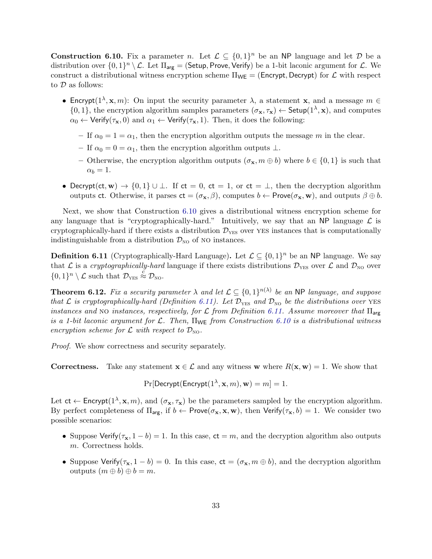<span id="page-32-0"></span>**Construction 6.10.** Fix a parameter n. Let  $\mathcal{L} \subseteq \{0,1\}^n$  be an NP language and let D be a distribution over  $\{0,1\}^n \setminus \mathcal{L}$ . Let  $\Pi_{\text{arg}} =$  (Setup, Prove, Verify) be a 1-bit laconic argument for  $\mathcal{L}$ . We construct a distributional witness encryption scheme  $\Pi_{WE} = (Energy, Decrypt)$  for  $\mathcal L$  with respect to  $D$  as follows:

- Encrypt( $1^{\lambda}, \mathbf{x}, m$ ): On input the security parameter  $\lambda$ , a statement **x**, and a message  $m \in \mathbb{R}$  $\{0,1\}$ , the encryption algorithm samples parameters  $(\sigma_{\mathbf{x}}, \tau_{\mathbf{x}}) \leftarrow$  Setup $(1^{\lambda}, \mathbf{x})$ , and computes  $\alpha_0 \leftarrow \text{Verify}(\tau_{\mathbf{x}}, 0)$  and  $\alpha_1 \leftarrow \text{Verify}(\tau_{\mathbf{x}}, 1)$ . Then, it does the following:
	- If  $\alpha_0 = 1 = \alpha_1$ , then the encryption algorithm outputs the message m in the clear.
	- If  $\alpha_0 = 0 = \alpha_1$ , then the encryption algorithm outputs  $\perp$ .
	- Otherwise, the encryption algorithm outputs  $(\sigma_{\mathbf{x}}, m \oplus b)$  where  $b \in \{0, 1\}$  is such that  $\alpha_b = 1$ .
- Decrypt(ct, w)  $\rightarrow$  {0, 1}  $\cup \bot$ . If ct = 0, ct = 1, or ct =  $\bot$ , then the decryption algorithm outputs ct. Otherwise, it parses  $ct = (\sigma_x, \beta)$ , computes  $b \leftarrow \text{Prove}(\sigma_x, \mathbf{w})$ , and outputs  $\beta \oplus b$ .

Next, we show that Construction [6.10](#page-32-0) gives a distributional witness encryption scheme for any language that is "cryptographically-hard." Intuitively, we say that an NP language  $\mathcal L$  is cryptographically-hard if there exists a distribution  $\mathcal{D}_{\text{YES}}$  over YES instances that is computationally indistinguishable from a distribution  $\mathcal{D}_{\text{NO}}$  of NO instances.

<span id="page-32-1"></span>**Definition 6.11** (Cryptographically-Hard Language). Let  $\mathcal{L} \subseteq \{0,1\}^n$  be an NP language. We say that L is a cryptographically-hard language if there exists distributions  $\mathcal{D}_{\text{YES}}$  over L and  $\mathcal{D}_{\text{NO}}$  over  $\{0,1\}^n \setminus \mathcal{L}$  such that  $\mathcal{D}_{\text{YES}} \stackrel{c}{\approx} \mathcal{D}_{\text{NO}}$ .

<span id="page-32-2"></span>**Theorem 6.12.** Fix a security parameter  $\lambda$  and let  $\mathcal{L} \subseteq \{0,1\}^{n(\lambda)}$  be an NP language, and suppose that  $\mathcal L$  is cryptographically-hard (Definition [6.11\)](#page-32-1). Let  $\mathcal D_{\rm YES}$  and  $\mathcal D_{\rm NO}$  be the distributions over YES instances and NO instances, respectively, for  $\mathcal L$  from Definition [6.11.](#page-32-1) Assume moreover that  $\Pi_{\text{arg}}$ is a 1-bit laconic argument for  $\mathcal{L}$ . Then,  $\Pi_{\mathsf{WE}}$  from Construction [6.10](#page-32-0) is a distributional witness encryption scheme for  $\mathcal L$  with respect to  $\mathcal D_{\rm NO}$ .

Proof. We show correctness and security separately.

**Correctness.** Take any statement  $x \in \mathcal{L}$  and any witness w where  $R(x, w) = 1$ . We show that

 $\Pr[\mathsf{Decrypt}(\mathsf{Encrypt}(1^\lambda,\mathbf{x},m),\mathbf{w}) = m] = 1.$ 

Let  $ct \leftarrow$  Encrypt $(1^{\lambda}, x, m)$ , and  $(\sigma_x, \tau_x)$  be the parameters sampled by the encryption algorithm. By perfect completeness of  $\Pi_{\text{arg}}$ , if  $b \leftarrow \text{Prove}(\sigma_{\mathbf{x}}, \mathbf{x}, \mathbf{w})$ , then  $\text{Verify}(\tau_{\mathbf{x}}, b) = 1$ . We consider two possible scenarios:

- Suppose Verify( $\tau_{\mathbf{x}}$ , 1 b) = 1. In this case,  $ct = m$ , and the decryption algorithm also outputs m. Correctness holds.
- Suppose Verify( $\tau_x$ , 1 b) = 0. In this case,  $ct = (\sigma_x, m \oplus b)$ , and the decryption algorithm outputs  $(m \oplus b) \oplus b = m$ .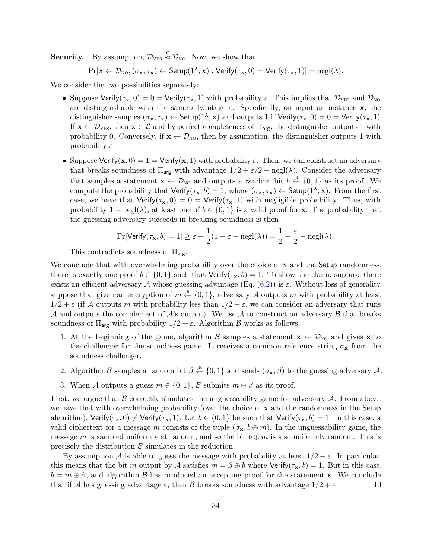**Security.** By assumption,  $\mathcal{D}_{\text{YES}} \stackrel{c}{\approx} \mathcal{D}_{\text{NO}}$ . Now, we show that

 $\Pr[\mathbf{x} \leftarrow \mathcal{D}_{\text{NO}}; (\sigma_{\mathbf{x}}, \tau_{\mathbf{x}}) \leftarrow \mathsf{Setup}(1^{\lambda}, \mathbf{x}): \mathsf{Verify}(\tau_{\mathbf{x}}, 0) = \mathsf{Verify}(\tau_{\mathbf{x}}, 1)] = {\mathrm{negl}}(\lambda).$ 

We consider the two possibilities separately:

- Suppose Verify( $\tau_x$ , 0) = 0 = Verify( $\tau_x$ , 1) with probability  $\varepsilon$ . This implies that  $\mathcal{D}_{\text{YES}}$  and  $\mathcal{D}_{\text{NO}}$ are distinguishable with the same advantage  $\varepsilon$ . Specifically, on input an instance **x**, the distinguisher samples  $(\sigma_{\mathbf{x}}, \tau_{\mathbf{x}}) \leftarrow$  Setup $(1^{\lambda}, \mathbf{x})$  and outputs 1 if Verify $(\tau_{\mathbf{x}}, 0) = 0 =$  Verify $(\tau_{\mathbf{x}}, 1)$ . If  $\mathbf{x} \leftarrow \mathcal{D}_{\text{YES}}$ , then  $\mathbf{x} \in \mathcal{L}$  and by perfect completeness of  $\Pi_{\text{arg}}$ , the distinguisher outputs 1 with probability 0. Conversely, if  $\mathbf{x} \leftarrow \mathcal{D}_{\text{NO}}$ , then by assumption, the distinguisher outputs 1 with probability  $\varepsilon$ .
- Suppose Verify( $\mathbf{x},0$ ) = 1 = Verify( $\mathbf{x},1$ ) with probability  $\varepsilon$ . Then, we can construct an adversary that breaks soundness of  $\Pi_{\text{arg}}$  with advantage  $1/2 + \varepsilon/2$  – negl( $\lambda$ ). Consider the adversary that samples a statement  $\mathbf{x} \leftarrow \mathcal{D}_{\text{NO}}$  and outputs a random bit  $b \leftarrow \{0, 1\}$  as its proof. We compute the probability that  $Verify(\tau_{\mathbf{x}}, b) = 1$ , where  $(\sigma_{\mathbf{x}}, \tau_{\mathbf{x}}) \leftarrow Setup(1^{\lambda}, \mathbf{x})$ . From the first case, we have that  $Verify(\tau_{\mathbf{x}}, 0) = 0 = Verify(\tau_{\mathbf{x}}, 1)$  with negligible probability. Thus, with probability  $1 - \text{negl}(\lambda)$ , at least one of  $b \in \{0, 1\}$  is a valid proof for x. The probability that the guessing adversary succeeds in breaking soundness is then

$$
\Pr[\mathsf{Verify}(\tau_{\mathbf{x}}, b) = 1] \ge \varepsilon + \frac{1}{2}(1 - \varepsilon - \text{negl}(\lambda)) = \frac{1}{2} + \frac{\varepsilon}{2} - \text{negl}(\lambda).
$$

This contradicts soundness of  $\Pi_{\text{arg}}$ .

We conclude that with overwhelming probability over the choice of  $x$  and the Setup randomness, there is exactly one proof  $b \in \{0,1\}$  such that  $\text{Verify}(\tau_{\mathbf{x}}, b) = 1$ . To show the claim, suppose there exists an efficient adversary A whose guessing advantage (Eq.  $(6.2)$ ) is  $\varepsilon$ . Without loss of generality, suppose that given an encryption of  $m \stackrel{\mathbb{R}}{\leftarrow} \{0,1\}$ , adversary A outputs m with probability at least  $1/2 + \varepsilon$  (if A outputs m with probability less than  $1/2 - \varepsilon$ , we can consider an adversary that runs A and outputs the complement of A's output). We use A to construct an adversary  $\beta$  that breaks soundness of  $\Pi_{\text{arg}}$  with probability  $1/2 + \varepsilon$ . Algorithm  $\beta$  works as follows:

- 1. At the beginning of the game, algorithm  $\mathcal{B}$  samples a statement  $\mathbf{x} \leftarrow \mathcal{D}_{\text{NO}}$  and gives x to the challenger for the soundness game. It receives a common reference string  $\sigma_{\mathbf{x}}$  from the soundness challenger.
- 2. Algorithm B samples a random bit  $\beta \stackrel{\text{R}}{\leftarrow} \{0,1\}$  and sends  $(\sigma_{\mathbf{x}}, \beta)$  to the guessing adversary A.
- 3. When A outputs a guess  $m \in \{0,1\}$ , B submits  $m \oplus \beta$  as its proof.

First, we argue that  $\beta$  correctly simulates the unguessability game for adversary  $\mathcal{A}$ . From above, we have that with overwhelming probability (over the choice of  $x$  and the randomness in the Setup algorithm), Verify( $\tau_{\mathbf{x}}$ , 0)  $\neq$  Verify( $\tau_{\mathbf{x}}$ , 1). Let  $b \in \{0,1\}$  be such that Verify( $\tau_{\mathbf{x}}$ , b) = 1. In this case, a valid ciphertext for a message m consists of the tuple  $(\sigma_{\mathbf{x}}, b \oplus m)$ . In the unguessability game, the message m is sampled uniformly at random, and so the bit  $b \oplus m$  is also uniformly random. This is precisely the distribution  $\beta$  simulates in the reduction.

By assumption A is able to guess the message with probability at least  $1/2 + \varepsilon$ . In particular, this means that the bit m output by A satisfies  $m = \beta \oplus b$  where  $Verify(\tau_{\mathbf{x}}, b) = 1$ . But in this case,  $b = m \oplus \beta$ , and algorithm B has produced an accepting proof for the statement x. We conclude that if A has guessing advantage  $\varepsilon$ , then B breaks soundness with advantage  $1/2 + \varepsilon$ .  $\Box$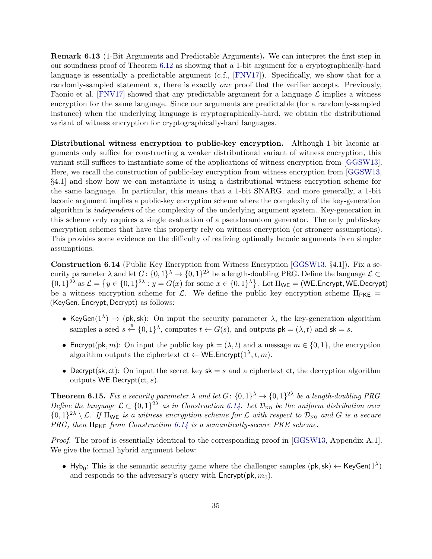<span id="page-34-0"></span>Remark 6.13 (1-Bit Arguments and Predictable Arguments). We can interpret the first step in our soundness proof of Theorem [6.12](#page-32-2) as showing that a 1-bit argument for a cryptographically-hard language is essentially a predictable argument (c.f., [\[FNV17\]](#page-38-9)). Specifically, we show that for a randomly-sampled statement x, there is exactly *one* proof that the verifier accepts. Previously, Faonio et al. [\[FNV17\]](#page-38-9) showed that any predictable argument for a language  $\mathcal{L}$  implies a witness encryption for the same language. Since our arguments are predictable (for a randomly-sampled instance) when the underlying language is cryptographically-hard, we obtain the distributional variant of witness encryption for cryptographically-hard languages.

Distributional witness encryption to public-key encryption. Although 1-bit laconic arguments only suffice for constructing a weaker distributional variant of witness encryption, this variant still suffices to instantiate some of the applications of witness encryption from [\[GGSW13\]](#page-38-7). Here, we recall the construction of public-key encryption from witness encryption from [\[GGSW13,](#page-38-7) §4.1] and show how we can instantiate it using a distributional witness encryption scheme for the same language. In particular, this means that a 1-bit SNARG, and more generally, a 1-bit laconic argument implies a public-key encryption scheme where the complexity of the key-generation algorithm is independent of the complexity of the underlying argument system. Key-generation in this scheme only requires a single evaluation of a pseudorandom generator. The only public-key encryption schemes that have this property rely on witness encryption (or stronger assumptions). This provides some evidence on the difficulty of realizing optimally laconic arguments from simpler assumptions.

<span id="page-34-1"></span>Construction 6.14 (Public Key Encryption from Witness Encryption [\[GGSW13,](#page-38-7) §4.1]). Fix a security parameter  $\lambda$  and let  $G: \{0,1\}^{\lambda} \to \{0,1\}^{2\lambda}$  be a length-doubling PRG. Define the language  $\mathcal{L} \subset$  $\{0,1\}^{2\lambda}$  as  $\mathcal{L} = \{y \in \{0,1\}^{2\lambda} : y = G(x)$  for some  $x \in \{0,1\}^{\lambda}\}\.$  Let  $\Pi_{\mathsf{WE}} = (\mathsf{WE}. \mathsf{Encrypt}, \mathsf{WE}. \mathsf{Decrypt})$ be a witness encryption scheme for  $\mathcal{L}$ . We define the public key encryption scheme  $\Pi_{\text{PKE}} =$ (KeyGen, Encrypt, Decrypt) as follows:

- KeyGen( $1^{\lambda}$ )  $\rightarrow$  (pk, sk): On input the security parameter  $\lambda$ , the key-generation algorithm samples a seed  $s \stackrel{\text{R}}{\leftarrow} \{0,1\}^{\lambda}$ , computes  $t \leftarrow G(s)$ , and outputs  $pk = (\lambda, t)$  and  $sk = s$ .
- Encrypt(pk, m): On input the public key  $pk = (\lambda, t)$  and a message  $m \in \{0, 1\}$ , the encryption algorithm outputs the ciphertext  $ct \leftarrow \mathsf{WE}. \mathsf{Encrypt}(1^{\lambda}, t, m)$ .
- Decrypt(sk, ct): On input the secret key  $sk = s$  and a ciphertext ct, the decryption algorithm outputs  $WE$ .Decrypt $(ct, s)$ .

**Theorem 6.15.** Fix a security parameter  $\lambda$  and let  $G: \{0,1\}^{\lambda} \to \{0,1\}^{2\lambda}$  be a length-doubling PRG. Define the language  $\mathcal{L} \subset \{0,1\}^{2\lambda}$  as in Construction [6.14.](#page-34-1) Let  $\mathcal{D}_{\text{NO}}$  be the uniform distribution over  $\{0,1\}^{2\lambda} \setminus \mathcal{L}$ . If  $\Pi_{\mathsf{WE}}$  is a witness encryption scheme for  $\mathcal L$  with respect to  $\mathcal D_{\mathsf{NO}}$  and G is a secure PRG, then  $\Pi_{PKE}$  from Construction [6.14](#page-34-1) is a semantically-secure PKE scheme.

Proof. The proof is essentially identical to the corresponding proof in [\[GGSW13,](#page-38-7) Appendix A.1]. We give the formal hybrid argument below:

• Hyb<sub>0</sub>: This is the semantic security game where the challenger samples  $(\mathsf{pk}, \mathsf{sk}) \leftarrow \mathsf{KeyGen}(1^{\lambda})$ and responds to the adversary's query with  $\mathsf{Encrypt}(\mathsf{pk}, m_0)$ .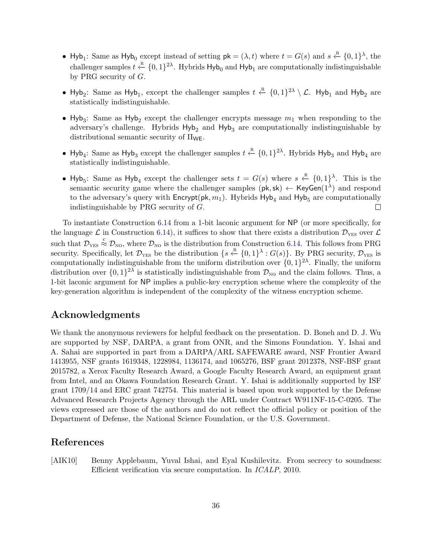- Hyb<sub>1</sub>: Same as Hyb<sub>0</sub> except instead of setting  $pk = (\lambda, t)$  where  $t = G(s)$  and  $s \stackrel{R}{\leftarrow} \{0, 1\}^{\lambda}$ , the challenger samples  $t \stackrel{\text{R}}{\leftarrow} \{0,1\}^{2\lambda}$ . Hybrids  $\text{Hyb}_0$  and  $\text{Hyb}_1$  are computationally indistinguishable by PRG security of G.
- Hyb<sub>2</sub>: Same as Hyb<sub>1</sub>, except the challenger samples  $t \stackrel{R}{\leftarrow} \{0,1\}^{2\lambda} \setminus \mathcal{L}$ . Hyb<sub>1</sub> and Hyb<sub>2</sub> are statistically indistinguishable.
- Hyb<sub>3</sub>: Same as Hyb<sub>2</sub> except the challenger encrypts message  $m_1$  when responding to the adversary's challenge. Hybrids  $Hyb<sub>2</sub>$  and  $Hyb<sub>3</sub>$  are computationally indistinguishable by distributional semantic security of  $\Pi_{\mathsf{WE}}$ .
- Hyb<sub>4</sub>: Same as Hyb<sub>3</sub> except the challenger samples  $t \stackrel{R}{\leftarrow} \{0, 1\}^{2\lambda}$ . Hybrids Hyb<sub>3</sub> and Hyb<sub>4</sub> are statistically indistinguishable.
- Hyb<sub>5</sub>: Same as Hyb<sub>4</sub> except the challenger sets  $t = G(s)$  where  $s \stackrel{R}{\leftarrow} \{0,1\}^{\lambda}$ . This is the semantic security game where the challenger samples  $(\mathsf{pk}, \mathsf{sk}) \leftarrow \mathsf{KeyGen}(1^{\lambda})$  and respond to the adversary's query with  $\mathsf{Encrypt}(\mathsf{pk}, m_1)$ . Hybrids  $\mathsf{Hyb}_4$  and  $\mathsf{Hyb}_5$  are computationally indistinguishable by PRG security of G.  $\Box$

To instantiate Construction [6.14](#page-34-1) from a 1-bit laconic argument for NP (or more specifically, for the language  $\mathcal{L}$  in Construction [6.14\)](#page-34-1), it suffices to show that there exists a distribution  $\mathcal{D}_{\text{YES}}$  over  $\mathcal{L}$ such that  $\mathcal{D}_{\text{YES}} \stackrel{c}{\approx} \mathcal{D}_{\text{NO}}$ , where  $\mathcal{D}_{\text{NO}}$  is the distribution from Construction [6.14.](#page-34-1) This follows from PRG security. Specifically, let  $\mathcal{D}_{\text{YES}}$  be the distribution  $\{s \stackrel{\text{R}}{\leftarrow} \{0,1\}^{\lambda} : G(s)\}$ . By PRG security,  $\mathcal{D}_{\text{YES}}$  is computationally indistinguishable from the uniform distribution over  $\{0,1\}^{2\lambda}$ . Finally, the uniform distribution over  $\{0,1\}^{2\lambda}$  is statistically indistinguishable from  $\mathcal{D}_{NO}$  and the claim follows. Thus, a 1-bit laconic argument for NP implies a public-key encryption scheme where the complexity of the key-generation algorithm is independent of the complexity of the witness encryption scheme.

## Acknowledgments

We thank the anonymous reviewers for helpful feedback on the presentation. D. Boneh and D. J. Wu are supported by NSF, DARPA, a grant from ONR, and the Simons Foundation. Y. Ishai and A. Sahai are supported in part from a DARPA/ARL SAFEWARE award, NSF Frontier Award 1413955, NSF grants 1619348, 1228984, 1136174, and 1065276, BSF grant 2012378, NSF-BSF grant 2015782, a Xerox Faculty Research Award, a Google Faculty Research Award, an equipment grant from Intel, and an Okawa Foundation Research Grant. Y. Ishai is additionally supported by ISF grant 1709/14 and ERC grant 742754. This material is based upon work supported by the Defense Advanced Research Projects Agency through the ARL under Contract W911NF-15-C-0205. The views expressed are those of the authors and do not reflect the official policy or position of the Department of Defense, the National Science Foundation, or the U.S. Government.

## References

<span id="page-35-0"></span>[AIK10] Benny Applebaum, Yuval Ishai, and Eyal Kushilevitz. From secrecy to soundness: Efficient verification via secure computation. In ICALP, 2010.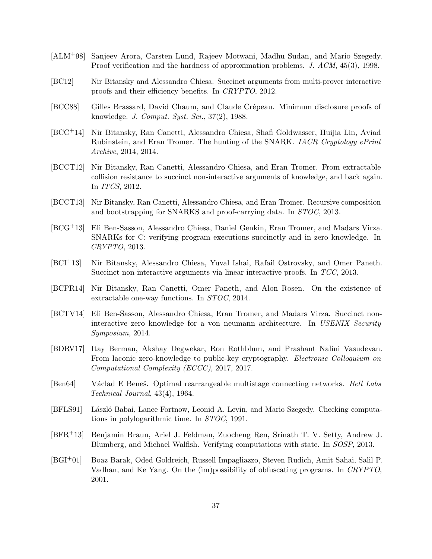- <span id="page-36-1"></span>[ALM+98] Sanjeev Arora, Carsten Lund, Rajeev Motwani, Madhu Sudan, and Mario Szegedy. Proof verification and the hardness of approximation problems. J. ACM, 45(3), 1998.
- <span id="page-36-8"></span>[BC12] Nir Bitansky and Alessandro Chiesa. Succinct arguments from multi-prover interactive proofs and their efficiency benefits. In CRYPTO, 2012.
- <span id="page-36-2"></span>[BCC88] Gilles Brassard, David Chaum, and Claude Crépeau. Minimum disclosure proofs of knowledge. J. Comput. Syst. Sci., 37(2), 1988.
- <span id="page-36-5"></span>[BCC+14] Nir Bitansky, Ran Canetti, Alessandro Chiesa, Shafi Goldwasser, Huijia Lin, Aviad Rubinstein, and Eran Tromer. The hunting of the SNARK. IACR Cryptology ePrint Archive, 2014, 2014.
- <span id="page-36-4"></span>[BCCT12] Nir Bitansky, Ran Canetti, Alessandro Chiesa, and Eran Tromer. From extractable collision resistance to succinct non-interactive arguments of knowledge, and back again. In ITCS, 2012.
- <span id="page-36-6"></span>[BCCT13] Nir Bitansky, Ran Canetti, Alessandro Chiesa, and Eran Tromer. Recursive composition and bootstrapping for SNARKS and proof-carrying data. In STOC, 2013.
- <span id="page-36-9"></span>[BCG+13] Eli Ben-Sasson, Alessandro Chiesa, Daniel Genkin, Eran Tromer, and Madars Virza. SNARKs for C: verifying program executions succinctly and in zero knowledge. In CRYPTO, 2013.
- <span id="page-36-3"></span>[BCI+13] Nir Bitansky, Alessandro Chiesa, Yuval Ishai, Rafail Ostrovsky, and Omer Paneth. Succinct non-interactive arguments via linear interactive proofs. In TCC, 2013.
- <span id="page-36-14"></span>[BCPR14] Nir Bitansky, Ran Canetti, Omer Paneth, and Alon Rosen. On the existence of extractable one-way functions. In STOC, 2014.
- <span id="page-36-11"></span>[BCTV14] Eli Ben-Sasson, Alessandro Chiesa, Eran Tromer, and Madars Virza. Succinct noninteractive zero knowledge for a von neumann architecture. In USENIX Security Symposium, 2014.
- <span id="page-36-7"></span>[BDRV17] Itay Berman, Akshay Degwekar, Ron Rothblum, and Prashant Nalini Vasudevan. From laconic zero-knowledge to public-key cryptography. Electronic Colloquium on Computational Complexity (ECCC), 2017, 2017.
- <span id="page-36-13"></span>[Ben64] Václad E Beneš. Optimal rearrangeable multistage connecting networks. Bell Labs Technical Journal, 43(4), 1964.
- <span id="page-36-0"></span>[BFLS91] László Babai, Lance Fortnow, Leonid A. Levin, and Mario Szegedy. Checking computations in polylogarithmic time. In STOC, 1991.
- <span id="page-36-10"></span>[BFR+13] Benjamin Braun, Ariel J. Feldman, Zuocheng Ren, Srinath T. V. Setty, Andrew J. Blumberg, and Michael Walfish. Verifying computations with state. In SOSP, 2013.
- <span id="page-36-12"></span>[BGI+01] Boaz Barak, Oded Goldreich, Russell Impagliazzo, Steven Rudich, Amit Sahai, Salil P. Vadhan, and Ke Yang. On the (im)possibility of obfuscating programs. In CRYPTO, 2001.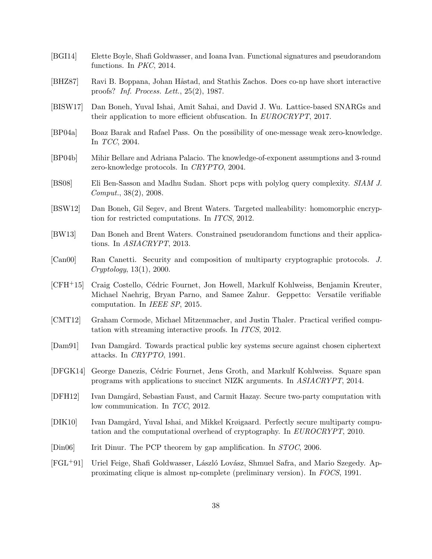- <span id="page-37-13"></span>[BGI14] Elette Boyle, Shafi Goldwasser, and Ioana Ivan. Functional signatures and pseudorandom functions. In PKC, 2014.
- <span id="page-37-1"></span>[BHZ87] Ravi B. Boppana, Johan Håstad, and Stathis Zachos. Does co-np have short interactive proofs? Inf. Process. Lett., 25(2), 1987.
- <span id="page-37-3"></span>[BISW17] Dan Boneh, Yuval Ishai, Amit Sahai, and David J. Wu. Lattice-based SNARGs and their application to more efficient obfuscation. In EUROCRYPT, 2017.
- <span id="page-37-2"></span>[BP04a] Boaz Barak and Rafael Pass. On the possibility of one-message weak zero-knowledge. In TCC, 2004.
- <span id="page-37-7"></span>[BP04b] Mihir Bellare and Adriana Palacio. The knowledge-of-exponent assumptions and 3-round zero-knowledge protocols. In CRYPTO, 2004.
- <span id="page-37-16"></span>[BS08] Eli Ben-Sasson and Madhu Sudan. Short pcps with polylog query complexity. SIAM J. Comput., 38(2), 2008.
- <span id="page-37-11"></span>[BSW12] Dan Boneh, Gil Segev, and Brent Waters. Targeted malleability: homomorphic encryption for restricted computations. In ITCS, 2012.
- <span id="page-37-12"></span>[BW13] Dan Boneh and Brent Waters. Constrained pseudorandom functions and their applications. In ASIACRYPT, 2013.
- <span id="page-37-14"></span>[Can00] Ran Canetti. Security and composition of multiparty cryptographic protocols. J. Cryptology, 13(1), 2000.
- <span id="page-37-10"></span>[CFH<sup>+</sup>15] Craig Costello, Cédric Fournet, Jon Howell, Markulf Kohlweiss, Benjamin Kreuter, Michael Naehrig, Bryan Parno, and Samee Zahur. Geppetto: Versatile verifiable computation. In IEEE SP, 2015.
- <span id="page-37-9"></span>[CMT12] Graham Cormode, Michael Mitzenmacher, and Justin Thaler. Practical verified computation with streaming interactive proofs. In ITCS, 2012.
- <span id="page-37-6"></span>[Dam91] Ivan Damgård. Towards practical public key systems secure against chosen ciphertext attacks. In CRYPTO, 1991.
- <span id="page-37-4"></span>[DFGK14] George Danezis, C´edric Fournet, Jens Groth, and Markulf Kohlweiss. Square span programs with applications to succinct NIZK arguments. In ASIACRYPT, 2014.
- <span id="page-37-8"></span>[DFH12] Ivan Damgård, Sebastian Faust, and Carmit Hazay. Secure two-party computation with low communication. In TCC, 2012.
- <span id="page-37-5"></span>[DIK10] Ivan Damgård, Yuval Ishai, and Mikkel Krøigaard. Perfectly secure multiparty computation and the computational overhead of cryptography. In EUROCRYPT, 2010.
- <span id="page-37-15"></span>[Din06] Irit Dinur. The PCP theorem by gap amplification. In *STOC*, 2006.
- <span id="page-37-0"></span>[FGL<sup>+</sup>91] Uriel Feige, Shafi Goldwasser, László Lovász, Shmuel Safra, and Mario Szegedy. Approximating clique is almost np-complete (preliminary version). In FOCS, 1991.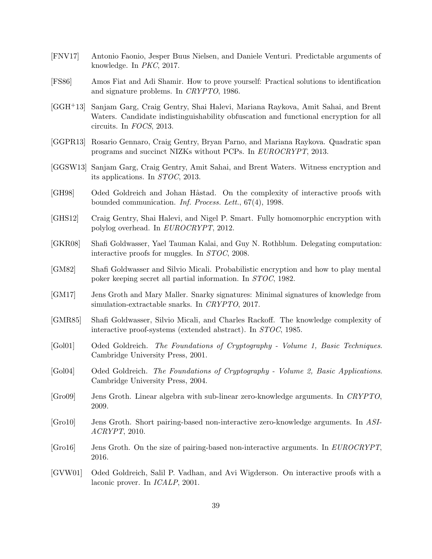- <span id="page-38-9"></span>[FNV17] Antonio Faonio, Jesper Buus Nielsen, and Daniele Venturi. Predictable arguments of knowledge. In PKC, 2017.
- <span id="page-38-3"></span>[FS86] Amos Fiat and Adi Shamir. How to prove yourself: Practical solutions to identification and signature problems. In CRYPTO, 1986.
- <span id="page-38-15"></span>[GGH+13] Sanjam Garg, Craig Gentry, Shai Halevi, Mariana Raykova, Amit Sahai, and Brent Waters. Candidate indistinguishability obfuscation and functional encryption for all circuits. In FOCS, 2013.
- <span id="page-38-5"></span>[GGPR13] Rosario Gennaro, Craig Gentry, Bryan Parno, and Mariana Raykova. Quadratic span programs and succinct NIZKs without PCPs. In EUROCRYPT, 2013.
- <span id="page-38-7"></span>[GGSW13] Sanjam Garg, Craig Gentry, Amit Sahai, and Brent Waters. Witness encryption and its applications. In STOC, 2013.
- <span id="page-38-1"></span>[GH98] Oded Goldreich and Johan Håstad. On the complexity of interactive proofs with bounded communication. Inf. Process. Lett., 67(4), 1998.
- <span id="page-38-13"></span>[GHS12] Craig Gentry, Shai Halevi, and Nigel P. Smart. Fully homomorphic encryption with polylog overhead. In EUROCRYPT, 2012.
- <span id="page-38-11"></span>[GKR08] Shafi Goldwasser, Yael Tauman Kalai, and Guy N. Rothblum. Delegating computation: interactive proofs for muggles. In STOC, 2008.
- <span id="page-38-14"></span>[GM82] Shafi Goldwasser and Silvio Micali. Probabilistic encryption and how to play mental poker keeping secret all partial information. In STOC, 1982.
- <span id="page-38-10"></span>[GM17] Jens Groth and Mary Maller. Snarky signatures: Minimal signatures of knowledge from simulation-extractable snarks. In CRYPTO, 2017.
- <span id="page-38-0"></span>[GMR85] Shafi Goldwasser, Silvio Micali, and Charles Rackoff. The knowledge complexity of interactive proof-systems (extended abstract). In STOC, 1985.
- <span id="page-38-8"></span>[Gol01] Oded Goldreich. The Foundations of Cryptography - Volume 1, Basic Techniques. Cambridge University Press, 2001.
- <span id="page-38-16"></span>[Gol04] Oded Goldreich. The Foundations of Cryptography - Volume 2, Basic Applications. Cambridge University Press, 2004.
- <span id="page-38-12"></span>[Gro09] Jens Groth. Linear algebra with sub-linear zero-knowledge arguments. In CRYPTO, 2009.
- <span id="page-38-4"></span>[Gro10] Jens Groth. Short pairing-based non-interactive zero-knowledge arguments. In ASI-ACRYPT, 2010.
- <span id="page-38-6"></span>[Gro16] Jens Groth. On the size of pairing-based non-interactive arguments. In EUROCRYPT, 2016.
- <span id="page-38-2"></span>[GVW01] Oded Goldreich, Salil P. Vadhan, and Avi Wigderson. On interactive proofs with a laconic prover. In ICALP, 2001.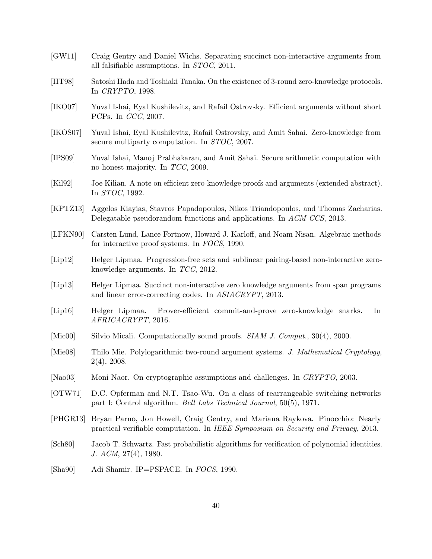- <span id="page-39-4"></span>[GW11] Craig Gentry and Daniel Wichs. Separating succinct non-interactive arguments from all falsifiable assumptions. In STOC, 2011.
- <span id="page-39-10"></span>[HT98] Satoshi Hada and Toshiaki Tanaka. On the existence of 3-round zero-knowledge protocols. In CRYPTO, 1998.
- <span id="page-39-5"></span>[IKO07] Yuval Ishai, Eyal Kushilevitz, and Rafail Ostrovsky. Efficient arguments without short PCPs. In CCC, 2007.
- <span id="page-39-8"></span>[IKOS07] Yuval Ishai, Eyal Kushilevitz, Rafail Ostrovsky, and Amit Sahai. Zero-knowledge from secure multiparty computation. In STOC, 2007.
- <span id="page-39-14"></span>[IPS09] Yuval Ishai, Manoj Prabhakaran, and Amit Sahai. Secure arithmetic computation with no honest majority. In TCC, 2009.
- <span id="page-39-2"></span>[Kil92] Joe Kilian. A note on efficient zero-knowledge proofs and arguments (extended abstract). In STOC, 1992.
- <span id="page-39-17"></span>[KPTZ13] Aggelos Kiayias, Stavros Papadopoulos, Nikos Triandopoulos, and Thomas Zacharias. Delegatable pseudorandom functions and applications. In ACM CCS, 2013.
- <span id="page-39-0"></span>[LFKN90] Carsten Lund, Lance Fortnow, Howard J. Karloff, and Noam Nisan. Algebraic methods for interactive proof systems. In FOCS, 1990.
- <span id="page-39-6"></span>[Lip12] Helger Lipmaa. Progression-free sets and sublinear pairing-based non-interactive zeroknowledge arguments. In TCC, 2012.
- <span id="page-39-7"></span>[Lip13] Helger Lipmaa. Succinct non-interactive zero knowledge arguments from span programs and linear error-correcting codes. In ASIACRYPT, 2013.
- <span id="page-39-12"></span>[Lip16] Helger Lipmaa. Prover-efficient commit-and-prove zero-knowledge snarks. In AFRICACRYPT, 2016.
- <span id="page-39-3"></span>[Mic00] Silvio Micali. Computationally sound proofs. *SIAM J. Comput.*, 30(4), 2000.
- <span id="page-39-11"></span>[Mie08] Thilo Mie. Polylogarithmic two-round argument systems. J. Mathematical Cryptology, 2(4), 2008.
- <span id="page-39-9"></span>[Nao03] Moni Naor. On cryptographic assumptions and challenges. In CRYPTO, 2003.
- <span id="page-39-16"></span>[OTW71] D.C. Opferman and N.T. Tsao-Wu. On a class of rearrangeable switching networks part I: Control algorithm. Bell Labs Technical Journal, 50(5), 1971.
- <span id="page-39-13"></span>[PHGR13] Bryan Parno, Jon Howell, Craig Gentry, and Mariana Raykova. Pinocchio: Nearly practical verifiable computation. In IEEE Symposium on Security and Privacy, 2013.
- <span id="page-39-15"></span>[Sch80] Jacob T. Schwartz. Fast probabilistic algorithms for verification of polynomial identities. J. ACM, 27(4), 1980.
- <span id="page-39-1"></span>[Sha90] Adi Shamir. IP=PSPACE. In FOCS, 1990.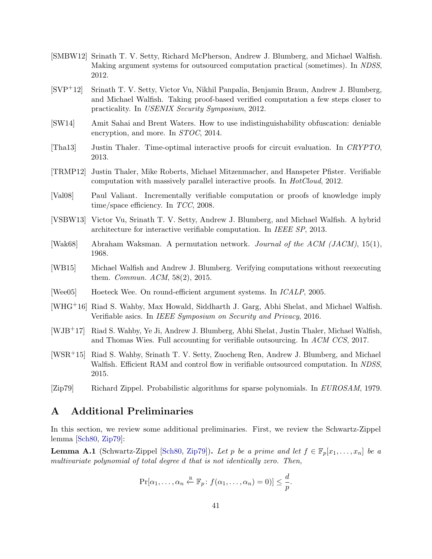- <span id="page-40-4"></span>[SMBW12] Srinath T. V. Setty, Richard McPherson, Andrew J. Blumberg, and Michael Walfish. Making argument systems for outsourced computation practical (sometimes). In NDSS, 2012.
- <span id="page-40-5"></span>[SVP+12] Srinath T. V. Setty, Victor Vu, Nikhil Panpalia, Benjamin Braun, Andrew J. Blumberg, and Michael Walfish. Taking proof-based verified computation a few steps closer to practicality. In USENIX Security Symposium, 2012.
- <span id="page-40-1"></span>[SW14] Amit Sahai and Brent Waters. How to use indistinguishability obfuscation: deniable encryption, and more. In STOC, 2014.
- <span id="page-40-6"></span>[Tha13] Justin Thaler. Time-optimal interactive proofs for circuit evaluation. In CRYPTO, 2013.
- <span id="page-40-3"></span>[TRMP12] Justin Thaler, Mike Roberts, Michael Mitzenmacher, and Hanspeter Pfister. Verifiable computation with massively parallel interactive proofs. In HotCloud, 2012.
- <span id="page-40-2"></span>[Val08] Paul Valiant. Incrementally verifiable computation or proofs of knowledge imply time/space efficiency. In TCC, 2008.
- <span id="page-40-7"></span>[VSBW13] Victor Vu, Srinath T. V. Setty, Andrew J. Blumberg, and Michael Walfish. A hybrid architecture for interactive verifiable computation. In IEEE SP, 2013.
- <span id="page-40-15"></span>[Wak68] Abraham Waksman. A permutation network. Journal of the ACM (JACM), 15(1), 1968.
- <span id="page-40-11"></span>[WB15] Michael Walfish and Andrew J. Blumberg. Verifying computations without reexecuting them. Commun. ACM, 58(2), 2015.
- <span id="page-40-0"></span>[Wee05] Hoeteck Wee. On round-efficient argument systems. In ICALP, 2005.
- <span id="page-40-8"></span>[WHG+16] Riad S. Wahby, Max Howald, Siddharth J. Garg, Abhi Shelat, and Michael Walfish. Verifiable asics. In IEEE Symposium on Security and Privacy, 2016.
- <span id="page-40-9"></span>[WJB+17] Riad S. Wahby, Ye Ji, Andrew J. Blumberg, Abhi Shelat, Justin Thaler, Michael Walfish, and Thomas Wies. Full accounting for verifiable outsourcing. In ACM CCS, 2017.
- <span id="page-40-10"></span>[WSR+15] Riad S. Wahby, Srinath T. V. Setty, Zuocheng Ren, Andrew J. Blumberg, and Michael Walfish. Efficient RAM and control flow in verifiable outsourced computation. In NDSS, 2015.
- <span id="page-40-14"></span>[Zip79] Richard Zippel. Probabilistic algorithms for sparse polynomials. In EUROSAM, 1979.

## <span id="page-40-13"></span>A Additional Preliminaries

In this section, we review some additional preliminaries. First, we review the Schwartz-Zippel lemma [\[Sch80,](#page-39-15) [Zip79\]](#page-40-14):

<span id="page-40-12"></span>**Lemma A.1** (Schwartz-Zippel [\[Sch80,](#page-39-15) [Zip79\]](#page-40-14)). Let p be a prime and let  $f \in \mathbb{F}_p[x_1, \ldots, x_n]$  be a multivariate polynomial of total degree d that is not identically zero. Then,

$$
\Pr[\alpha_1,\ldots,\alpha_n \stackrel{\text{R}}{\leftarrow} \mathbb{F}_p\colon f(\alpha_1,\ldots,\alpha_n)=0)] \leq \frac{d}{p}.
$$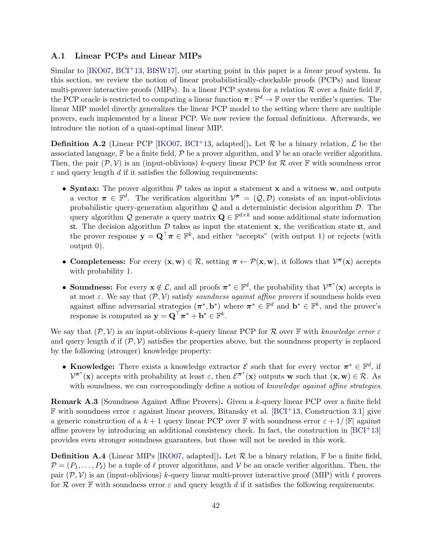#### <span id="page-41-0"></span>A.1 Linear PCPs and Linear MIPs

Similar to  $[KO07, BCI<sup>+</sup>13, BISW17]$  $[KO07, BCI<sup>+</sup>13, BISW17]$  $[KO07, BCI<sup>+</sup>13, BISW17]$  $[KO07, BCI<sup>+</sup>13, BISW17]$ , our starting point in this paper is a *linear* proof system. In this section, we review the notion of linear probabilistically-checkable proofs (PCPs) and linear multi-prover interactive proofs (MIPs). In a linear PCP system for a relation  $\mathcal R$  over a finite field  $\mathbb F$ . the PCP oracle is restricted to computing a linear function  $\pi: \mathbb{F}^d \to \mathbb{F}$  over the verifier's queries. The linear MIP model directly generalizes the linear PCP model to the setting where there are multiple provers, each implemented by a linear PCP. We now review the formal definitions. Afterwards, we introduce the notion of a quasi-optimal linear MIP.

<span id="page-41-2"></span>**Definition A.2** (Linear PCP [\[IKO07,](#page-39-5) [BCI](#page-36-3)<sup>+</sup>13, adapted]). Let  $\mathcal{R}$  be a binary relation,  $\mathcal{L}$  be the associated language,  $\mathbb F$  be a finite field,  $\mathcal P$  be a prover algorithm, and  $\mathcal V$  be an oracle verifier algorithm. Then, the pair  $(\mathcal{P}, \mathcal{V})$  is an (input-oblivious) k-query linear PCP for  $\mathcal{R}$  over  $\mathbb F$  with soundness error  $\varepsilon$  and query length d if it satisfies the following requirements:

- Syntax: The prover algorithm  $P$  takes as input a statement x and a witness w, and outputs a vector  $\pi \in \mathbb{F}^d$ . The verification algorithm  $\mathcal{V}^{\pi} = (\mathcal{Q}, \mathcal{D})$  consists of an input-oblivious probabilistic query-generation algorithm  $\mathcal{Q}$  and a deterministic decision algorithm  $\mathcal{D}$ . The query algorithm Q generate a query matrix  $\mathbf{Q} \in \mathbb{F}^{d \times k}$  and some additional state information st. The decision algorithm  $\mathcal D$  takes as input the statement  $\mathbf x$ , the verification state st, and the prover response  $y = Q^{\top}\pi \in \mathbb{F}^k$ , and either "accepts" (with output 1) or rejects (with output 0).
- Completeness: For every  $(x, w) \in \mathcal{R}$ , setting  $\pi \leftarrow \mathcal{P}(x, w)$ , it follows that  $\mathcal{V}^{\pi}(x)$  accepts with probability 1.
- Soundness: For every  $\mathbf{x} \notin \mathcal{L}$ , and all proofs  $\pi^* \in \mathbb{F}^d$ , the probability that  $\mathcal{V}^{\pi^*}(\mathbf{x})$  accepts is at most  $\varepsilon$ . We say that  $(\mathcal{P}, \mathcal{V})$  satisfy soundness against affine provers if soundness holds even against affine adversarial strategies  $(\pi^*, \mathbf{b}^*)$  where  $\pi^* \in \mathbb{F}^d$  and  $\mathbf{b}^* \in \mathbb{F}^k$ , and the prover's response is computed as  $y = \mathbf{Q}^{\top} \pi^* + \mathbf{b}^* \in \mathbb{F}^k$ .

We say that  $(\mathcal{P}, \mathcal{V})$  is an input-oblivious k-query linear PCP for R over F with knowledge error  $\varepsilon$ and query length d if  $(\mathcal{P}, \mathcal{V})$  satisfies the properties above, but the soundness property is replaced by the following (stronger) knowledge property:

• Knowledge: There exists a knowledge extractor  $\mathcal E$  such that for every vector  $\pi^* \in \mathbb F^d$ , if  $V^{\pi^*}(\mathbf{x})$  accepts with probability at least  $\varepsilon$ , then  $\mathcal{E}^{\pi^*}(\mathbf{x})$  outputs w such that  $(\mathbf{x}, \mathbf{w}) \in \mathcal{R}$ . As with soundness, we can correspondingly define a notion of knowledge against affine strategies.

<span id="page-41-1"></span>Remark A.3 (Soundness Against Affine Provers). Given a k-query linear PCP over a finite field **F** with soundness error  $\varepsilon$  against linear provers, Bitansky et al. [\[BCI](#page-36-3)<sup>+13</sup>, Construction 3.1] give a generic construction of a  $k+1$  query linear PCP over F with soundness error  $\varepsilon + 1/|\mathbb{F}|$  against affine provers by introducing an additional consistency check. In fact, the construction in  $[BCI<sup>+</sup>13]$ provides even stronger soundness guarantees, but those will not be needed in this work.

**Definition A.4** (Linear MIPs [\[IKO07,](#page-39-5) adapted]). Let  $\mathcal{R}$  be a binary relation,  $\mathbb{F}$  be a finite field,  $\mathcal{P} = (P_1, \ldots, P_\ell)$  be a tuple of  $\ell$  prover algorithms, and  $\mathcal V$  be an oracle verifier algorithm. Then, the pair  $(\mathcal{P}, \mathcal{V})$  is an (input-oblivious) k-query linear multi-prover interactive proof (MIP) with  $\ell$  provers for R over F with soundness error  $\varepsilon$  and query length d if it satisfies the following requirements: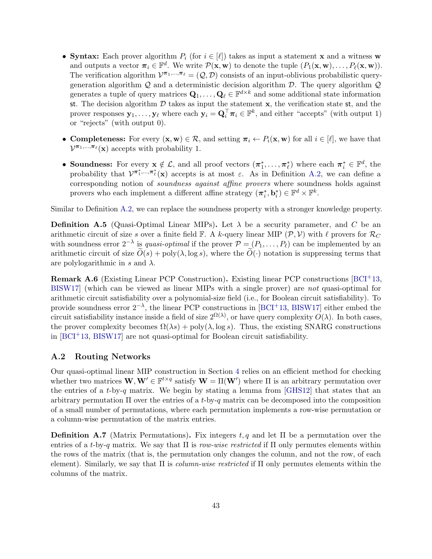- Syntax: Each prover algorithm  $P_i$  (for  $i \in [\ell]$ ) takes as input a statement x and a witness w and outputs a vector  $\pi_i \in \mathbb{F}^d$ . We write  $\mathcal{P}(\mathbf{x}, \mathbf{w})$  to denote the tuple  $(P_1(\mathbf{x}, \mathbf{w}), \dots, P_\ell(\mathbf{x}, \mathbf{w}))$ . The verification algorithm  $V^{\pi_1,\dots,\pi_\ell} = (Q, \mathcal{D})$  consists of an input-oblivious probabilistic querygeneration algorithm  $\mathcal Q$  and a deterministic decision algorithm  $\mathcal D$ . The query algorithm  $\mathcal Q$ generates a tuple of query matrices  $\mathbf{Q}_1, \ldots, \mathbf{Q}_{\ell} \in \mathbb{F}^{d \times k}$  and some additional state information st. The decision algorithm  $D$  takes as input the statement  $x$ , the verification state st, and the prover responses  $\mathbf{y}_1, \ldots, \mathbf{y}_{\ell}$  where each  $\mathbf{y}_i = \mathbf{Q}_i^{\top} \boldsymbol{\pi}_i \in \mathbb{F}^k$ , and either "accepts" (with output 1) or "rejects" (with output 0).
- Completeness: For every  $(\mathbf{x}, \mathbf{w}) \in \mathcal{R}$ , and setting  $\pi_i \leftarrow P_i(\mathbf{x}, \mathbf{w})$  for all  $i \in [\ell]$ , we have that  $\mathcal{V}^{\pi_1,\ldots,\pi_\ell}(\mathbf{x})$  accepts with probability 1.
- Soundness: For every  $x \notin \mathcal{L}$ , and all proof vectors  $(\pi_1^*, \ldots, \pi_\ell^*)$  where each  $\pi_i^* \in \mathbb{F}^d$ , the probability that  $V^{\pi_1^*,..., \pi_\ell^*}(\mathbf{x})$  accepts is at most  $\varepsilon$ . As in Definition [A.2,](#page-41-2) we can define a corresponding notion of soundness against affine provers where soundness holds against provers who each implement a different affine strategy  $(\boldsymbol{\pi}_i^*, \mathbf{b}_i^*) \in \mathbb{F}^d \times \mathbb{F}^k$ .

Similar to Definition [A.2,](#page-41-2) we can replace the soundness property with a stronger knowledge property.

**Definition A.5** (Quasi-Optimal Linear MIPs). Let  $\lambda$  be a security parameter, and C be an arithmetic circuit of size s over a finite field  $\mathbb{F}$ . A k-query linear MIP  $(\mathcal{P}, \mathcal{V})$  with  $\ell$  provers for  $\mathcal{R}_C$ with soundness error  $2^{-\lambda}$  is *quasi-optimal* if the prover  $\mathcal{P} = (P_1, \ldots, P_\ell)$  can be implemented by an arithmetic circuit of size  $\tilde{O}(s)$  + poly( $\lambda$ , log s), where the  $\tilde{O}(\cdot)$  notation is suppressing terms that are polylogarithmic in s and  $\lambda$ .

<span id="page-42-0"></span>Remark A.6 (Existing Linear PCP Construction). Existing linear PCP constructions [\[BCI](#page-36-3)+13, [BISW17\]](#page-37-3) (which can be viewed as linear MIPs with a single prover) are not quasi-optimal for arithmetic circuit satisfiability over a polynomial-size field (i.e., for Boolean circuit satisfiability). To provide soundness error  $2^{-\lambda}$ , the linear PCP constructions in [\[BCI](#page-36-3)<sup>+</sup>13, [BISW17\]](#page-37-3) either embed the circuit satisfiability instance inside a field of size  $2^{\Omega(\lambda)}$ , or have query complexity  $O(\lambda)$ . In both cases, the prover complexity becomes  $\Omega(\lambda s)$  + poly( $\lambda$ , log s). Thus, the existing SNARG constructions in  $[BCI<sup>+</sup>13, BISW17]$  $[BCI<sup>+</sup>13, BISW17]$  are not quasi-optimal for Boolean circuit satisfiability.

#### A.2 Routing Networks

Our quasi-optimal linear MIP construction in Section [4](#page-12-0) relies on an efficient method for checking whether two matrices  $\mathbf{W}, \mathbf{W}' \in \mathbb{F}^{t \times q}$  satisfy  $\mathbf{W} = \Pi(\mathbf{W}')$  where  $\Pi$  is an arbitrary permutation over the entries of a t-by-q matrix. We begin by stating a lemma from [\[GHS12\]](#page-38-13) that states that an arbitrary permutation  $\Pi$  over the entries of a t-by-q matrix can be decomposed into the composition of a small number of permutations, where each permutation implements a row-wise permutation or a column-wise permutation of the matrix entries.

Definition A.7 (Matrix Permutations). Fix integers  $t, q$  and let  $\Pi$  be a permutation over the entries of a t-by-q matrix. We say that  $\Pi$  is row-wise restricted if  $\Pi$  only permutes elements within the rows of the matrix (that is, the permutation only changes the column, and not the row, of each element). Similarly, we say that  $\Pi$  is *column-wise restricted* if  $\Pi$  only permutes elements within the columns of the matrix.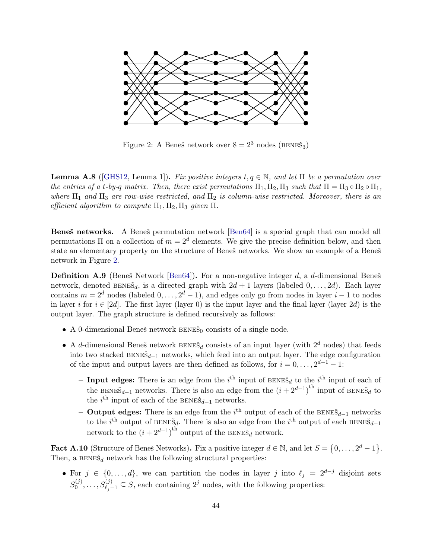<span id="page-43-1"></span>

Figure 2: A Beneš network over  $8 = 2^3$  nodes (BENEŠ<sub>3</sub>)

<span id="page-43-0"></span>**Lemma A.8** ([\[GHS12,](#page-38-13) Lemma 1]). Fix positive integers  $t, q \in \mathbb{N}$ , and let  $\Pi$  be a permutation over the entries of a t-by-q matrix. Then, there exist permutations  $\Pi_1, \Pi_2, \Pi_3$  such that  $\Pi = \Pi_3 \circ \Pi_2 \circ \Pi_1$ , where  $\Pi_1$  and  $\Pi_3$  are row-wise restricted, and  $\Pi_2$  is column-wise restricted. Moreover, there is an efficient algorithm to compute  $\Pi_1, \Pi_2, \Pi_3$  given  $\Pi$ .

Beneš networks. A Beneš permutation network [\[Ben64\]](#page-36-13) is a special graph that can model all permutations  $\Pi$  on a collection of  $m = 2^d$  elements. We give the precise definition below, and then state an elementary property on the structure of Beneš networks. We show an example of a Beneš network in Figure [2.](#page-43-1)

**Definition A.9** (Beneš Network [\[Ben64\]](#page-36-13)). For a non-negative integer d, a d-dimensional Beneš network, denoted BENE $\check{s}_d$ , is a directed graph with  $2d + 1$  layers (labeled  $0, \ldots, 2d$ ). Each layer contains  $m = 2^d$  nodes (labeled  $0, \ldots, 2^d - 1$ ), and edges only go from nodes in layer  $i - 1$  to nodes in layer i for  $i \in [2d]$ . The first layer (layer 0) is the input layer and the final layer (layer 2d) is the output layer. The graph structure is defined recursively as follows:

- A 0-dimensional Beneš network  $BENE\tilde{S}_0$  consists of a single node.
- A d-dimensional Beneš network  $BENE\tilde{S}_d$  consists of an input layer (with  $2^d$  nodes) that feeds into two stacked  $BENE\check{S}_{d-1}$  networks, which feed into an output layer. The edge configuration of the input and output layers are then defined as follows, for  $i = 0, \ldots, 2^{d-1} - 1$ :
	- Input edges: There is an edge from the  $i<sup>th</sup>$  input of BENE $\check{s}_d$  to the  $i<sup>th</sup>$  input of each of the BENE $\check{s}_{d-1}$  networks. There is also an edge from the  $(i + 2^{d-1})^{\text{th}}$  input of BENE $\check{s}_d$  to the  $i^{\text{th}}$  input of each of the BENE $\check{s}_{d-1}$  networks.
	- − Output edges: There is an edge from the  $i<sup>th</sup>$  output of each of the BENEŠ<sub>d−1</sub> networks to the i<sup>th</sup> output of BENEŠ<sub>d</sub>. There is also an edge from the i<sup>th</sup> output of each BENEŠ<sub>d-1</sub> network to the  $(i + 2^{d-1})^{\text{th}}$  output of the BENE $\check{s}_d$  network.

<span id="page-43-2"></span>**Fact A.10** (Structure of Beneš Networks). Fix a positive integer  $d \in \mathbb{N}$ , and let  $S = \{0, \ldots, 2^d - 1\}$ . Then, a  $BENE\tilde{S}_d$  network has the following structural properties:

• For  $j \in \{0, \ldots, d\}$ , we can partition the nodes in layer j into  $\ell_j = 2^{d-j}$  disjoint sets  $S_0^{(j)}$  $S_{0}^{(j)},\ldots,S_{\ell_j-1}^{(j)}\subseteq S$ , each containing  $2^j$  nodes, with the following properties: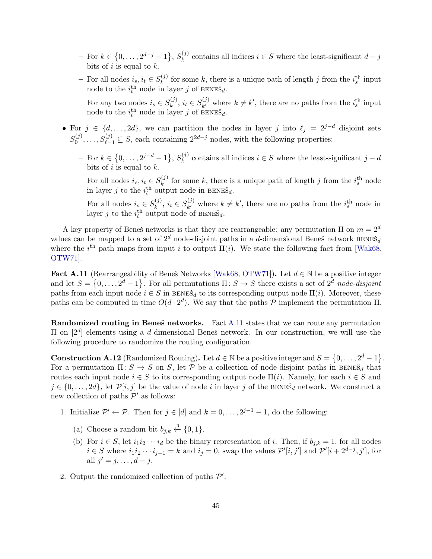- $-$  For  $k \in \{0, \ldots, 2^{d-j} 1\}, S_k^{(j)}$  $\binom{[j]}{k}$  contains all indices  $i \in S$  where the least-significant  $d - j$ bits of i is equal to  $k$ .
- For all nodes  $i_s, i_t \in S_k^{(j)}$  $\binom{f}{k}$  for some k, there is a unique path of length j from the  $i_s^{\text{th}}$  input node to the  $i_t^{\text{th}}$  node in layer j of BENES<sub>d</sub>.
- For any two nodes  $i_s \in S_k^{(j)}$  $s_k^{(j)}$ ,  $i_t \in S_{k'}^{(j)}$  $(k, k')$  where  $k \neq k'$ , there are no paths from the  $i_s^{\text{th}}$  input node to the  $i_t^{\text{th}}$  node in layer j of  $\mathop{\text{BENE}}\limits^{\text{n}} s_d$ .
- For  $j \in \{d, \ldots, 2d\}$ , we can partition the nodes in layer j into  $\ell_j = 2^{j-d}$  disjoint sets  $S_0^{(j)}$  $S_0^{(j)}, \ldots, S_{\ell-1}^{(j)} \subseteq S$ , each containing  $2^{2d-j}$  nodes, with the following properties:
	- $-$  For  $k \in \{0, \ldots, 2^{j-d}-1\}, S_k^{(j)}$  $\binom{[j]}{k}$  contains all indices  $i \in S$  where the least-significant  $j - d$ bits of i is equal to  $k$ .
	- For all nodes  $i_s, i_t \in S_k^{(j)}$  $\kappa_k^{(j)}$  for some k, there is a unique path of length j from the  $i_s^{\text{th}}$  node in layer j to the  $i_t^{\text{th}}$  output node in BENES<sub>d</sub>.
	- For all nodes  $i_s \in S_k^{(j)}$  $s_k^{(j)}$ ,  $i_t \in S_{k'}^{(j)}$  $(k, k')$  where  $k \neq k'$ , there are no paths from the  $i_s^{\text{th}}$  node in layer j to the  $i_t^{\text{th}}$  output node of BENES<sub>d</sub>.

A key property of Beneš networks is that they are rearrangeable: any permutation  $\Pi$  on  $m=2^d$ values can be mapped to a set of  $2^d$  node-disjoint paths in a d-dimensional Beneš network BENE $\check{S}_d$ where the i<sup>th</sup> path maps from input i to output  $\Pi(i)$ . We state the following fact from [\[Wak68,](#page-40-15) [OTW71\]](#page-39-16).

<span id="page-44-1"></span>Fact A.11 (Rearrangeability of Beneš Networks [\[Wak68,](#page-40-15) [OTW71\]](#page-39-16)). Let  $d \in \mathbb{N}$  be a positive integer and let  $S = \{0, \ldots, 2^d - 1\}$ . For all permutations  $\Pi: S \to S$  there exists a set of  $2^d$  node-disjoint paths from each input node  $i \in S$  in  $\overline{B}$ ENES<sub>d</sub> to its corresponding output node  $\Pi(i)$ . Moreover, these paths can be computed in time  $O(d \cdot 2^d)$ . We say that the paths P implement the permutation  $\Pi$ .

Randomized routing in Beneš networks. Fact [A.11](#page-44-1) states that we can route any permutation II on  $[2^d]$  elements using a d-dimensional Beneš network. In our construction, we will use the following procedure to randomize the routing configuration.

<span id="page-44-0"></span>**Construction A.12** (Randomized Routing). Let  $d \in \mathbb{N}$  be a positive integer and  $S = \{0, \ldots, 2^d - 1\}$ . For a permutation  $\Pi: S \to S$  on S, let P be a collection of node-disjoint paths in BENE $\check{s}_d$  that routes each input node  $i \in S$  to its corresponding output node  $\Pi(i)$ . Namely, for each  $i \in S$  and  $j \in \{0, \ldots, 2d\}$ , let  $\mathcal{P}[i, j]$  be the value of node i in layer j of the BENE $\check{s}_d$  network. We construct a new collection of paths  $\mathcal{P}'$  as follows:

- 1. Initialize  $\mathcal{P}' \leftarrow \mathcal{P}$ . Then for  $j \in [d]$  and  $k = 0, \ldots, 2^{j-1} 1$ , do the following:
	- (a) Choose a random bit  $b_{j,k} \stackrel{\text{R}}{\leftarrow} \{0,1\}.$
	- (b) For  $i \in S$ , let  $i_1 i_2 \cdots i_d$  be the binary representation of i. Then, if  $b_{j,k} = 1$ , for all nodes  $i \in S$  where  $i_1 i_2 \cdots i_{j-1} = k$  and  $i_j = 0$ , swap the values  $\mathcal{P}'[i, j']$  and  $\mathcal{P}'[i + 2^{d-j}, j']$ , for all  $j' = j, \ldots, d - j$ .
- 2. Output the randomized collection of paths  $\mathcal{P}'$ .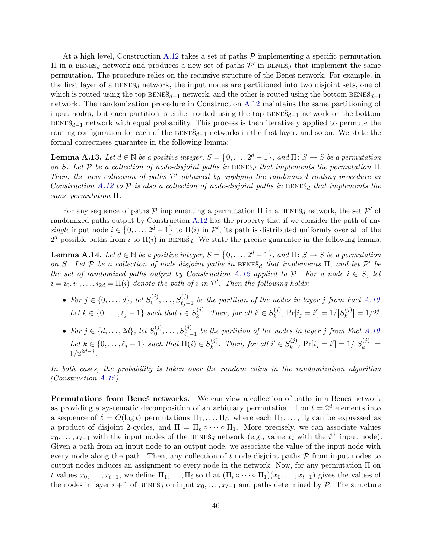At a high level, Construction [A.12](#page-44-0) takes a set of paths  $P$  implementing a specific permutation II in a BENEŠ<sub>d</sub> network and produces a new set of paths  $\mathcal{P}'$  in BENEŠ<sub>d</sub> that implement the same permutation. The procedure relies on the recursive structure of the Beneš network. For example, in the first layer of a  $BENE\tilde{S}_d$  network, the input nodes are partitioned into two disjoint sets, one of which is routed using the top  $BENE\check{S}_{d-1}$  network, and the other is routed using the bottom  $BENE\check{S}_{d-1}$ network. The randomization procedure in Construction [A.12](#page-44-0) maintains the same partitioning of input nodes, but each partition is either routed using the top  $BENE\tilde{S}_{d-1}$  network or the bottom  $BENE\ddot{\delta}_{d-1}$  network with equal probability. This process is then iteratively applied to permute the routing configuration for each of the  $BENE\check{S}_{d-1}$  networks in the first layer, and so on. We state the formal correctness guarantee in the following lemma:

**Lemma A.13.** Let  $d \in \mathbb{N}$  be a positive integer,  $S = \{0, \ldots, 2^d - 1\}$ , and  $\Pi: S \to S$  be a permutation on S. Let P be a collection of node-disjoint paths in  $BENE\tilde{S}_d$  that implements the permutation  $\Pi$ . Then, the new collection of paths  $P'$  obtained by applying the randomized routing procedure in Construction [A.12](#page-44-0) to  $P$  is also a collection of node-disjoint paths in BENE $\check{s}_d$  that implements the same permutation Π.

For any sequence of paths  $P$  implementing a permutation  $\Pi$  in a BENE $\check{s}_d$  network, the set  $P'$  of randomized paths output by Construction [A.12](#page-44-0) has the property that if we consider the path of any single input node  $i \in \{0, \ldots, 2^d-1\}$  to  $\Pi(i)$  in P', its path is distributed uniformly over all of the  $2^d$  possible paths from i to  $\Pi(i)$  in BENES<sub>d</sub>. We state the precise guarantee in the following lemma:

<span id="page-45-0"></span>**Lemma A.14.** Let  $d \in \mathbb{N}$  be a positive integer,  $S = \{0, \ldots, 2^d - 1\}$ , and  $\Pi: S \to S$  be a permutation on S. Let  $P$  be a collection of node-disjoint paths in BENES<sub>d</sub> that implements  $\Pi$ , and let  $P'$  be the set of randomized paths output by Construction [A.12](#page-44-0) applied to  $\mathcal{P}$ . For a node  $i \in S$ , let  $i = i_0, i_1, \ldots, i_{2d} = \Pi(i)$  denote the path of i in  $\mathcal{P}'$ . Then the following holds:

- For  $j \in \{0, \ldots, d\}$ , let  $S_0^{(j)}$  $S^{(j)}_{0},\ldots,S^{(j)}_{\ell_j-1}$  be the partition of the nodes in layer j from Fact [A.10.](#page-43-2) Let  $k \in \{0, \ldots, \ell_j - 1\}$  such that  $i \in S_k^{(j)}$  $\mathbf{E}_k^{(j)}$ . Then, for all  $i' \in S_k^{(j)}$  $\Pr_k^{(j)}$ ,  $\Pr[i_j = i'] = 1 / |S_k^{(j)}|$  $\binom{f(j)}{k} = 1/2^j.$
- For  $j \in \{d, ..., 2d\}$ , let  $S_0^{(j)}$  $S^{(j)}_{0}, \ldots, S^{(j)}_{\ell_j-1}$  be the partition of the nodes in layer j from Fact [A.10.](#page-43-2) Let  $k \in \{0, \ldots, \ell_j - 1\}$  such that  $\Pi(i) \in S_k^{(j)}$  $k^{(j)}$ . Then, for all  $i' \in S_k^{(j)}$  $\Pr_k^{(j)}$ ,  $\Pr[i_j = i'] = 1 / |S_k^{(j)}|$  $\left|\frac{f^{(j)}}{k}\right|=$  $1/2^{2d-j}$ .

In both cases, the probability is taken over the random coins in the randomization algorithm (Construction [A.12\)](#page-44-0).

Permutations from Beneš networks. We can view a collection of paths in a Beneš network as providing a systematic decomposition of an arbitrary permutation  $\Pi$  on  $t = 2^d$  elements into a sequence of  $\ell = O(\log t)$  permutations  $\Pi_1, \ldots, \Pi_{\ell}$ , where each  $\Pi_1, \ldots, \Pi_{\ell}$  can be expressed as a product of disjoint 2-cycles, and  $\Pi = \Pi_{\ell} \circ \cdots \circ \Pi_1$ . More precisely, we can associate values  $x_0, \ldots, x_{t-1}$  with the input nodes of the BENES<sub>d</sub> network (e.g., value  $x_i$  with the i<sup>th</sup> input node). Given a path from an input node to an output node, we associate the value of the input node with every node along the path. Then, any collection of  $t$  node-disjoint paths  $\mathcal P$  from input nodes to output nodes induces an assignment to every node in the network. Now, for any permutation Π on t values  $x_0, \ldots, x_{t-1}$ , we define  $\Pi_1, \ldots, \Pi_\ell$  so that  $(\Pi_i \circ \cdots \circ \Pi_1)(x_0, \ldots, x_{t-1})$  gives the values of the nodes in layer  $i + 1$  of BENE $\check{s}_d$  on input  $x_0, \ldots, x_{t-1}$  and paths determined by  $\mathcal{P}$ . The structure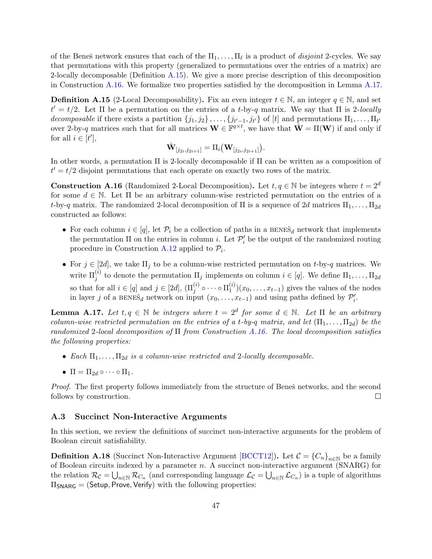of the Beneš network ensures that each of the  $\Pi_1, \ldots, \Pi_\ell$  is a product of *disjoint* 2-cycles. We say that permutations with this property (generalized to permutations over the entries of a matrix) are 2-locally decomposable (Definition [A.15\)](#page-46-2). We give a more precise description of this decomposition in Construction [A.16.](#page-46-3) We formalize two properties satisfied by the decomposition in Lemma [A.17.](#page-46-4)

<span id="page-46-2"></span>**Definition A.15** (2-Local Decomposability). Fix an even integer  $t \in \mathbb{N}$ , an integer  $q \in \mathbb{N}$ , and set  $t' = t/2$ . Let  $\Pi$  be a permutation on the entries of a t-by-q matrix. We say that  $\Pi$  is 2-locally decomposable if there exists a partition  $\{j_1, j_2\}, \ldots, \{j_{t'-1}, j_{t'}\}$  of [t] and permutations  $\Pi_1, \ldots, \Pi_{t'}$ over 2-by-q matrices such that for all matrices  $\mathbf{W} \in \mathbb{F}^{q \times t}$ , we have that  $\hat{\mathbf{W}} = \Pi(\mathbf{W})$  if and only if for all  $i \in [t'],$ 

$$
\hat{\mathbf{W}}_{[j_{2i},j_{2i+1}]} = \Pi_i(\mathbf{W}_{[j_{2i},j_{2i+1}]}).
$$

In other words, a permutation Π is 2-locally decomposable if Π can be written as a composition of  $t' = t/2$  disjoint permutations that each operate on exactly two rows of the matrix.

<span id="page-46-3"></span>**Construction A.16** (Randomized 2-Local Decomposition). Let  $t, q \in \mathbb{N}$  be integers where  $t = 2^d$ for some  $d \in \mathbb{N}$ . Let  $\Pi$  be an arbitrary column-wise restricted permutation on the entries of a t-by-q matrix. The randomized 2-local decomposition of  $\Pi$  is a sequence of 2d matrices  $\Pi_1, \ldots, \Pi_{2d}$ constructed as follows:

- For each column  $i \in [q]$ , let  $\mathcal{P}_i$  be a collection of paths in a BENE $\check{s}_d$  network that implements the permutation  $\Pi$  on the entries in column *i*. Let  $\mathcal{P}'_i$  be the output of the randomized routing procedure in Construction [A.12](#page-44-0) applied to  $\mathcal{P}_i$ .
- For  $j \in [2d]$ , we take  $\Pi_j$  to be a column-wise restricted permutation on t-by-q matrices. We write  $\Pi_j^{(i)}$  to denote the permutation  $\Pi_j$  implements on column  $i \in [q]$ . We define  $\Pi_1, \ldots, \Pi_{2d}$ so that for all  $i \in [q]$  and  $j \in [2d]$ ,  $(\Pi_j^{(i)} \circ \cdots \circ \Pi_1^{(i)})$  $1^{(i)}(x_0,\ldots,x_{t-1})$  gives the values of the nodes in layer j of a BENES<sub>d</sub> network on input  $(x_0, \ldots, x_{t-1})$  and using paths defined by  $\mathcal{P}'_i$ .

<span id="page-46-4"></span>**Lemma A.17.** Let  $t, q \in \mathbb{N}$  be integers where  $t = 2^d$  for some  $d \in \mathbb{N}$ . Let  $\Pi$  be an arbitrary column-wise restricted permutation on the entries of a t-by-q matrix, and let  $(\Pi_1, \ldots, \Pi_{2d})$  be the randomized 2-local decomposition of  $\Pi$  from Construction [A.16.](#page-46-3) The local decomposition satisfies the following properties:

- Each  $\Pi_1, \ldots, \Pi_{2d}$  is a column-wise restricted and 2-locally decomposable.
- $\Pi = \Pi_{2d} \circ \cdots \circ \Pi_1$ .

*Proof.* The first property follows immediately from the structure of Beneš networks, and the second follows by construction.  $\Box$ 

#### <span id="page-46-0"></span>A.3 Succinct Non-Interactive Arguments

In this section, we review the definitions of succinct non-interactive arguments for the problem of Boolean circuit satisfiability.

<span id="page-46-1"></span>**Definition A.18** (Succinct Non-Interactive Argument [\[BCCT12\]](#page-36-4)). Let  $C = \{C_n\}_{n \in \mathbb{N}}$  be a family of Boolean circuits indexed by a parameter  $n$ . A succinct non-interactive argument (SNARG) for the relation  $\mathcal{R}_{\mathcal{C}} = \bigcup_{n \in \mathbb{N}} \mathcal{R}_{C_n}$  (and corresponding language  $\mathcal{L}_{\mathcal{C}} = \bigcup_{n \in \mathbb{N}} \mathcal{L}_{C_n}$ ) is a tuple of algorithms  $\Pi_{SNARG} = (Setup, Prove, Verify)$  with the following properties: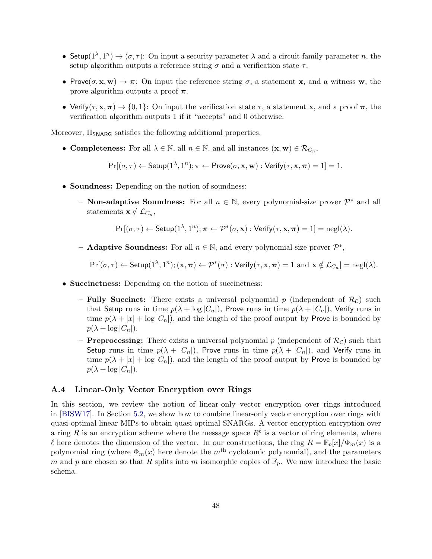- Setup $(1^{\lambda}, 1^n) \rightarrow (\sigma, \tau)$ : On input a security parameter  $\lambda$  and a circuit family parameter n, the setup algorithm outputs a reference string  $\sigma$  and a verification state  $\tau$ .
- Prove $(\sigma, \mathbf{x}, \mathbf{w}) \to \pi$ : On input the reference string  $\sigma$ , a statement x, and a witness w, the prove algorithm outputs a proof  $\pi$ .
- Verify( $\tau$ ,  $\mathbf{x}, \pi$ )  $\rightarrow$  {0, 1}: On input the verification state  $\tau$ , a statement x, and a proof  $\pi$ , the verification algorithm outputs 1 if it "accepts" and 0 otherwise.

Moreover,  $\Pi_{\text{SNARG}}$  satisfies the following additional properties.

• Completeness: For all  $\lambda \in \mathbb{N}$ , all  $n \in \mathbb{N}$ , and all instances  $(\mathbf{x}, \mathbf{w}) \in \mathcal{R}_{C_n}$ ,

$$
\Pr[(\sigma, \tau) \leftarrow \mathsf{Setup}(1^{\lambda}, 1^n); \pi \leftarrow \mathsf{Prove}(\sigma, \mathbf{x}, \mathbf{w}): \mathsf{Verify}(\tau, \mathbf{x}, \pi) = 1] = 1.
$$

- Soundness: Depending on the notion of soundness:
	- **Non-adaptive Soundness:** For all  $n \in \mathbb{N}$ , every polynomial-size prover  $\mathcal{P}^*$  and all statements  $\mathbf{x} \notin \mathcal{L}_{C_n},$

$$
\Pr[(\sigma, \tau) \leftarrow \mathsf{Setup}(1^{\lambda}, 1^n); \pi \leftarrow \mathcal{P}^*(\sigma, \mathbf{x}): \mathsf{Verify}(\tau, \mathbf{x}, \pi) = 1] = \mathsf{negl}(\lambda).
$$

- **Adaptive Soundness:** For all  $n \in \mathbb{N}$ , and every polynomial-size prover  $\mathcal{P}^*$ ,

$$
\Pr[(\sigma,\tau) \leftarrow \mathsf{Setup}(1^{\lambda},1^n);(\mathbf{x},\pi) \leftarrow \mathcal{P}^*(\sigma) : \mathsf{Verify}(\tau,\mathbf{x},\pi) = 1 \text{ and } \mathbf{x} \notin \mathcal{L}_{C_n}] = \mathrm{negl}(\lambda).
$$

- Succinctness: Depending on the notion of succinctness:
	- Fully Succinct: There exists a universal polynomial p (independent of  $\mathcal{R}_{\mathcal{C}}$ ) such that Setup runs in time  $p(\lambda + \log |C_n|)$ , Prove runs in time  $p(\lambda + |C_n|)$ , Verify runs in time  $p(\lambda + |x| + \log |C_n|)$ , and the length of the proof output by Prove is bounded by  $p(\lambda + \log |C_n|).$
	- **Preprocessing:** There exists a universal polynomial p (independent of  $\mathcal{R}_{\mathcal{C}}$ ) such that Setup runs in time  $p(\lambda + |C_n|)$ , Prove runs in time  $p(\lambda + |C_n|)$ , and Verify runs in time  $p(\lambda + |x| + \log |C_n|)$ , and the length of the proof output by Prove is bounded by  $p(\lambda + \log |C_n|).$

#### <span id="page-47-0"></span>A.4 Linear-Only Vector Encryption over Rings

In this section, we review the notion of linear-only vector encryption over rings introduced in [\[BISW17\]](#page-37-3). In Section [5.2,](#page-23-2) we show how to combine linear-only vector encryption over rings with quasi-optimal linear MIPs to obtain quasi-optimal SNARGs. A vector encryption encryption over a ring R is an encryption scheme where the message space  $R^{\ell}$  is a vector of ring elements, where  $\ell$  here denotes the dimension of the vector. In our constructions, the ring  $R = \mathbb{F}_p[x]/\Phi_m(x)$  is a polynomial ring (where  $\Phi_m(x)$  here denote the m<sup>th</sup> cyclotomic polynomial), and the parameters m and p are chosen so that R splits into m isomorphic copies of  $\mathbb{F}_p$ . We now introduce the basic schema.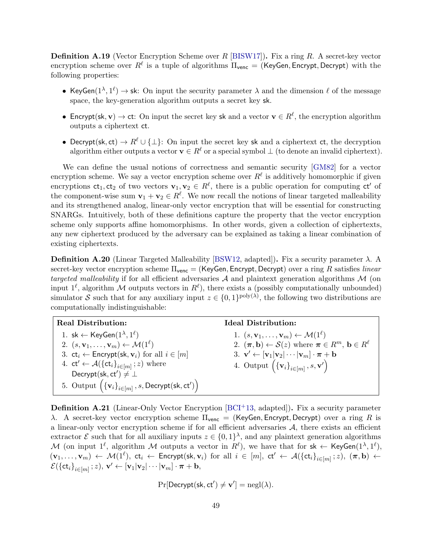**Definition A.19** (Vector Encryption Scheme over  $R$  [\[BISW17\]](#page-37-3)). Fix a ring  $R$ . A secret-key vector encryption scheme over  $R^\ell$  is a tuple of algorithms  $\Pi_\mathsf{venc} = (\mathsf{KeyGen}, \mathsf{Encrypt}, \mathsf{Decrypt})$  with the following properties:

- KeyGen( $1^{\lambda}, 1^{\ell}$ )  $\rightarrow$  sk: On input the security parameter  $\lambda$  and the dimension  $\ell$  of the message space, the key-generation algorithm outputs a secret key sk.
- Encrypt(sk, v)  $\rightarrow$  ct: On input the secret key sk and a vector  $\mathbf{v} \in \mathbb{R}^{\ell}$ , the encryption algorithm outputs a ciphertext ct.
- Decrypt(sk, ct)  $\rightarrow R^{\ell} \cup \{\perp\}$ : On input the secret key sk and a ciphertext ct, the decryption algorithm either outputs a vector  $\mathbf{v} \in R^{\ell}$  or a special symbol  $\bot$  (to denote an invalid ciphertext).

We can define the usual notions of correctness and semantic security [\[GM82\]](#page-38-14) for a vector encryption scheme. We say a vector encryption scheme over  $R^{\ell}$  is additively homomorphic if given encryptions  $ct_1, ct_2$  of two vectors  $v_1, v_2 \in R^{\ell}$ , there is a public operation for computing  $ct'$  of the component-wise sum  $\mathbf{v}_1 + \mathbf{v}_2 \in R^{\ell}$ . We now recall the notions of linear targeted malleability and its strengthened analog, linear-only vector encryption that will be essential for constructing SNARGs. Intuitively, both of these definitions capture the property that the vector encryption scheme only supports affine homomorphisms. In other words, given a collection of ciphertexts, any new ciphertext produced by the adversary can be explained as taking a linear combination of existing ciphertexts.

<span id="page-48-0"></span>**Definition A.20** (Linear Targeted Malleability [\[BSW12,](#page-37-11) adapted]). Fix a security parameter  $λ$ . A secret-key vector encryption scheme  $\Pi_{\text{venc}} = (\text{KeyGen}, \text{Encrypt}, \text{Decrypt})$  over a ring R satisfies linear targeted malleability if for all efficient adversaries  $A$  and plaintext generation algorithms  $M$  (on input  $1^{\ell}$ , algorithm M outputs vectors in  $R^{\ell}$ ), there exists a (possibly computationally unbounded) simulator S such that for any auxiliary input  $z \in \{0,1\}^{\text{poly}(\lambda)}$ , the following two distributions are computationally indistinguishable:

| <b>Real Distribution:</b>                                                             | <b>Ideal Distribution:</b>                                                                               |
|---------------------------------------------------------------------------------------|----------------------------------------------------------------------------------------------------------|
| 1. sk $\leftarrow$ KeyGen $(1^{\lambda}, 1^{\ell})$                                   | 1. $(s, \mathbf{v}_1, \dots, \mathbf{v}_m) \leftarrow \mathcal{M}(1^{\ell})$                             |
| 2. $(s, \mathbf{v}_1, \dots, \mathbf{v}_m) \leftarrow \mathcal{M}(1^{\ell})$          | 2. $(\pi, \mathbf{b}) \leftarrow \mathcal{S}(z)$ where $\pi \in R^m$ , $\mathbf{b} \in R^{\ell}$         |
| 3. $ct_i \leftarrow$ Encrypt(sk, $v_i$ ) for all $i \in [m]$                          | 3. $\mathbf{v}' \leftarrow [\mathbf{v}_1   \mathbf{v}_2   \cdots   \mathbf{v}_m] \cdot \pi + \mathbf{b}$ |
| 4. $ct' \leftarrow \mathcal{A}(\{\text{ct}_i\}_{i \in [m]}; z)$ where                 | 4. Output $(\{\mathbf{v}_i\}_{i\in[m]}, s, \mathbf{v}')$                                                 |
| Decrypt(sk, ct') $\neq \bot$                                                          |                                                                                                          |
| 5. Output $(\{v_i\}_{i \in [m]}, s, \textsf{Decrypt}(\textsf{sk}, \textsf{ct}')\big)$ |                                                                                                          |

<span id="page-48-1"></span>**Definition A.21** (Linear-Only Vector Encryption  $[BCI^+13, \text{ adapted}]$ ). Fix a security parameter λ. A secret-key vector encryption scheme  $\Pi_{\text{venc}} = (\text{KeyGen}, \text{Encrypt}, \text{Decrypt})$  over a ring R is a linear-only vector encryption scheme if for all efficient adversaries  $A$ , there exists an efficient extractor  $\mathcal E$  such that for all auxiliary inputs  $z \in \{0,1\}^{\lambda}$ , and any plaintext generation algorithms M (on input  $1^{\ell}$ , algorithm M outputs a vector in  $R^{\ell}$ ), we have that for  $sk \leftarrow \textsf{KeyGen}(1^{\lambda}, 1^{\ell}),$  $(v_1,\ldots,v_m) \leftarrow \mathcal{M}(1^{\ell}), \; \mathsf{ct}_i \leftarrow \mathsf{Encrypt}(\mathsf{sk}, \mathbf{v}_i) \; \text{ for all } \; i \; \in \; [m], \; \mathsf{ct}' \leftarrow \mathcal{A}(\{\mathsf{ct}_i\}_{i \in [m]}; z), \; (\boldsymbol{\pi}, \mathbf{b}) \leftarrow$  $\mathcal{E}(\{\mathsf{ct}_i\}_{i\in[m]}; z),\, \mathbf{v}' \leftarrow [\mathbf{v}_1|\mathbf{v}_2|\cdots|\mathbf{v}_m]\cdot\boldsymbol{\pi} + \mathbf{b},$ 

$$
\Pr[\mathsf{Decrypt}(\mathsf{sk}, \mathsf{ct}') \neq \mathbf{v}'] = \mathrm{negl}(\lambda).
$$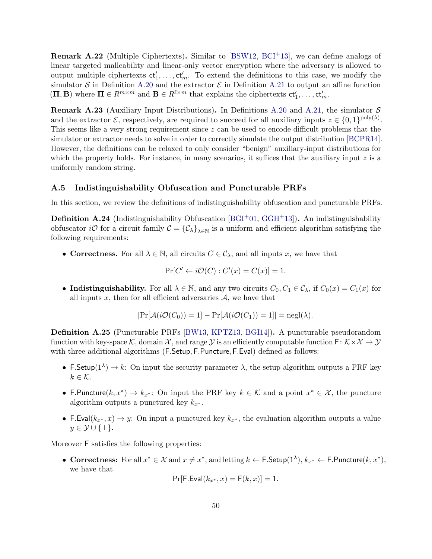Remark A.22 (Multiple Ciphertexts). Similar to [\[BSW12,](#page-37-11) [BCI](#page-36-3)+13], we can define analogs of linear targeted malleability and linear-only vector encryption where the adversary is allowed to output multiple ciphertexts  $ct'_1, \ldots, ct'_m$ . To extend the definitions to this case, we modify the simulator S in Definition [A.20](#page-48-0) and the extractor  $\mathcal E$  in Definition [A.21](#page-48-1) to output an affine function  $(\Pi, \mathbf{B})$  where  $\Pi \in R^{m \times m}$  and  $\mathbf{B} \in R^{\ell \times m}$  that explains the ciphertexts  $ct'_1, \ldots, ct'_m$ .

**Remark A.23** (Auxiliary Input Distributions). In Definitions [A.20](#page-48-0) and [A.21,](#page-48-1) the simulator S and the extractor  $\mathcal{E}$ , respectively, are required to succeed for all auxiliary inputs  $z \in \{0,1\}^{\text{poly}(\lambda)}$ . This seems like a very strong requirement since  $z$  can be used to encode difficult problems that the simulator or extractor needs to solve in order to correctly simulate the output distribution [\[BCPR14\]](#page-36-14). However, the definitions can be relaxed to only consider "benign" auxiliary-input distributions for which the property holds. For instance, in many scenarios, it suffices that the auxiliary input  $z$  is a uniformly random string.

#### <span id="page-49-0"></span>A.5 Indistinguishability Obfuscation and Puncturable PRFs

In this section, we review the definitions of indistinguishability obfuscation and puncturable PRFs.

**Definition A.24** (Indistinguishability Obfuscation [\[BGI](#page-36-12)<sup>+</sup>01, [GGH](#page-38-15)<sup>+</sup>13]). An indistinguishability obfuscator *iO* for a circuit family  $C = \{C_{\lambda}\}_{\lambda \in \mathbb{N}}$  is a uniform and efficient algorithm satisfying the following requirements:

• Correctness. For all  $\lambda \in \mathbb{N}$ , all circuits  $C \in \mathcal{C}_{\lambda}$ , and all inputs x, we have that

$$
\Pr[C' \leftarrow i\mathcal{O}(C) : C'(x) = C(x)] = 1.
$$

• Indistinguishability. For all  $\lambda \in \mathbb{N}$ , and any two circuits  $C_0, C_1 \in \mathcal{C}_{\lambda}$ , if  $C_0(x) = C_1(x)$  for all inputs x, then for all efficient adversaries  $A$ , we have that

$$
|\Pr[\mathcal{A}(i\mathcal{O}(C_0)) = 1] - \Pr[\mathcal{A}(i\mathcal{O}(C_1)) = 1]| = \text{negl}(\lambda).
$$

Definition A.25 (Puncturable PRFs [\[BW13,](#page-37-12) [KPTZ13,](#page-39-17) [BGI14\]](#page-37-13)). A puncturable pseudorandom function with key-space K, domain X, and range Y is an efficiently computable function  $F: K \times X \to Y$ with three additional algorithms (F.Setup, F.Puncture, F.Eval) defined as follows:

- F. Setup( $1^{\lambda}$ )  $\rightarrow k$ : On input the security parameter  $\lambda$ , the setup algorithm outputs a PRF key  $k \in \mathcal{K}$ .
- F. Puncture  $(k, x^*) \to k_{x^*}$ : On input the PRF key  $k \in \mathcal{K}$  and a point  $x^* \in \mathcal{X}$ , the puncture algorithm outputs a punctured key  $k_{x^*}$ .
- F.Eval $(k_{x^*}, x) \rightarrow y$ : On input a punctured key  $k_{x^*}$ , the evaluation algorithm outputs a value  $y \in \mathcal{Y} \cup \{\perp\}.$

Moreover F satisfies the following properties:

• Correctness: For all  $x^* \in \mathcal{X}$  and  $x \neq x^*$ , and letting  $k \leftarrow \textsf{F}.\textsf{Setup}(1^{\lambda}), k_{x^*} \leftarrow \textsf{F}.\textsf{Puncture}(k, x^*),$ we have that

$$
Pr[F.Eval(k_{x^*}, x) = F(k, x)] = 1.
$$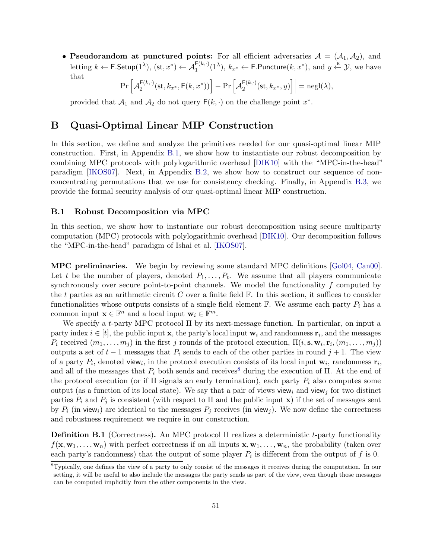• Pseudorandom at punctured points: For all efficient adversaries  $A = (A_1, A_2)$ , and letting  $k \leftarrow \textsf{F}.\mathsf{Setup}(1^{\lambda}), (\textsf{st}, x^*) \leftarrow \mathcal{A}_1^{\textsf{F}(k,\cdot)}(1^{\lambda}), k_{x^*} \leftarrow \textsf{F}.\mathsf{Puncture}(k, x^*), \text{ and } y \xleftarrow{\text{R}} \mathcal{Y},$  we have that

$$
\left|\Pr\left[\mathcal{A}_2^{\mathsf{F}(k,\cdot)}(\mathsf{st},k_{x^*},\mathsf{F}(k,x^*))\right]-\Pr\left[\mathcal{A}_2^{\mathsf{F}(k,\cdot)}(\mathsf{st},k_{x^*},y)\right]\right|=\mathrm{negl}(\lambda),
$$

provided that  $\mathcal{A}_1$  and  $\mathcal{A}_2$  do not query  $F(k, \cdot)$  on the challenge point  $x^*$ .

## B Quasi-Optimal Linear MIP Construction

In this section, we define and analyze the primitives needed for our quasi-optimal linear MIP construction. First, in Appendix [B.1,](#page-50-0) we show how to instantiate our robust decomposition by combining MPC protocols with polylogarithmic overhead [\[DIK10\]](#page-37-5) with the "MPC-in-the-head" paradigm [\[IKOS07\]](#page-39-8). Next, in Appendix [B.2,](#page-54-0) we show how to construct our sequence of nonconcentrating permutations that we use for consistency checking. Finally, in Appendix [B.3,](#page-62-1) we provide the formal security analysis of our quasi-optimal linear MIP construction.

#### <span id="page-50-0"></span>B.1 Robust Decomposition via MPC

In this section, we show how to instantiate our robust decomposition using secure multiparty computation (MPC) protocols with polylogarithmic overhead [\[DIK10\]](#page-37-5). Our decomposition follows the "MPC-in-the-head" paradigm of Ishai et al. [\[IKOS07\]](#page-39-8).

MPC preliminaries. We begin by reviewing some standard MPC definitions [\[Gol04,](#page-38-16) [Can00\]](#page-37-14). Let t be the number of players, denoted  $P_1, \ldots, P_t$ . We assume that all players communicate synchronously over secure point-to-point channels. We model the functionality  $f$  computed by the t parties as an arithmetic circuit C over a finite field  $\mathbb{F}$ . In this section, it suffices to consider functionalities whose outputs consists of a single field element  $\mathbb{F}$ . We assume each party  $P_i$  has a common input  $\mathbf{x} \in \mathbb{F}^n$  and a local input  $\mathbf{w}_i \in \mathbb{F}^m$ .

We specify a t-party MPC protocol Π by its next-message function. In particular, on input a party index  $i \in [t]$ , the public input **x**, the party's local input **w**<sub>i</sub> and randomness  $\mathbf{r}_i$ , and the messages  $P_i$  received  $(m_1, \ldots, m_j)$  in the first j rounds of the protocol execution,  $\Pi(i, s, w_i, r_i, (m_1, \ldots, m_j))$ outputs a set of  $t-1$  messages that  $P_i$  sends to each of the other parties in round  $j+1$ . The view of a party  $P_i$ , denoted view<sub>i</sub>, in the protocol execution consists of its local input  $\mathbf{w}_i$ , randomness  $\mathbf{r}_i$ , and all of the messages that  $P_i$  both sends and receives<sup>[8](#page-0-0)</sup> during the execution of  $\Pi$ . At the end of the protocol execution (or if  $\Pi$  signals an early termination), each party  $P_i$  also computes some output (as a function of its local state). We say that a pair of views view<sub>i</sub> and view<sub>i</sub> for two distinct parties  $P_i$  and  $P_j$  is consistent (with respect to  $\Pi$  and the public input **x**) if the set of messages sent by  $P_i$  (in view<sub>i</sub>) are identical to the messages  $P_j$  receives (in view<sub>j</sub>). We now define the correctness and robustness requirement we require in our construction.

<span id="page-50-1"></span>Definition B.1 (Correctness). An MPC protocol Π realizes a deterministic t-party functionality  $f(\mathbf{x}, \mathbf{w}_1, \dots, \mathbf{w}_n)$  with perfect correctness if on all inputs  $\mathbf{x}, \mathbf{w}_1, \dots, \mathbf{w}_n$ , the probability (taken over each party's randomness) that the output of some player  $P_i$  is different from the output of f is 0.

<sup>8</sup>Typically, one defines the view of a party to only consist of the messages it receives during the computation. In our setting, it will be useful to also include the messages the party sends as part of the view, even though those messages can be computed implicitly from the other components in the view.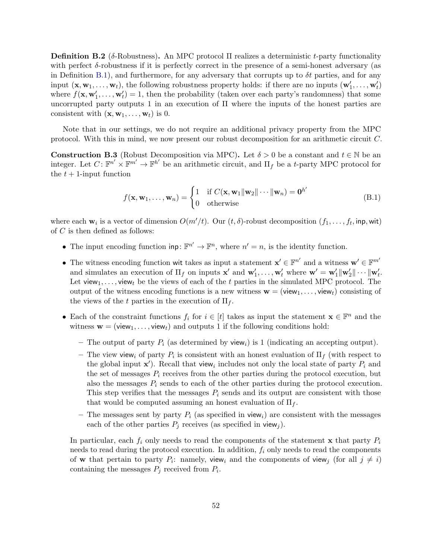**Definition B.2** (δ-Robustness). An MPC protocol Π realizes a deterministic t-party functionality with perfect  $\delta$ -robustness if it is perfectly correct in the presence of a semi-honest adversary (as in Definition [B.1\)](#page-50-1), and furthermore, for any adversary that corrupts up to  $\delta t$  parties, and for any input  $(\mathbf{x}, \mathbf{w}_1, \dots, \mathbf{w}_t)$ , the following robustness property holds: if there are no inputs  $(\mathbf{w}'_1, \dots, \mathbf{w}'_t)$ where  $f(\mathbf{x}, \mathbf{w}'_1, \dots, \mathbf{w}'_t) = 1$ , then the probability (taken over each party's randomness) that some uncorrupted party outputs 1 in an execution of Π where the inputs of the honest parties are consistent with  $(\mathbf{x}, \mathbf{w}_1, \dots, \mathbf{w}_t)$  is 0.

Note that in our settings, we do not require an additional privacy property from the MPC protocol. With this in mind, we now present our robust decomposition for an arithmetic circuit C.

<span id="page-51-1"></span>**Construction B.3** (Robust Decomposition via MPC). Let  $\delta > 0$  be a constant and  $t \in \mathbb{N}$  be an integer. Let  $C: \mathbb{F}^{n'} \times \mathbb{F}^{m'} \to \mathbb{F}^{h'}$  be an arithmetic circuit, and  $\Pi_f$  be a t-party MPC protocol for the  $t + 1$ -input function

<span id="page-51-0"></span>
$$
f(\mathbf{x}, \mathbf{w}_1, \dots, \mathbf{w}_n) = \begin{cases} 1 & \text{if } C(\mathbf{x}, \mathbf{w}_1 || \mathbf{w}_2 || \dots || \mathbf{w}_n) = \mathbf{0}^{h'} \\ 0 & \text{otherwise} \end{cases}
$$
(B.1)

where each  $\mathbf{w}_i$  is a vector of dimension  $O(m'/t)$ . Our  $(t, \delta)$ -robust decomposition  $(f_1, \ldots, f_t, \text{inp}, \text{wit})$ of C is then defined as follows:

- The input encoding function  $\text{inp}: \mathbb{F}^{n'} \to \mathbb{F}^n$ , where  $n' = n$ , is the identity function.
- The witness encoding function wit takes as input a statement  $\mathbf{x}' \in \mathbb{F}^{n'}$  and a witness  $\mathbf{w}' \in \mathbb{F}^{m'}$ and simulates an execution of  $\Pi_f$  on inputs  $\mathbf{x}'$  and  $\mathbf{w}'_1, \ldots, \mathbf{w}'_t$  where  $\mathbf{w}' = \mathbf{w}'_1 \|\mathbf{w}'_2\| \cdots \|\mathbf{w}'_t$ . Let view<sub>1</sub>, ..., view<sub>t</sub> be the views of each of the t parties in the simulated MPC protocol. The output of the witness encoding functions is a new witness  $\mathbf{w} = (\mathsf{view}_1, \dots, \mathsf{view}_t)$  consisting of the views of the t parties in the execution of  $\Pi_f$ .
- Each of the constraint functions  $f_i$  for  $i \in [t]$  takes as input the statement  $\mathbf{x} \in \mathbb{F}^n$  and the witness  $\mathbf{w} = (\mathsf{view}_1, \dots, \mathsf{view}_t)$  and outputs 1 if the following conditions hold:
	- The output of party  $P_i$  (as determined by view<sub>i</sub>) is 1 (indicating an accepting output).
	- The view view<sub>i</sub> of party  $P_i$  is consistent with an honest evaluation of  $\Pi_f$  (with respect to the global input  $\mathbf{x}'$ ). Recall that view<sub>i</sub> includes not only the local state of party  $P_i$  and the set of messages  $P_i$  receives from the other parties during the protocol execution, but also the messages  $P_i$  sends to each of the other parties during the protocol execution. This step verifies that the messages  $P_i$  sends and its output are consistent with those that would be computed assuming an honest evaluation of  $\Pi_f$ .
	- The messages sent by party  $P_i$  (as specified in view<sub>i</sub>) are consistent with the messages each of the other parties  $P_j$  receives (as specified in view<sub>j</sub>).

In particular, each  $f_i$  only needs to read the components of the statement x that party  $P_i$ needs to read during the protocol execution. In addition,  $f_i$  only needs to read the components of **w** that pertain to party  $P_i$ : namely, view<sub>i</sub> and the components of view<sub>j</sub> (for all  $j \neq i$ ) containing the messages  $P_j$  received from  $P_i$ .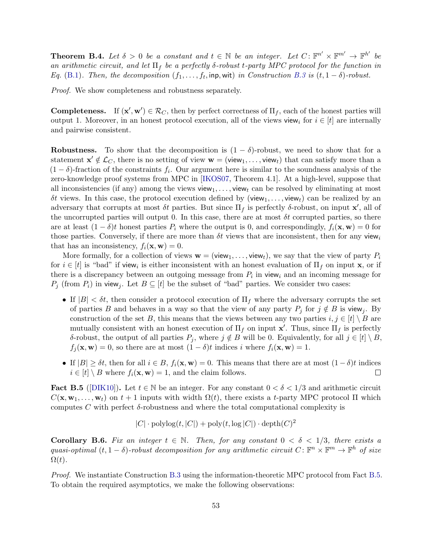**Theorem B.4.** Let  $\delta > 0$  be a constant and  $t \in \mathbb{N}$  be an integer. Let  $C: \mathbb{F}^{n'} \times \mathbb{F}^{m'} \to \mathbb{F}^{h'}$  be an arithmetic circuit, and let  $\Pi_f$  be a perfectly  $\delta$ -robust t-party MPC protocol for the function in Eq. [\(B.1\)](#page-51-0). Then, the decomposition  $(f_1, \ldots, f_t, \text{inp}, \text{wit})$  in Construction [B.3](#page-51-1) is  $(t, 1 - \delta)$ -robust.

Proof. We show completeness and robustness separately.

**Completeness.** If  $(\mathbf{x}', \mathbf{w}') \in \mathcal{R}_C$ , then by perfect correctness of  $\Pi_f$ , each of the honest parties will output 1. Moreover, in an honest protocol execution, all of the views view<sub>i</sub> for  $i \in [t]$  are internally and pairwise consistent.

Robustness. To show that the decomposition is  $(1 - \delta)$ -robust, we need to show that for a statement  $\mathbf{x}' \notin \mathcal{L}_C$ , there is no setting of view  $\mathbf{w} = (\mathsf{view}_1, \dots, \mathsf{view}_t)$  that can satisfy more than a  $(1 - \delta)$ -fraction of the constraints  $f_i$ . Our argument here is similar to the soundness analysis of the zero-knowledge proof systems from MPC in [\[IKOS07,](#page-39-8) Theorem 4.1]. At a high-level, suppose that all inconsistencies (if any) among the views view<sub>1</sub>, ..., view<sub>t</sub> can be resolved by eliminating at most δt views. In this case, the protocol execution defined by (view<sub>1</sub>, ..., view<sub>t</sub>) can be realized by an adversary that corrupts at most  $\delta t$  parties. But since  $\Pi_f$  is perfectly  $\delta$ -robust, on input  $\mathbf{x}'$ , all of the uncorrupted parties will output 0. In this case, there are at most  $\delta t$  corrupted parties, so there are at least  $(1 - \delta)t$  honest parties  $P_i$  where the output is 0, and correspondingly,  $f_i(\mathbf{x}, \mathbf{w}) = 0$  for those parties. Conversely, if there are more than  $\delta t$  views that are inconsistent, then for any view<sub>i</sub> that has an inconsistency,  $f_i(\mathbf{x}, \mathbf{w}) = 0$ .

More formally, for a collection of views  $\mathbf{w} = (\mathsf{view}_1, \dots, \mathsf{view}_t)$ , we say that the view of party  $P_i$ for  $i \in [t]$  is "bad" if view<sub>i</sub> is either inconsistent with an honest evaluation of  $\Pi_f$  on input **x**, or if there is a discrepancy between an outgoing message from  $P_i$  in view<sub>i</sub> and an incoming message for  $P_j$  (from  $P_i$ ) in view<sub>j</sub>. Let  $B \subseteq [t]$  be the subset of "bad" parties. We consider two cases:

- If  $|B| < \delta t$ , then consider a protocol execution of  $\Pi_f$  where the adversary corrupts the set of parties B and behaves in a way so that the view of any party  $P_j$  for  $j \notin B$  is view<sub>j</sub>. By construction of the set B, this means that the views between any two parties  $i, j \in [t] \setminus B$  are mutually consistent with an honest execution of  $\Pi_f$  on input  $\mathbf{x}'$ . Thus, since  $\Pi_f$  is perfectly δ-robust, the output of all parties  $P_j$ , where  $j \notin B$  will be 0. Equivalently, for all  $j \in [t] \setminus B$ ,  $f_i(\mathbf{x}, \mathbf{w}) = 0$ , so there are at most  $(1 - \delta)t$  indices i where  $f_i(\mathbf{x}, \mathbf{w}) = 1$ .
- If  $|B| \geq \delta t$ , then for all  $i \in B$ ,  $f_i(\mathbf{x}, \mathbf{w}) = 0$ . This means that there are at most  $(1 \delta)t$  indices  $i \in [t] \setminus B$  where  $f_i(\mathbf{x}, \mathbf{w}) = 1$ , and the claim follows.  $\Box$

<span id="page-52-0"></span>Fact B.5 ([\[DIK10\]](#page-37-5)). Let  $t \in \mathbb{N}$  be an integer. For any constant  $0 < \delta < 1/3$  and arithmetic circuit  $C(\mathbf{x}, \mathbf{w}_1, \dots, \mathbf{w}_t)$  on  $t+1$  inputs with width  $\Omega(t)$ , there exists a t-party MPC protocol  $\Pi$  which computes C with perfect  $\delta$ -robustness and where the total computational complexity is

$$
|C| \cdot \mathrm{polylog}(t,|C|) + \mathrm{poly}(t,\log|C|) \cdot \mathrm{depth}(C)^2
$$

<span id="page-52-1"></span>**Corollary B.6.** Fix an integer  $t \in \mathbb{N}$ . Then, for any constant  $0 < \delta < 1/3$ , there exists a quasi-optimal  $(t, 1 - \delta)$ -robust decomposition for any arithmetic circuit  $C \colon \mathbb{F}^n \times \mathbb{F}^m \to \mathbb{F}^h$  of size  $\Omega(t)$ .

Proof. We instantiate Construction [B.3](#page-51-1) using the information-theoretic MPC protocol from Fact [B.5.](#page-52-0) To obtain the required asymptotics, we make the following observations: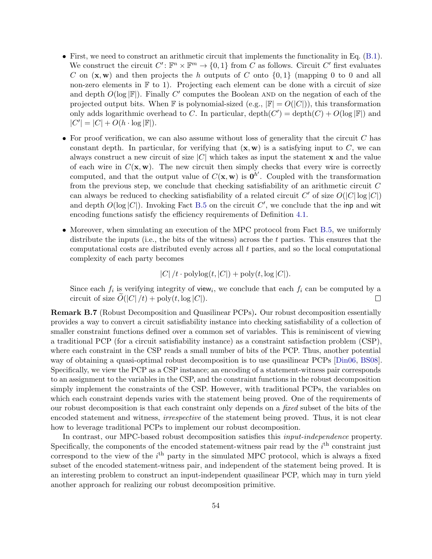- First, we need to construct an arithmetic circuit that implements the functionality in Eq. [\(B.1\)](#page-51-0). We construct the circuit  $C' : \mathbb{F}^n \times \mathbb{F}^m \to \{0,1\}$  from C as follows. Circuit C' first evaluates C on  $(x, w)$  and then projects the h outputs of C onto  $\{0, 1\}$  (mapping 0 to 0 and all non-zero elements in  $\mathbb F$  to 1). Projecting each element can be done with a circuit of size and depth  $O(\log |\mathbb{F}|)$ . Finally C' computes the Boolean AND on the negation of each of the projected output bits. When F is polynomial-sized (e.g.,  $|\mathbb{F}| = O(|C|)$ ), this transformation only adds logarithmic overhead to C. In particular,  $\text{depth}(C') = \text{depth}(C) + O(\log |\mathbb{F}|)$  and  $|C'| = |C| + O(h \cdot \log |\mathbb{F}|).$
- For proof verification, we can also assume without loss of generality that the circuit  $C$  has constant depth. In particular, for verifying that  $(x, w)$  is a satisfying input to C, we can always construct a new circuit of size  $|C|$  which takes as input the statement **x** and the value of each wire in  $C(\mathbf{x}, \mathbf{w})$ . The new circuit then simply checks that every wire is correctly computed, and that the output value of  $C(\mathbf{x}, \mathbf{w})$  is  $\mathbf{0}^{h'}$ . Coupled with the transformation from the previous step, we conclude that checking satisfiability of an arithmetic circuit  $C$ can always be reduced to checking satisfiability of a related circuit C' of size  $O(|C|\log|C|)$ and depth  $O(\log |C|)$ . Invoking Fact [B.5](#page-52-0) on the circuit C', we conclude that the inp and wit encoding functions satisfy the efficiency requirements of Definition [4.1.](#page-12-2)
- Moreover, when simulating an execution of the MPC protocol from Fact [B.5,](#page-52-0) we uniformly distribute the inputs (i.e., the bits of the witness) across the  $t$  parties. This ensures that the computational costs are distributed evenly across all  $t$  parties, and so the local computational complexity of each party becomes

 $|C|/t \cdot \text{polylog}(t, |C|) + \text{poly}(t, \log |C|).$ 

Since each  $f_i$  is verifying integrity of view<sub>i</sub>, we conclude that each  $f_i$  can be computed by a circuit of size  $O(|C|/t) + \text{poly}(t, \log |C|)$ .  $\Box$ 

<span id="page-53-0"></span>Remark B.7 (Robust Decomposition and Quasilinear PCPs). Our robust decomposition essentially provides a way to convert a circuit satisfiability instance into checking satisfiability of a collection of smaller constraint functions defined over a common set of variables. This is reminiscent of viewing a traditional PCP (for a circuit satisfiability instance) as a constraint satisfaction problem (CSP), where each constraint in the CSP reads a small number of bits of the PCP. Thus, another potential way of obtaining a quasi-optimal robust decomposition is to use quasilinear PCPs [\[Din06,](#page-37-15) [BS08\]](#page-37-16). Specifically, we view the PCP as a CSP instance; an encoding of a statement-witness pair corresponds to an assignment to the variables in the CSP, and the constraint functions in the robust decomposition simply implement the constraints of the CSP. However, with traditional PCPs, the variables on which each constraint depends varies with the statement being proved. One of the requirements of our robust decomposition is that each constraint only depends on a fixed subset of the bits of the encoded statement and witness, *irrespective* of the statement being proved. Thus, it is not clear how to leverage traditional PCPs to implement our robust decomposition.

In contrast, our MPC-based robust decomposition satisfies this input-independence property. Specifically, the components of the encoded statement-witness pair read by the  $i<sup>th</sup>$  constraint just correspond to the view of the  $i<sup>th</sup>$  party in the simulated MPC protocol, which is always a fixed subset of the encoded statement-witness pair, and independent of the statement being proved. It is an interesting problem to construct an input-independent quasilinear PCP, which may in turn yield another approach for realizing our robust decomposition primitive.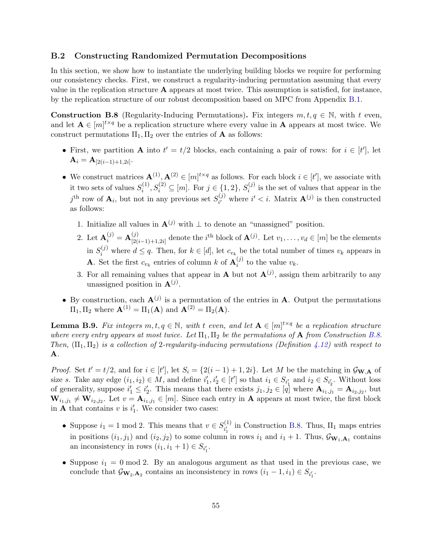#### <span id="page-54-0"></span>B.2 Constructing Randomized Permutation Decompositions

In this section, we show how to instantiate the underlying building blocks we require for performing our consistency checks. First, we construct a regularity-inducing permutation assuming that every value in the replication structure  $A$  appears at most twice. This assumption is satisfied, for instance, by the replication structure of our robust decomposition based on MPC from Appendix [B.1.](#page-50-0)

<span id="page-54-1"></span>**Construction B.8** (Regularity-Inducing Permutations). Fix integers  $m, t, q \in \mathbb{N}$ , with t even, and let  $\mathbf{A} \in [m]^{t \times q}$  be a replication structure where every value in  $\mathbf{A}$  appears at most twice. We construct permutations  $\Pi_1, \Pi_2$  over the entries of **A** as follows:

- First, we partition **A** into  $t' = t/2$  blocks, each containing a pair of rows: for  $i \in [t']$ , let  $\mathbf{A}_i = \mathbf{A}_{\left[2(i-1)+1,2i\right]}.$
- We construct matrices  $A^{(1)}, A^{(2)} \in [m]^{t \times q}$  as follows. For each block  $i \in [t']$ , we associate with it two sets of values  $S_i^{(1)}$  $S_i^{(1)}, S_i^{(2)} \subseteq [m]$ . For  $j \in \{1, 2\}, S_i^{(j)}$  $i^{(j)}$  is the set of values that appear in the  $j^{\text{th}}$  row of  $\mathbf{A}_i$ , but not in any previous set  $S_{i'}^{(j)}$  $i^{(j)}$  where  $i' < i$ . Matrix  $\mathbf{A}^{(j)}$  is then constructed as follows:
	- 1. Initialize all values in  $\mathbf{A}^{(j)}$  with  $\perp$  to denote an "unassigned" position.
	- 2. Let  ${\bf A}_i^{(j)} = {\bf A}_{[2]}^{(j)}$  $\mathcal{L}_{[2(i-1)+1,2i]}^{(j)}$  denote the *i*<sup>th</sup> block of  $\mathbf{A}^{(j)}$ . Let  $v_1, \ldots, v_d \in [m]$  be the elements in  $S_i^{(j)}$  where  $d \leq q$ . Then, for  $k \in [d]$ , let  $c_{v_k}$  be the total number of times  $v_k$  appears in **A**. Set the first  $c_{v_k}$  entries of column k of  $\mathbf{A}_i^{(j)}$  $i^{(j)}$  to the value  $v_k$ .
	- 3. For all remaining values that appear in **A** but not  $\mathbf{A}^{(j)}$ , assign them arbitrarily to any unassigned position in  $\mathbf{A}^{(j)}$ .
- By construction, each  $\mathbf{A}^{(j)}$  is a permutation of the entries in  $\mathbf{A}$ . Output the permutations  $\Pi_1, \Pi_2$  where  $\mathbf{A}^{(1)} = \Pi_1(\mathbf{A})$  and  $\mathbf{A}^{(2)} = \Pi_2(\mathbf{A})$ .

**Lemma B.9.** Fix integers  $m, t, q \in \mathbb{N}$ , with t even, and let  $A \in [m]^{t \times q}$  be a replication structure where every entry appears at most twice. Let  $\Pi_1, \Pi_2$  be the permutations of **A** from Construction [B.8.](#page-54-1) Then,  $(\Pi_1, \Pi_2)$  is a collection of 2-regularity-inducing permutations (Definition [4.12\)](#page-17-0) with respect to A.

*Proof.* Set  $t' = t/2$ , and for  $i \in [t']$ , let  $S_i = \{2(i-1) + 1, 2i\}$ . Let M be the matching in  $\mathcal{G}_{\mathbf{W},\mathbf{A}}$  of size s. Take any edge  $(i_1, i_2) \in M$ , and define  $i'_1, i'_2 \in [t']$  so that  $i_1 \in S_{i'_1}$  and  $i_2 \in S_{i'_2}$ . Without loss of generality, suppose  $i'_1 \leq i'_2$ . This means that there exists  $j_1, j_2 \in [q]$  where  $\mathbf{A}_{i_1, j_1} = \mathbf{A}_{i_2, j_2}$ , but  $\mathbf{W}_{i_1,j_1} \neq \mathbf{W}_{i_2,j_2}$ . Let  $v = \mathbf{A}_{i_1,j_1} \in [m]$ . Since each entry in  $\mathbf{A}$  appears at most twice, the first block in **A** that contains v is  $i'_1$ . We consider two cases:

- Suppose  $i_1 = 1 \mod 2$ . This means that  $v \in S_{i'}^{(1)}$  $i_1^{(1)}$  in Construction [B.8.](#page-54-1) Thus,  $\Pi_1$  maps entries in positions  $(i_1, j_1)$  and  $(i_2, j_2)$  to some column in rows  $i_1$  and  $i_1 + 1$ . Thus,  $\mathcal{G}_{\mathbf{W}_1, \mathbf{A}_1}$  contains an inconsistency in rows  $(i_1, i_1 + 1) \in S_{i'_1}$ .
- Suppose  $i_1 = 0 \mod 2$ . By an analogous argument as that used in the previous case, we conclude that  $\mathcal{G}_{\mathbf{W}_2,\mathbf{A}_2}$  contains an inconsistency in rows  $(i_1 - 1, i_1) \in S_{i'_1}$ .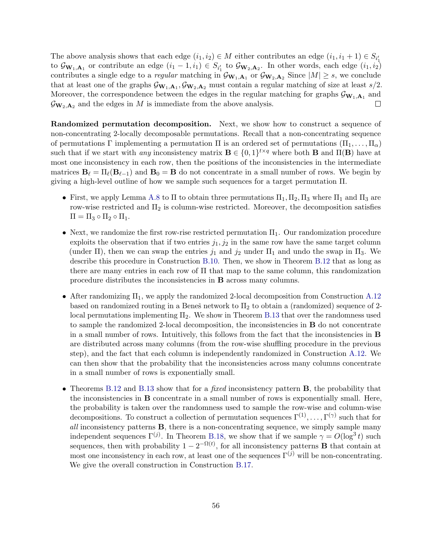The above analysis shows that each edge  $(i_1, i_2) \in M$  either contributes an edge  $(i_1, i_1 + 1) \in S_{i'_1}$ to  $\mathcal{G}_{\mathbf{W}_1,\mathbf{A}_1}$  or contribute an edge  $(i_1 - 1, i_1) \in S_{i'_1}$  to  $\mathcal{G}_{\mathbf{W}_2,\mathbf{A}_2}$ . In other words, each edge  $(i_1, i_2)$ contributes a single edge to a *regular* matching in  $\mathcal{G}_{\mathbf{W}_1,\mathbf{A}_1}$  or  $\mathcal{G}_{\mathbf{W}_2,\mathbf{A}_2}$  Since  $|M| \geq s$ , we conclude that at least one of the graphs  $\mathcal{G}_{\mathbf{W}_1,\mathbf{A}_1}$ ,  $\mathcal{G}_{\mathbf{W}_2,\mathbf{A}_2}$  must contain a regular matching of size at least  $s/2$ . Moreover, the correspondence between the edges in the regular matching for graphs  $\mathcal{G}_{\mathbf{W}_1,\mathbf{A}_1}$  and  $\mathcal{G}_{\mathbf{W}_2,\mathbf{A}_2}$  and the edges in M is immediate from the above analysis.  $\Box$ 

Randomized permutation decomposition. Next, we show how to construct a sequence of non-concentrating 2-locally decomposable permutations. Recall that a non-concentrating sequence of permutations Γ implementing a permutation Π is an ordered set of permutations  $(\Pi_1, \ldots, \Pi_\alpha)$ such that if we start with *any* inconsistency matrix  $\mathbf{B} \in \{0,1\}^{t \times q}$  where both **B** and  $\Pi(\mathbf{B})$  have at most one inconsistency in each row, then the positions of the inconsistencies in the intermediate matrices  $\mathbf{B}_{\ell} = \Pi_{\ell}(\mathbf{B}_{\ell-1})$  and  $\mathbf{B}_{0} = \mathbf{B}$  do not concentrate in a small number of rows. We begin by giving a high-level outline of how we sample such sequences for a target permutation Π.

- First, we apply Lemma [A.8](#page-43-0) to  $\Pi$  to obtain three permutations  $\Pi_1, \Pi_2, \Pi_3$  where  $\Pi_1$  and  $\Pi_3$  are row-wise restricted and  $\Pi_2$  is column-wise restricted. Moreover, the decomposition satisfies  $\Pi = \Pi_3 \circ \Pi_2 \circ \Pi_1.$
- Next, we randomize the first row-rise restricted permutation  $\Pi_1$ . Our randomization procedure exploits the observation that if two entries  $j_1, j_2$  in the same row have the same target column (under Π), then we can swap the entries  $j_1$  and  $j_2$  under  $\Pi_1$  and undo the swap in  $\Pi_3$ . We describe this procedure in Construction [B.10.](#page-56-0) Then, we show in Theorem [B.12](#page-57-0) that as long as there are many entries in each row of Π that map to the same column, this randomization procedure distributes the inconsistencies in B across many columns.
- After randomizing  $\Pi_1$ , we apply the randomized 2-local decomposition from Construction [A.12](#page-44-0) based on randomized routing in a Beneš network to  $\Pi_2$  to obtain a (randomized) sequence of 2local permutations implementing  $\Pi_2$ . We show in Theorem [B.13](#page-58-0) that over the randomness used to sample the randomized 2-local decomposition, the inconsistencies in B do not concentrate in a small number of rows. Intuitively, this follows from the fact that the inconsistencies in B are distributed across many columns (from the row-wise shuffling procedure in the previous step), and the fact that each column is independently randomized in Construction [A.12.](#page-44-0) We can then show that the probability that the inconsistencies across many columns concentrate in a small number of rows is exponentially small.
- Theorems [B.12](#page-57-0) and [B.13](#page-58-0) show that for a *fixed* inconsistency pattern **B**, the probability that the inconsistencies in B concentrate in a small number of rows is exponentially small. Here, the probability is taken over the randomness used to sample the row-wise and column-wise decompositions. To construct a collection of permutation sequences  $\Gamma^{(1)}, \ldots, \Gamma^{(\gamma)}$  such that for all inconsistency patterns B, there is a non-concentrating sequence, we simply sample many independent sequences  $\Gamma^{(j)}$ . In Theorem [B.18,](#page-61-0) we show that if we sample  $\gamma = O(\log^3 t)$  such sequences, then with probability  $1 - 2^{-\Omega(t)}$ , for all inconsistency patterns **B** that contain at most one inconsistency in each row, at least one of the sequences  $\Gamma^{(j)}$  will be non-concentrating. We give the overall construction in Construction [B.17.](#page-60-0)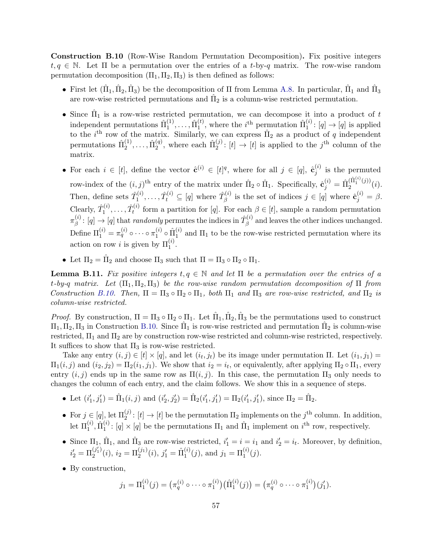<span id="page-56-0"></span>Construction B.10 (Row-Wise Random Permutation Decomposition). Fix positive integers  $t, q \in \mathbb{N}$ . Let  $\Pi$  be a permutation over the entries of a t-by-q matrix. The row-wise random permutation decomposition  $(\Pi_1, \Pi_2, \Pi_3)$  is then defined as follows:

- First let  $(\hat{\Pi}_1, \hat{\Pi}_2, \hat{\Pi}_3)$  be the decomposition of  $\Pi$  from Lemma [A.8.](#page-43-0) In particular,  $\hat{\Pi}_1$  and  $\hat{\Pi}_3$ are row-wise restricted permutations and  $\hat{\Pi}_2$  is a column-wise restricted permutation.
- Since  $\hat{\Pi}_1$  is a row-wise restricted permutation, we can decompose it into a product of t independent permutations  $\hat{\Pi}^{(1)}_1$  $(1)$ <sub>1</sub>, ...,  $\hat{\Pi}_1^{(t)}$  $\hat{\Pi}_1^{(i)}$ , where the *i*<sup>th</sup> permutation  $\hat{\Pi}_1^{(i)}$  $j_1^{(i)}: [q] \to [q]$  is applied to the *i*<sup>th</sup> row of the matrix. Similarly, we can express  $\hat{\Pi}_2$  as a product of q independent permutations  $\hat{\Pi}_2^{(1)}$  $\hat{\Pi}_2^{(1)}, \ldots, \hat{\Pi}_2^{(q)}$  $_2^{(q)}$ , where each  $\hat{\Pi}_2^{(j)}$  $2^{(j)}: [t] \to [t]$  is applied to the j<sup>th</sup> column of the matrix.
- For each  $i \in [t]$ , define the vector  $\hat{\mathbf{c}}^{(i)} \in [t]^q$ , where for all  $j \in [q]$ ,  $\hat{\mathbf{c}}_i^{(i)}$  $j^{(i)}$  is the permuted row-index of the  $(i, j)$ <sup>th</sup> entry of the matrix under  $\hat{\Pi}_2 \circ \hat{\Pi}_1$ . Specifically,  $\hat{\mathbf{c}}_j^{(i)} = \hat{\Pi}_2^{(\hat{\Pi}_1^{(i)}(j))}$  $\binom{11}{2}$   $\binom{11}{2}$ . Then, define sets  $\hat{T}_1^{(i)}$  $\hat{T}^{(i)}_1, \ldots, \hat{T}^{(i)}_t \subseteq [q]$  where  $\hat{T}^{(i)}_\beta$  $S_{\beta}^{(i)}$  is the set of indices  $j \in [q]$  where  $\hat{\mathbf{c}}_{j}^{(i)} = \beta$ . Clearly,  $\hat{T}_1^{(i)}$  $\hat{T}^{(i)}_1,\ldots,\hat{T}^{(i)}_t$  $t_t^{(i)}$  form a partition for [q]. For each  $\beta \in [t]$ , sample a random permutation  $\pi^{(i)}_\beta$  $\hat{\rho}^{(i)}_{\beta} \colon [q] \to [q] \text{ that randomly permutes the indices in } \hat{T}^{(i)}_{\beta}$  $\beta^{(i)}$  and leaves the other indices unchanged. Define  $\Pi_1^{(i)} = \pi_q^{(i)} \circ \cdots \circ \pi_1^{(i)}$  $\hat{\Pi}_1^{(i)} \circ \hat{\Pi}_1^{(i)}$  $1<sup>(t)</sup>$  and  $\Pi_1$  to be the row-wise restricted permutation where its action on row *i* is given by  $\Pi_1^{(i)}$ .
- Let  $\Pi_2 = \hat{\Pi}_2$  and choose  $\Pi_3$  such that  $\Pi = \Pi_3 \circ \Pi_2 \circ \Pi_1$ .

**Lemma B.11.** Fix positive integers  $t, q \in \mathbb{N}$  and let  $\Pi$  be a permutation over the entries of a t-by-q matrix. Let  $(\Pi_1, \Pi_2, \Pi_3)$  be the row-wise random permutation decomposition of  $\Pi$  from Construction [B.10.](#page-56-0) Then,  $\Pi = \Pi_3 \circ \Pi_2 \circ \Pi_1$ , both  $\Pi_1$  and  $\Pi_3$  are row-wise restricted, and  $\Pi_2$  is column-wise restricted.

*Proof.* By construction,  $\Pi = \Pi_3 \circ \Pi_2 \circ \Pi_1$ . Let  $\hat{\Pi}_1, \hat{\Pi}_2, \hat{\Pi}_3$  be the permutations used to construct  $\Pi_1, \Pi_2, \Pi_3$  in Construction [B.10.](#page-56-0) Since  $\hat{\Pi}_1$  is row-wise restricted and permutation  $\hat{\Pi}_2$  is column-wise restricted,  $\Pi_1$  and  $\Pi_2$  are by construction row-wise restricted and column-wise restricted, respectively. It suffices to show that  $\Pi_3$  is row-wise restricted.

Take any entry  $(i, j) \in [t] \times [q]$ , and let  $(i_t, j_t)$  be its image under permutation  $\Pi$ . Let  $(i_1, j_1) =$  $\Pi_1(i,j)$  and  $(i_2, j_2) = \Pi_2(i_1, j_1)$ . We show that  $i_2 = i_t$ , or equivalently, after applying  $\Pi_2 \circ \Pi_1$ , every entry  $(i, j)$  ends up in the same row as  $\Pi(i, j)$ . In this case, the permutation  $\Pi_3$  only needs to changes the column of each entry, and the claim follows. We show this in a sequence of steps.

- Let  $(i'_1, j'_1) = \hat{\Pi}_1(i, j)$  and  $(i'_2, j'_2) = \hat{\Pi}_2(i'_1, j'_1) = \Pi_2(i'_1, j'_1)$ , since  $\Pi_2 = \hat{\Pi}_2$ .
- For  $j \in [q]$ , let  $\Pi_2^{(j)}$ :  $[t] \to [t]$  be the permutation  $\Pi_2$  implements on the  $j^{\text{th}}$  column. In addition, let  $\Pi_1^{(i)}$ ,  $\hat{\Pi}_1^{(i)}$  $\hat{I}_1^{(i)}$ : [q]  $\times$  [q] be the permutations  $\Pi_1$  and  $\hat{\Pi}_1$  implement on  $i^{\text{th}}$  row, respectively.
- Since  $\Pi_1$ ,  $\hat{\Pi}_1$ , and  $\hat{\Pi}_3$  are row-wise restricted,  $i'_1 = i = i_1$  and  $i'_2 = i_t$ . Moreover, by definition,  $i'_2 = \Pi_2^{(j'_1)}$  $\mathcal{L}_2^{(j_1')}(i), i_2 = \Pi_2^{(j_1)}(i), j_1' = \hat{\Pi}_1^{(i)}$  $j_1^{(i)}(j)$ , and  $j_1 = \Pi_1^{(i)}(j)$ .
- By construction,

$$
j_1 = \Pi_1^{(i)}(j) = (\pi_q^{(i)} \circ \cdots \circ \pi_1^{(i)}) (\hat{\Pi}_1^{(i)}(j)) = (\pi_q^{(i)} \circ \cdots \circ \pi_1^{(i)}) (j'_1).
$$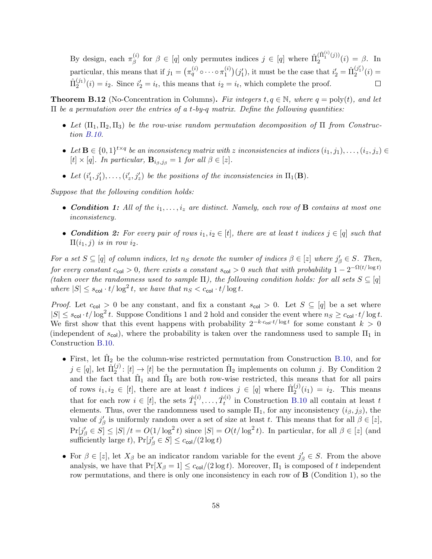By design, each  $\pi_{\beta}^{(i)}$ (i) for  $\beta \in [q]$  only permutes indices  $j \in [q]$  where  $\hat{\Pi}_2^{(\hat{\Pi}_1^{(i)}(j))}$  $2^{(11)}$  (*j*)  $(i) = \beta$ . In particular, this means that if  $j_1 = \left( \pi_q^{(i)} \circ \cdots \circ \pi_1^{(i)} \right)$  $\binom{i}{1}(j'_1)$ , it must be the case that  $i'_2 = \hat{\Pi}_2^{(j'_1)}$  $2^{(3)}(i) =$  $\hat{\Pi}_2^{(j_1)}$  $i_2^{(j_1)}(i) = i_2$ . Since  $i_2' = i_t$ , this means that  $i_2 = i_t$ , which complete the proof.

<span id="page-57-0"></span>**Theorem B.12** (No-Concentration in Columns). Fix integers  $t, q \in \mathbb{N}$ , where  $q = \text{poly}(t)$ , and let  $\Pi$  be a permutation over the entries of a t-by-q matrix. Define the following quantities:

- Let  $(\Pi_1, \Pi_2, \Pi_3)$  be the row-wise random permutation decomposition of  $\Pi$  from Construction [B.10.](#page-56-0)
- Let  $\mathbf{B} \in \{0,1\}^{t \times q}$  be an inconsistency matrix with z inconsistencies at indices  $(i_1, j_1), \ldots, (i_z, j_z) \in$  $[t] \times [q]$ . In particular,  $\mathbf{B}_{i\beta,j\beta} = 1$  for all  $\beta \in [z]$ .
- Let  $(i'_1, j'_1), \ldots, (i'_z, j'_z)$  be the positions of the inconsistencies in  $\Pi_1(\mathbf{B})$ .

Suppose that the following condition holds:

- Condition 1: All of the  $i_1, \ldots, i_z$  are distinct. Namely, each row of **B** contains at most one inconsistency.
- Condition 2: For every pair of rows  $i_1, i_2 \in [t]$ , there are at least t indices  $j \in [q]$  such that  $\Pi(i_1, j)$  is in row  $i_2$ .

For a set  $S \subseteq [q]$  of column indices, let  $n_S$  denote the number of indices  $\beta \in [z]$  where  $j'_{\beta} \in S$ . Then, for every constant  $c_{\text{col}} > 0$ , there exists a constant  $s_{\text{col}} > 0$  such that with probability  $1 - 2^{-\Omega(t/\log t)}$ (taken over the randomness used to sample  $\Pi$ ), the following condition holds: for all sets  $S \subseteq [q]$ where  $|S| \leq s_{\text{col}} \cdot t / \log^2 t$ , we have that  $n_S < c_{\text{col}} \cdot t / \log t$ .

*Proof.* Let  $c_{\text{col}} > 0$  be any constant, and fix a constant  $s_{\text{col}} > 0$ . Let  $S \subseteq [q]$  be a set where  $|S| \leq s_{\text{col}} \cdot t / \log^2 t$ . Suppose Conditions 1 and 2 hold and consider the event where  $n_S \geq c_{\text{col}} \cdot t / \log t$ . We first show that this event happens with probability  $2^{-k \cdot c_{col} \cdot t / \log t}$  for some constant  $k > 0$ (independent of  $s_{\text{col}}$ ), where the probability is taken over the randomness used to sample  $\Pi_1$  in Construction [B.10.](#page-56-0)

- First, let  $\hat{\Pi}_2$  be the column-wise restricted permutation from Construction [B.10,](#page-56-0) and for  $j \in [q],$  let  $\hat{\Pi}_2^{(j)}$  $2^{(j)}: [t] \rightarrow [t]$  be the permutation  $\hat{\Pi}_2$  implements on column j. By Condition 2 and the fact that  $\hat{\Pi}_1$  and  $\hat{\Pi}_3$  are both row-wise restricted, this means that for all pairs of rows  $i_1, i_2 \in [t]$ , there are at least t indices  $j \in [q]$  where  $\hat{\Pi}_2^{(j)}$  $2^{(j)}(i_1) = i_2$ . This means that for each row  $i \in [t]$ , the sets  $\hat{T}_1^{(i)}$  $\hat{T}^{(i)}_1,\ldots,\hat{T}^{(i)}_t$  $t_t^{(i)}$  in Construction [B.10](#page-56-0) all contain at least t elements. Thus, over the randomness used to sample  $\Pi_1$ , for any inconsistency  $(i_\beta, j_\beta)$ , the value of  $j'_{\beta}$  is uniformly random over a set of size at least t. This means that for all  $\beta \in [z]$ ,  $Pr[j'_{\beta} \in S] \leq |S|/t = O(1/\log^2 t)$  since  $|S| = O(t/\log^2 t)$ . In particular, for all  $\beta \in [z]$  (and sufficiently large t),  $Pr[j'_{\beta} \in S] \leq c_{\text{col}}/(2 \log t)$
- For  $\beta \in [z]$ , let  $X_{\beta}$  be an indicator random variable for the event  $j'_{\beta} \in S$ . From the above analysis, we have that  $Pr[X_\beta = 1] \leq c_{\text{col}}/(2 \log t)$ . Moreover,  $\Pi_1$  is composed of t independent row permutations, and there is only one inconsistency in each row of  $\bf{B}$  (Condition 1), so the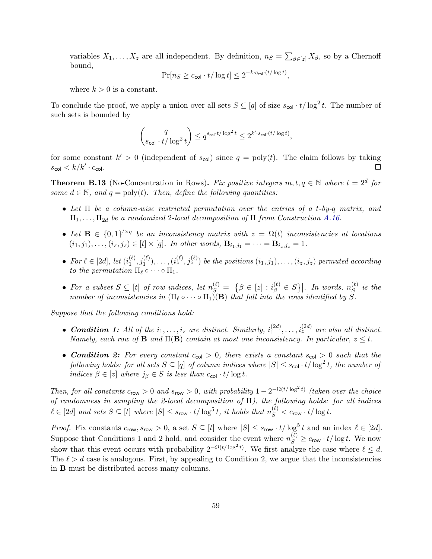variables  $X_1, \ldots, X_z$  are all independent. By definition,  $n_S = \sum_{\beta \in [z]} X_{\beta}$ , so by a Chernoff bound,

$$
\Pr[n_S \ge c_{\text{col}} \cdot t / \log t] \le 2^{-k \cdot c_{\text{col}} \cdot (t / \log t)},
$$

where  $k > 0$  is a constant.

To conclude the proof, we apply a union over all sets  $S \subseteq [q]$  of size  $s_{\text{col}} \cdot t / \log^2 t$ . The number of such sets is bounded by

$$
\binom{q}{s_{\mathsf{col}} \cdot t/\log^2 t} \leq q^{s_{\mathsf{col}} \cdot t/\log^2 t} \leq 2^{k' \cdot s_{\mathsf{col}} \cdot (t/\log t)},
$$

for some constant  $k' > 0$  (independent of  $s_{col}$ ) since  $q = poly(t)$ . The claim follows by taking  $s_{\mathsf{col}} < k/k' \cdot c_{\mathsf{col}}.$  $\Box$ 

<span id="page-58-0"></span>**Theorem B.13** (No-Concentration in Rows). Fix positive integers  $m, t, q \in \mathbb{N}$  where  $t = 2^d$  for some  $d \in \mathbb{N}$ , and  $q = \text{poly}(t)$ . Then, define the following quantities:

- Let  $\Pi$  be a column-wise restricted permutation over the entries of a t-by-q matrix, and  $\Pi_1, \ldots, \Pi_{2d}$  be a randomized 2-local decomposition of  $\Pi$  from Construction [A.16.](#page-46-3)
- Let  $\mathbf{B} \in \{0,1\}^{t \times q}$  be an inconsistency matrix with  $z = \Omega(t)$  inconsistencies at locations  $(i_1, j_1), \ldots, (i_z, j_z) \in [t] \times [q]$ . In other words,  $\mathbf{B}_{i_1, j_1} = \cdots = \mathbf{B}_{i_z, j_z} = 1$ .
- For  $\ell \in [2d]$ , let  $(i_1^{(\ell)})$  $\{(\ell),j_1^{(\ell)}),\ldots, (i_z^{(\ell)},j_z^{(\ell)})\}$  be the positions  $(i_1,j_1),\ldots,(i_z,j_z)$  permuted according to the permutation  $\Pi_\ell \circ \cdots \circ \Pi_1$ .
- For a subset  $S \subseteq [t]$  of row indices, let  $n_S^{(\ell)} = |\{\beta \in [z] : i_{\beta}^{(\ell)} \in S\}|$ . In words,  $n_S^{(\ell)}$  $\int_{S}^{\left(t\right)}$  is the number of inconsistencies in  $(\Pi_\ell \circ \cdots \circ \Pi_1)(\mathbf{B})$  that fall into the rows identified by S.

Suppose that the following conditions hold:

- Condition 1: All of the  $i_1, \ldots, i_z$  are distinct. Similarly,  $i_1^{(2d)}$  $i_1^{(2d)}, \ldots, i_z^{(2d)}$  are also all distinct. Namely, each row of **B** and  $\Pi(\mathbf{B})$  contain at most one inconsistency. In particular,  $z \leq t$ .
- Condition 2: For every constant  $c_{\text{col}} > 0$ , there exists a constant  $s_{\text{col}} > 0$  such that the following holds: for all sets  $S \subseteq [q]$  of column indices where  $|S| \leq s_{\mathsf{col}} \cdot t / \log^2 t$ , the number of indices  $\beta \in [z]$  where  $j_{\beta} \in S$  is less than  $c_{\text{col}} \cdot t / \log t$ .

Then, for all constants  $c_{row} > 0$  and  $s_{row} > 0$ , with probability  $1 - 2^{-\Omega(t/\log^2 t)}$  (taken over the choice of randomness in sampling the 2-local decomposition of  $\Pi$ ), the following holds: for all indices  $\ell \in [2d]$  and sets  $S \subseteq [t]$  where  $|S| \leq s_{\mathsf{row}} \cdot t/\log^5 t$ , it holds that  $n_S^{(\ell)} < c_{\mathsf{row}} \cdot t/\log t$ .

*Proof.* Fix constants  $c_{\text{row}}$ ,  $s_{\text{row}} > 0$ , a set  $S \subseteq [t]$  where  $|S| \leq s_{\text{row}} \cdot t / \log^5 t$  and an index  $\ell \in [2d]$ . Suppose that Conditions 1 and 2 hold, and consider the event where  $n_S^{(\ell)} \geq c_{\text{row}} \cdot t / \log t$ . We now show that this event occurs with probability  $2^{-\Omega(t/\log^2 t)}$ . We first analyze the case where  $\ell \leq d$ . The  $\ell > d$  case is analogous. First, by appealing to Condition 2, we argue that the inconsistencies in B must be distributed across many columns.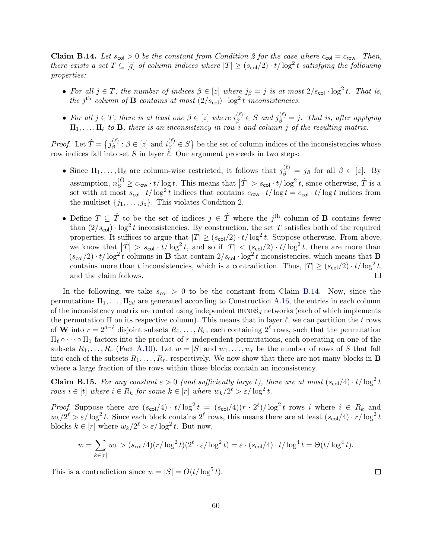<span id="page-59-0"></span>**Claim B.14.** Let  $s_{\text{col}} > 0$  be the constant from Condition 2 for the case where  $c_{\text{col}} = c_{\text{row}}$ . Then, there exists a set  $T \subseteq [q]$  of column indices where  $|T| \ge (s_{col}/2) \cdot t/\log^2 t$  satisfying the following properties:

- For all  $j \in T$ , the number of indices  $\beta \in [z]$  where  $j_{\beta} = j$  is at most  $2/s_{\text{col}} \cdot \log^2 t$ . That is, the j<sup>th</sup> column of **B** contains at most  $(2/s_{col}) \cdot \log^2 t$  inconsistencies.
- For all  $j \in T$ , there is at least one  $\beta \in [z]$  where  $i_{\beta}^{(\ell)} \in S$  and  $j_{\beta}^{(\ell)} = j$ . That is, after applying  $\Pi_1, \ldots, \Pi_\ell$  to **B**, there is an inconsistency in row i and column j of the resulting matrix.

*Proof.* Let  $\hat{T} = \{j_{\beta}^{(\ell)}\}$  $\beta^{(\ell)}_{\beta}$ :  $\beta \in [z]$  and  $i_{\beta}^{(\ell)} \in S$  be the set of column indices of the inconsistencies whose row indices fall into set S in layer  $\ell$ . Our argument proceeds in two steps:

- Since  $\Pi_1, \ldots, \Pi_\ell$  are column-wise restricted, it follows that  $j_\beta^{(\ell)} = j_\beta$  for all  $\beta \in [z]$ . By assumption,  $n_S^{(\ell)} \geq c_{\text{row}} \cdot t/\log t$ . This means that  $|\hat{T}| > s_{\text{col}} \cdot t/\log^2 t$ , since otherwise,  $\hat{T}$  is a set with at most  $s_{\text{col}} \cdot t / \log^2 t$  indices that contains  $c_{\text{row}} \cdot t / \log t = c_{\text{col}} \cdot t / \log t$  indices from the multiset  $\{j_1, \ldots, j_z\}$ . This violates Condition 2.
- Define  $T \subseteq \hat{T}$  to be the set of indices  $j \in \hat{T}$  where the  $j^{\text{th}}$  column of **B** contains fewer than  $(2/s_{\text{col}}) \cdot \log^2 t$  inconsistencies. By construction, the set T satisfies both of the required properties. It suffices to argue that  $|T| \ge (s_{\text{col}}/2) \cdot t / \log^2 t$ . Suppose otherwise. From above, we know that  $|\hat{T}| > s_{\text{col}} \cdot t / \log^2 t$ , and so if  $|T| < (s_{\text{col}}/2) \cdot t / \log^2 t$ , there are more than  $(s_{\text{col}}/2) \cdot t / \log^2 t$  columns in **B** that contain  $2/s_{\text{col}} \cdot \log^2 t$  inconsistencies, which means that **B** contains more than t inconsistencies, which is a contradiction. Thus,  $|T| \ge (s_{\text{col}}/2) \cdot t / \log^2 t$ , and the claim follows.  $\Box$

In the following, we take  $s_{col} > 0$  to be the constant from Claim [B.14.](#page-59-0) Now, since the permutations  $\Pi_1, \ldots, \Pi_{2d}$  are generated according to Construction [A.16,](#page-46-3) the entries in each column of the inconsistency matrix are routed using independent  $BENE\tilde{S}_d$  networks (each of which implements the permutation  $\Pi$  on its respective column). This means that in layer  $\ell$ , we can partition the t rows of W into  $r = 2^{d-\ell}$  disjoint subsets  $R_1, \ldots, R_r$ , each containing  $2^{\ell}$  rows, such that the permutation  $\Pi_\ell \circ \cdots \circ \Pi_1$  factors into the product of r independent permutations, each operating on one of the subsets  $R_1, \ldots, R_r$  (Fact [A.10\)](#page-43-2). Let  $w = |S|$  and  $w_1, \ldots, w_r$  be the number of rows of S that fall into each of the subsets  $R_1, \ldots, R_r$ , respectively. We now show that there are not many blocks in **B** where a large fraction of the rows within those blocks contain an inconsistency.

<span id="page-59-1"></span>**Claim B.15.** For any constant  $\varepsilon > 0$  (and sufficiently large t), there are at most  $(s_{\text{col}}/4) \cdot t / \log^2 t$ rows  $i \in [t]$  where  $i \in R_k$  for some  $k \in [r]$  where  $w_k/2^{\ell} > \varepsilon/\log^2 t$ .

*Proof.* Suppose there are  $(s_{\text{col}}/4) \cdot t/\log^2 t = (s_{\text{col}}/4)(r \cdot 2^{\ell})/\log^2 t$  rows i where  $i \in R_k$  and  $w_k/2^{\ell} > \varepsilon/\log^2 t$ . Since each block contains  $2^{\ell}$  rows, this means there are at least  $(s_{\text{col}}/4) \cdot r/\log^2 t$ . blocks  $k \in [r]$  where  $w_k/2^{\ell} > \varepsilon/\log^2 t$ . But now,

$$
w = \sum_{k \in [r]} w_k > (s_{\mathsf{col}}/4)(r/\log^2 t)(2^{\ell} \cdot \varepsilon/\log^2 t) = \varepsilon \cdot (s_{\mathsf{col}}/4) \cdot t/\log^4 t = \Theta(t/\log^4 t).
$$

This is a contradiction since  $w = |S| = O(t/\log^5 t)$ .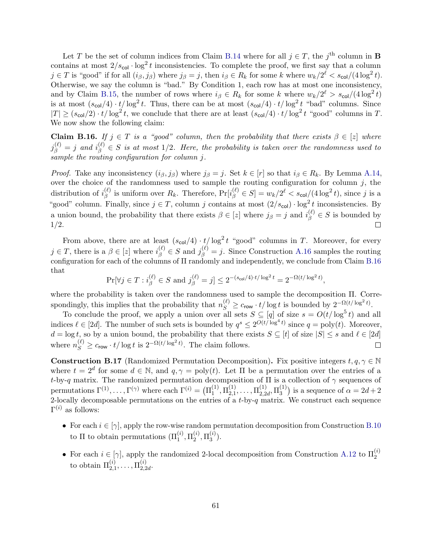Let T be the set of column indices from Claim [B.14](#page-59-0) where for all  $j \in T$ , the j<sup>th</sup> column in **B** contains at most  $2/s_{\text{col}} \cdot \log^2 t$  inconsistencies. To complete the proof, we first say that a column  $j \in T$  is "good" if for all  $(i_{\beta}, j_{\beta})$  where  $j_{\beta} = j$ , then  $i_{\beta} \in R_k$  for some k where  $w_k/2^{\ell} < s_{\text{col}}/(4 \log^2 t)$ . Otherwise, we say the column is "bad." By Condition 1, each row has at most one inconsistency, and by Claim [B.15,](#page-59-1) the number of rows where  $i_{\beta} \in R_k$  for some k where  $w_k/2^{\ell} > s_{\text{col}}/(4 \log^2 t)$ is at most  $(s_{\text{col}}/4) \cdot t / \log^2 t$ . Thus, there can be at most  $(s_{\text{col}}/4) \cdot t / \log^2 t$  "bad" columns. Since  $|T| \ge (s_{\text{col}}/2) \cdot t / \log^2 t$ , we conclude that there are at least  $(s_{\text{col}}/4) \cdot t / \log^2 t$  "good" columns in T. We now show the following claim:

<span id="page-60-1"></span>**Claim B.16.** If  $j \in T$  is a "good" column, then the probability that there exists  $\beta \in [z]$  where  $j_{\beta}^{(\ell)}=j$  and  $i_{\beta}^{(\ell)}\in S$  is at most 1/2. Here, the probability is taken over the randomness used to sample the routing configuration for column j.

*Proof.* Take any inconsistency  $(i_{\beta}, j_{\beta})$  where  $j_{\beta} = j$ . Set  $k \in [r]$  so that  $i_{\beta} \in R_k$ . By Lemma [A.14,](#page-45-0) over the choice of the randomness used to sample the routing configuration for column  $j$ , the distribution of  $i_{\beta}^{(\ell)}$  $\mathcal{E}^{(\ell)}_{\beta}$  is uniform over  $R_k$ . Therefore,  $\Pr[i_{\beta}^{(\ell)} \in S] = w_k/2^{\ell} < s_{\text{col}}/(4\log^2 t)$ , since j is a "good" column. Finally, since  $j \in T$ , column j contains at most  $(2/s_{col}) \cdot \log^2 t$  inconsistencies. By a union bound, the probability that there exists  $\beta \in [z]$  where  $j_{\beta} = j$  and  $i_{\beta}^{(\ell)} \in S$  is bounded by 1/2.

From above, there are at least  $(s_{\text{col}}/4) \cdot t / \log^2 t$  "good" columns in T. Moreover, for every  $j \in T$ , there is a  $\beta \in [z]$  where  $i_{\beta}^{(\ell)} \in S$  and  $j_{\beta}^{(\ell)} = j$ . Since Construction [A.16](#page-46-3) samples the routing configuration for each of the columns of Π randomly and independently, we conclude from Claim [B.16](#page-60-1) that

$$
\Pr[\forall j \in T : i_{\beta}^{(\ell)} \in S \text{ and } j_{\beta}^{(\ell)} = j] \leq 2^{-(s_{\text{col}}/4) \cdot t/\log^2 t} = 2^{-\Omega(t/\log^2 t)},
$$

where the probability is taken over the randomness used to sample the decomposition Π. Correspondingly, this implies that the probability that  $n_S^{(\ell)} \geq c_{\text{row}} \cdot t/\log t$  is bounded by  $2^{-\Omega(t/\log^2 t)}$ .

To conclude the proof, we apply a union over all sets  $S \subseteq [q]$  of size  $s = O(t/\log^5 t)$  and all indices  $\ell \in [2d]$ . The number of such sets is bounded by  $q^s \leq 2^{O(t/\log^4 t)}$  since  $q = \text{poly}(t)$ . Moreover,  $d = \log t$ , so by a union bound, the probability that there exists  $S \subseteq [t]$  of size  $|S| \leq s$  and  $\ell \in [2d]$ where  $n_S^{(\ell)} \geq c_{\text{row}} \cdot t / \log t$  is  $2^{-\Omega(t/\log^2 t)}$ . The claim follows.  $\Box$ 

<span id="page-60-0"></span>**Construction B.17** (Randomized Permutation Decomposition). Fix positive integers  $t, q, \gamma \in \mathbb{N}$ where  $t = 2^d$  for some  $d \in \mathbb{N}$ , and  $q, \gamma = \text{poly}(t)$ . Let  $\Pi$  be a permutation over the entries of a t-by-q matrix. The randomized permutation decomposition of  $\Pi$  is a collection of  $\gamma$  sequences of permutations  $\Gamma^{(1)}, \ldots, \Gamma^{(\gamma)}$  where each  $\Gamma^{(i)} = (\Pi_1^{(1)})$  $\stackrel{(1)}{1},\stackrel{(1)}{12,1}$  $\mathcal{I}_{2,1}^{(1)},\ldots,\Pi_{2,2}^{(1)}$  $_{2,2d}^{(1)},\Pi_{3}^{(1)}$  $\binom{11}{3}$  is a sequence of  $\alpha = 2d + 2$ 2-locally decomposable permutations on the entries of a  $t$ -by- $q$  matrix. We construct each sequence  $\Gamma^{(i)}$  as follows:

- For each  $i \in [\gamma]$ , apply the row-wise random permutation decomposition from Construction [B.10](#page-56-0) to  $\Pi$  to obtain permutations  $(\Pi_1^{(i)}, \Pi_2^{(i)})$  $_2^{(i)},\Pi_3^{(i)}$  $\binom{u}{3}$ .
- For each  $i \in [\gamma]$ , apply the randomized 2-local decomposition from Construction [A.12](#page-44-0) to  $\Pi_2^{(i)}$ to obtain  $\Pi_{2,1}^{(i)},\ldots,\Pi_{2,2}^{(i)}$  $_{2,2d}^{\left( \imath\right) }$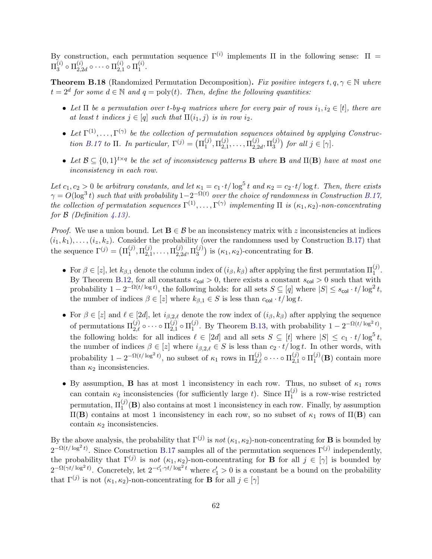By construction, each permutation sequence  $\Gamma^{(i)}$  implements  $\Pi$  in the following sense:  $\Pi$  =  $\Pi_3^{(i)}$  $_{3}^{\left( i\right) }\circ\Pi_{2,2}^{\left( i\right) }$  $_{2,2d}^{\left( i\right) }\circ\cdots\circ\Pi_{2,1}^{\left( i\right) }$  $_{2,1}^{\left( i\right) }\circ \Pi _{1}^{\left( i\right) }$  $\mathbf{1}^{(i)}$ .

<span id="page-61-0"></span>**Theorem B.18** (Randomized Permutation Decomposition). Fix positive integers  $t, q, \gamma \in \mathbb{N}$  where  $t = 2^d$  for some  $d \in \mathbb{N}$  and  $q = \text{poly}(t)$ . Then, define the following quantities:

- Let  $\Pi$  be a permutation over t-by-q matrices where for every pair of rows  $i_1, i_2 \in [t]$ , there are at least t indices  $j \in [q]$  such that  $\Pi(i_1, j)$  is in row  $i_2$ .
- Let  $\Gamma^{(1)}, \ldots, \Gamma^{(\gamma)}$  be the collection of permutation sequences obtained by applying Construc-tion [B.17](#page-60-0) to  $\Pi$ . In particular,  $\Gamma^{(j)} = (\Pi_1^{(j)})$  $_{1}^{\left( j\right) },\Pi_{2,1}^{\left( j\right) }$  $\mathbf{I}_{2,1}^{(j)},\ldots,\mathbf{II}_{2,2}^{(j)}$  $\mathop{13}\limits^{(j)}\nolimits_{2,2d},\Pi_{3}^{(j)}$  $j^{(j)}$  for all  $j \in [\gamma]$ .
- Let  $\mathcal{B} \subseteq \{0,1\}^{t \times q}$  be the set of inconsistency patterns **B** where **B** and  $\Pi(\mathbf{B})$  have at most one inconsistency in each row.

Let  $c_1, c_2 > 0$  be arbitrary constants, and let  $\kappa_1 = c_1 \cdot t / \log^5 t$  and  $\kappa_2 = c_2 \cdot t / \log t$ . Then, there exists  $\gamma = O(\log^3 t)$  such that with probability  $1 - 2^{-\Omega(t)}$  over the choice of randomness in Construction [B.17,](#page-60-0) the collection of permutation sequences  $\Gamma^{(1)}, \ldots, \Gamma^{(\gamma)}$  implementing  $\Pi$  is  $(\kappa_1, \kappa_2)$ -non-concentrating for  $\beta$  (Definition [4.13\)](#page-18-0).

*Proof.* We use a union bound. Let  $\mathbf{B} \in \mathcal{B}$  be an inconsistency matrix with z inconsistencies at indices  $(i_1, k_1), \ldots, (i_z, k_z)$ . Consider the probability (over the randomness used by Construction [B.17\)](#page-60-0) that the sequence  $\Gamma^{(j)} = (\Pi_1^{(j)})$  $_{1}^{\left( j\right) },\Pi_{2,1}^{\left( j\right) }$  $\mathbf{I}_{2,1}^{(j)},\ldots,\mathbf{I}_{2,2}^{(j)}$  $\mathop{13}\limits^{(j)}\nolimits_{2,2d},\Pi_3^{(j)}$  $\binom{(J)}{3}$  is  $(\kappa_1, \kappa_2)$ -concentrating for **B**.

- For  $\beta \in [z]$ , let  $k_{\beta,1}$  denote the column index of  $(i_{\beta}, k_{\beta})$  after applying the first permutation  $\Pi_1^{(j)}$ . By Theorem [B.12,](#page-57-0) for all constants  $c_{\text{col}} > 0$ , there exists a constant  $s_{\text{col}} > 0$  such that with probability  $1 - 2^{-\Omega(t/\log t)}$ , the following holds: for all sets  $S \subseteq [q]$  where  $|S| \leq s_{\text{col}} \cdot t/\log^2 t$ , the number of indices  $\beta \in [z]$  where  $k_{\beta,1} \in S$  is less than  $c_{\text{col}} \cdot t / \log t$ .
- For  $\beta \in [z]$  and  $\ell \in [2d]$ , let  $i_{\beta,2,\ell}$  denote the row index of  $(i_{\beta}, k_{\beta})$  after applying the sequence of permutations  $\Pi_{2,\ell}^{(j)} \circ \cdots \circ \Pi_{2,1}^{(j)}$  $_{2,1}^{\left( j\right) }\circ \Pi _{1}^{\left( j\right) }$  $_{1}^{(j)}$ . By Theorem [B.13,](#page-58-0) with probability  $1 - 2^{-\Omega(t/\log^2 t)}$ , the following holds: for all indices  $\ell \in [2d]$  and all sets  $S \subseteq [t]$  where  $|S| \leq c_1 \cdot t/\log^5 t$ , the number of indices  $\beta \in [z]$  where  $i_{\beta,2,\ell} \in S$  is less than  $c_2 \cdot t/\log t$ . In other words, with probability  $1 - 2^{-\Omega(t/\log^2 t)}$ , no subset of  $\kappa_1$  rows in  $\Pi_{2,\ell}^{(j)} \circ \cdots \circ \Pi_{2,1}^{(j)}$  $_{2,1}^{\left( j\right) }\circ \Pi _{1}^{\left( j\right) }$  $1^{(J)}(\mathbf{B})$  contain more than  $\kappa_2$  inconsistencies.
- By assumption, **B** has at most 1 inconsistency in each row. Thus, no subset of  $\kappa_1$  rows can contain  $\kappa_2$  inconsistencies (for sufficiently large t). Since  $\Pi_1^{(j)}$  is a row-wise restricted permutation,  $\Pi_1^{(j)}(\mathbf{B})$  also contains at most 1 inconsistency in each row. Finally, by assumption  $\Pi$ (B) contains at most 1 inconsistency in each row, so no subset of  $κ_1$  rows of  $\Pi$ (B) can contain  $\kappa_2$  inconsistencies.

By the above analysis, the probability that  $\Gamma^{(j)}$  is not  $(\kappa_1, \kappa_2)$ -non-concentrating for **B** is bounded by  $2^{-\Omega(t/\log^2 t)}$ . Since Construction [B.17](#page-60-0) samples all of the permutation sequences  $\Gamma^{(j)}$  independently, the probability that  $\Gamma^{(j)}$  is not  $(\kappa_1, \kappa_2)$ -non-concentrating for **B** for all  $j \in [\gamma]$  is bounded by  $2^{-\Omega(\gamma t/\log^2 t)}$ . Concretely, let  $2^{-c'_1 \cdot \gamma t/\log^2 t}$  where  $c'_1 > 0$  is a constant be a bound on the probability that  $\Gamma^{(j)}$  is not  $(\kappa_1, \kappa_2)$ -non-concentrating for **B** for all  $j \in [\gamma]$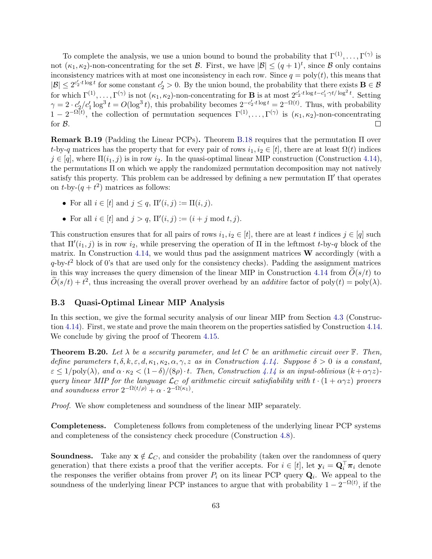To complete the analysis, we use a union bound to bound the probability that  $\Gamma^{(1)}, \ldots, \Gamma^{(\gamma)}$  is not  $(\kappa_1, \kappa_2)$ -non-concentrating for the set  $\mathcal{B}$ . First, we have  $|\mathcal{B}| \leq (q+1)^t$ , since  $\mathcal{B}$  only contains inconsistency matrices with at most one inconsistency in each row. Since  $q = \text{poly}(t)$ , this means that  $|\mathcal{B}| \leq 2^{c'_2 t \log t}$  for some constant  $c'_2 > 0$ . By the union bound, the probability that there exists  $\mathbf{B} \in \mathcal{B}$ for which  $\Gamma^{(1)}, \ldots, \Gamma^{(\gamma)}$  is not  $(\kappa_1, \kappa_2)$ -non-concentrating for **B** is at most  $2^{c'_2 \cdot t \log t - c'_1 \cdot \gamma t / \log^2 t}$ . Setting  $\gamma = 2 \cdot c_2' / c_1' \log^3 t = O(\log^3 t)$ , this probability becomes  $2^{-c_2' \cdot t \log t} = 2^{-\Omega(t)}$ . Thus, with probability  $1-2^{-\Omega(t)}$ , the collection of permutation sequences  $\Gamma^{(1)}, \ldots, \Gamma^{(\gamma)}$  is  $(\kappa_1, \kappa_2)$ -non-concentrating for B.  $\Box$ 

<span id="page-62-2"></span>Remark B.19 (Padding the Linear PCPs). Theorem [B.18](#page-61-0) requires that the permutation Π over t-by-q matrices has the property that for every pair of rows  $i_1, i_2 \in [t]$ , there are at least  $\Omega(t)$  indices  $j \in [q]$ , where  $\Pi(i_1, j)$  is in row  $i_2$ . In the quasi-optimal linear MIP construction (Construction [4.14\)](#page-19-1), the permutations Π on which we apply the randomized permutation decomposition may not natively satisfy this property. This problem can be addressed by defining a new permutation  $\Pi'$  that operates on  $t$ -by- $(q + t^2)$  matrices as follows:

- For all  $i \in [t]$  and  $j \leq q$ ,  $\Pi'(i, j) := \Pi(i, j)$ .
- For all  $i \in [t]$  and  $j > q$ ,  $\Pi'(i, j) := (i + j \text{ mod } t, j)$ .

This construction ensures that for all pairs of rows  $i_1, i_2 \in [t]$ , there are at least t indices  $j \in [q]$  such that  $\Pi'(i_1, j)$  is in row  $i_2$ , while preserving the operation of  $\Pi$  in the leftmost t-by-q block of the matrix. In Construction [4.14,](#page-19-1) we would thus pad the assignment matrices  $W$  accordingly (with a  $q$ -by- $t^2$  block of 0's that are used only for the consistency checks). Padding the assignment matrices in this way increases the query dimension of the linear MIP in Construction [4.14](#page-19-1) from  $O(s/t)$  to  $\widetilde{O}(s/t) + t^2$ , thus increasing the overall prover overhead by an *additive* factor of  $poly(t) = poly(\lambda)$ .

#### <span id="page-62-1"></span>B.3 Quasi-Optimal Linear MIP Analysis

In this section, we give the formal security analysis of our linear MIP from Section [4.3](#page-19-0) (Construction [4.14\)](#page-19-1). First, we state and prove the main theorem on the properties satisfied by Construction [4.14.](#page-19-1) We conclude by giving the proof of Theorem [4.15.](#page-21-0)

<span id="page-62-0"></span>**Theorem B.20.** Let  $\lambda$  be a security parameter, and let C be an arithmetic circuit over  $\mathbb{F}$ . Then, define parameters  $t, \delta, k, \epsilon, d, \kappa_1, \kappa_2, \alpha, \gamma, z$  as in Construction [4.14.](#page-19-1) Suppose  $\delta > 0$  is a constant,  $\varepsilon \leq 1/\text{poly}(\lambda)$ , and  $\alpha \cdot \kappa_2 < (1-\delta)/(8\rho) \cdot t$ . Then, Construction [4.14](#page-19-1) is an input-oblivious  $(k+\alpha\gamma z)$ query linear MIP for the language  $\mathcal{L}_C$  of arithmetic circuit satisfiability with  $t \cdot (1 + \alpha \gamma z)$  provers and soundness error  $2^{-\Omega(t/\rho)} + \alpha \cdot 2^{-\Omega(\kappa_1)}$ .

Proof. We show completeness and soundness of the linear MIP separately.

Completeness. Completeness follows from completeness of the underlying linear PCP systems and completeness of the consistency check procedure (Construction [4.8\)](#page-15-0).

**Soundness.** Take any  $x \notin \mathcal{L}_C$ , and consider the probability (taken over the randomness of query generation) that there exists a proof that the verifier accepts. For  $i \in [t]$ , let  $\mathbf{y}_i = \mathbf{Q}_i^{\top} \boldsymbol{\pi}_i$  denote the responses the verifier obtains from prover  $P_i$  on its linear PCP query  $\mathbf{Q}_i$ . We appeal to the soundness of the underlying linear PCP instances to argue that with probability  $1 - 2^{-\Omega(t)}$ , if the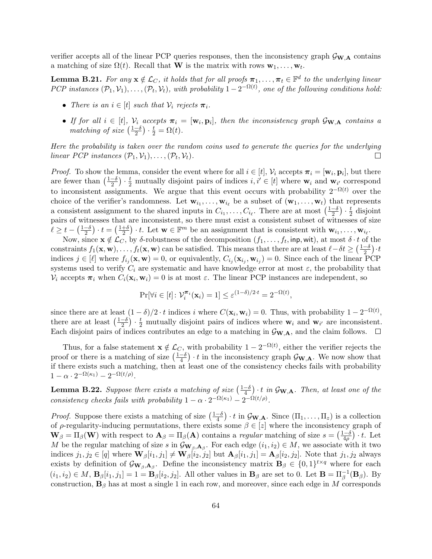verifier accepts all of the linear PCP queries responses, then the inconsistency graph  $\mathcal{G}_{\mathbf{W},\mathbf{A}}$  contains a matching of size  $\Omega(t)$ . Recall that **W** is the matrix with rows  $\mathbf{w}_1, \ldots, \mathbf{w}_t$ .

<span id="page-63-0"></span>**Lemma B.21.** For any  $\mathbf{x} \notin \mathcal{L}_C$ , it holds that for all proofs  $\boldsymbol{\pi}_1, \ldots, \boldsymbol{\pi}_t \in \mathbb{F}^d$  to the underlying linear PCP instances  $(\mathcal{P}_1, \mathcal{V}_1), \ldots, (\mathcal{P}_t, \mathcal{V}_t)$ , with probability  $1 - 2^{-\Omega(t)}$ , one of the following conditions hold:

- There is an  $i \in [t]$  such that  $\mathcal{V}_i$  rejects  $\boldsymbol{\pi}_i$ .
- If for all  $i \in [t]$ ,  $\mathcal{V}_i$  accepts  $\pi_i = [\mathbf{w}_i, \mathbf{p}_i]$ , then the inconsistency graph  $\mathcal{G}_{\mathbf{W},\mathbf{A}}$  contains a matching of size  $\left(\frac{1-\delta}{2}\right)$  $\frac{-\delta}{2}$ )  $\cdot \frac{t}{2} = \Omega(t)$ .

Here the probability is taken over the random coins used to generate the queries for the underlying linear PCP instances  $(\mathcal{P}_1, \mathcal{V}_1), \ldots, (\mathcal{P}_t, \mathcal{V}_t)$ .  $\Box$ 

*Proof.* To show the lemma, consider the event where for all  $i \in [t]$ ,  $\mathcal{V}_i$  accepts  $\boldsymbol{\pi}_i = [\mathbf{w}_i, \mathbf{p}_i]$ , but there are fewer than  $\left(\frac{1-\delta}{2}\right)$  $\frac{-\delta}{2}$ )  $\cdot \frac{t}{2}$  mutually disjoint pairs of indices  $i, i' \in [t]$  where  $w_i$  and  $w_{i'}$  correspond to inconsistent assignments. We argue that this event occurs with probability  $2^{-\Omega(t)}$  over the choice of the verifier's randomness. Let  $\mathbf{w}_{i_1}, \ldots, \mathbf{w}_{i_\ell}$  be a subset of  $(\mathbf{w}_1, \ldots, \mathbf{w}_t)$  that represents a consistent assignment to the shared inputs in  $C_{i_1}, \ldots, C_{i_\ell}$ . There are at most  $\left(\frac{1-\delta}{2}\right)$  $\frac{-\delta}{2}$ )  $\cdot \frac{t}{2}$  $rac{t}{2}$  disjoint pairs of witnesses that are inconsistent, so there must exist a consistent subset of witnesses of size  $\ell \geq t - \left(\frac{1-\delta}{2}\right)$  $\frac{-\delta}{2}$ )  $\cdot$  t =  $\left(\frac{1+\delta}{2}\right)$  $\frac{1+\delta}{2}$   $\cdot$  t. Let  $\mathbf{w} \in \mathbb{F}^m$  be an assignment that is consistent with  $\mathbf{w}_{i_1}, \ldots, \mathbf{w}_{i_\ell}$ .

Now, since  $\mathbf{x} \notin \mathcal{L}_C$ , by  $\delta$ -robustness of the decomposition  $(f_1, \ldots, f_t, \mathsf{inp}, \mathsf{wit})$ , at most  $\delta \cdot t$  of the constraints  $f_1(\mathbf{x}, \mathbf{w}), \ldots, f_t(\mathbf{x}, \mathbf{w})$  can be satisfied. This means that there are at least  $\ell - \delta t \geq \left(\frac{1-\delta}{2}\right)$  $\frac{-\delta}{2}$ ) $\cdot t$ indices  $j \in [\ell]$  where  $f_{i_j}(\mathbf{x}, \mathbf{w}) = 0$ , or equivalently,  $C_{i_j}(\mathbf{x}_{i_j}, \mathbf{w}_{i_j}) = 0$ . Since each of the linear PCP systems used to verify  $C_i$  are systematic and have knowledge error at most  $\varepsilon$ , the probability that  $V_i$  accepts  $\pi_i$  when  $C_i(\mathbf{x}_i, \mathbf{w}_i) = 0$  is at most  $\varepsilon$ . The linear PCP instances are independent, so

$$
\Pr[\forall i \in [t] \colon \mathcal{V}_i^{\pi_i}(\mathbf{x}_i) = 1] \le \varepsilon^{(1-\delta)/2 \cdot t} = 2^{-\Omega(t)},
$$

since there are at least  $(1 - \delta)/2 \cdot t$  indices i where  $C(\mathbf{x}_i, \mathbf{w}_i) = 0$ . Thus, with probability  $1 - 2^{-\Omega(t)}$ , there are at least  $\left(\frac{1-\delta}{2}\right)$  $\frac{-\delta}{2}$ )  $\cdot \frac{t}{2}$  mutually disjoint pairs of indices where  $w_i$  and  $w_{i'}$  are inconsistent. Each disjoint pairs of indices contributes an edge to a matching in  $\mathcal{G}_{\mathbf{W},\mathbf{A}}$ , and the claim follows.  $\Box$ 

Thus, for a false statement  $\mathbf{x} \notin \mathcal{L}_C$ , with probability  $1 - 2^{-\Omega(t)}$ , either the verifier rejects the proof or there is a matching of size  $\left(\frac{1-\delta}{4}\right)$  $\frac{-\delta}{4}$   $\cdot t$  in the inconsistency graph  $\mathcal{G}_{\mathbf{W},\mathbf{A}}$ . We now show that if there exists such a matching, then at least one of the consistency checks fails with probability  $1 - \alpha \cdot 2^{-\Omega(\kappa_1)} - 2^{-\Omega(t/\rho)}.$ 

<span id="page-63-1"></span>**Lemma B.22.** Suppose there exists a matching of size  $\left(\frac{1-\delta}{4}\right)$  $\left(\frac{-\delta}{4}\right)\cdot t$  in  $\mathcal{G}_{\mathbf{W},\mathbf{A}}$ . Then, at least one of the consistency checks fails with probability  $1 - \alpha \cdot 2^{-\Omega(\kappa_1)} - 2^{-\Omega(t/\rho)}$ .

*Proof.* Suppose there exists a matching of size  $\left(\frac{1-\delta}{4}\right)$  $\frac{-\delta}{4}$   $\cdot t$  in  $\mathcal{G}_{\mathbf{W},\mathbf{A}}$ . Since  $(\Pi_1,\ldots,\Pi_z)$  is a collection of  $\rho$ -regularity-inducing permutations, there exists some  $\beta \in [z]$  where the inconsistency graph of  $\mathbf{W}_{\beta} = \Pi_{\beta}(\mathbf{W})$  with respect to  $\mathbf{A}_{\beta} = \Pi_{\beta}(\mathbf{A})$  contains a regular matching of size  $s = \left(\frac{1-\delta}{4\rho}\right)$  $\frac{(-\delta}{4\rho}) \cdot t$ . Let M be the regular matching of size s in  $\mathcal{G}_{\mathbf{W}_{\beta},\mathbf{A}_{\beta}}$ . For each edge  $(i_1, i_2) \in M$ , we associate with it two indices  $j_1, j_2 \in [q]$  where  $\mathbf{W}_{\beta}[i_1, j_1] \neq \mathbf{W}_{\beta}[i_2, j_2]$  but  $\mathbf{A}_{\beta}[i_1, j_1] = \mathbf{A}_{\beta}[i_2, j_2]$ . Note that  $j_1, j_2$  always exists by definition of  $\mathcal{G}_{\mathbf{W}_{\beta},\mathbf{A}_{\beta}}$ . Define the inconsistency matrix  $\mathbf{B}_{\beta} \in \{0,1\}^{t \times q}$  where for each  $(i_1, i_2) \in M$ ,  $\mathbf{B}_{\beta}[i_1, j_1] = 1 = \mathbf{B}_{\beta}[i_2, j_2]$ . All other values in  $\mathbf{B}_{\beta}$  are set to 0. Let  $\mathbf{B} = \Pi_{\beta}^{-1}(\mathbf{B}_{\beta})$ . By construction,  $\mathbf{B}_{\beta}$  has at most a single 1 in each row, and moreover, since each edge in M corresponds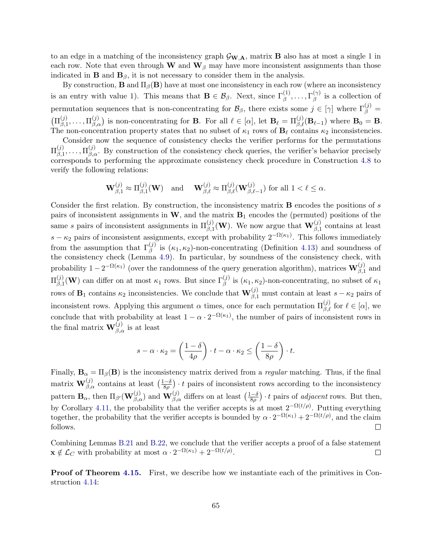to an edge in a matching of the inconsistency graph  $\mathcal{G}_{\mathbf{W},\mathbf{A}}$ , matrix **B** also has at most a single 1 in each row. Note that even through W and  $W_\beta$  may have more inconsistent assignments than those indicated in **B** and  $\mathbf{B}_{\beta}$ , it is not necessary to consider them in the analysis.

By construction, **B** and  $\Pi_{\beta}(\mathbf{B})$  have at most one inconsistency in each row (where an inconsistency is an entry with value 1). This means that  $\mathbf{B} \in \mathcal{B}_{\beta}$ . Next, since  $\Gamma_{\beta}^{(1)}, \ldots, \Gamma_{\beta}^{(\gamma)}$  $\beta^{(\gamma)}$  is a collection of permutation sequences that is non-concentrating for  $\mathcal{B}_{\beta}$ , there exists some  $j \in [\gamma]$  where  $\Gamma_{\beta}^{(j)} =$  $(\Pi_{\beta,1}^{(j)}$  $\mathcal{L}^{(j)}_{\beta,1},\ldots,\Pi^{(j)}_{\beta,\alpha}$  is non-concentrating for **B**. For all  $\ell \in [\alpha]$ , let  $\mathbf{B}_{\ell} = \Pi^{(j)}_{\beta,\ell}(\mathbf{B}_{\ell-1})$  where  $\mathbf{B}_0 = \mathbf{B}$ . The non-concentration property states that no subset of  $\kappa_1$  rows of  $\mathbf{B}_\ell$  contains  $\kappa_2$  inconsistencies.

Consider now the sequence of consistency checks the verifier performs for the permutations  $\Pi_{\scriptscriptstyle{\cal R}+1}^{(j)}$  $\prod_{\beta,1}^{(j)},\ldots,\prod_{\beta,\alpha}^{(j)}$ . By construction of the consistency check queries, the verifier's behavior precisely corresponds to performing the approximate consistency check procedure in Construction [4.8](#page-15-0) to verify the following relations:

$$
\mathbf{W}^{(j)}_{\beta,1}\approx \Pi^{(j)}_{\beta,1}(\mathbf{W}) \quad \text{and }\quad \mathbf{W}^{(j)}_{\beta,\ell}\approx \Pi^{(j)}_{\beta,\ell}(\mathbf{W}^{(j)}_{\beta,\ell-1}) \text{ for all } 1<\ell\leq\alpha.
$$

Consider the first relation. By construction, the inconsistency matrix B encodes the positions of s pairs of inconsistent assignments in  $W$ , and the matrix  $B_1$  encodes the (permuted) positions of the same s pairs of inconsistent assignments in  $\Pi_{\beta,1}^{(j)}(\mathbf{W})$ . We now argue that  $\mathbf{W}_{\beta,1}^{(j)}$  contains at least  $s - \kappa_2$  pairs of inconsistent assignments, except with probability  $2^{-\Omega(\kappa_1)}$ . This follows immediately from the assumption that  $\Gamma_{\beta}^{(j)}$  is  $(\kappa_1, \kappa_2)$ -non-concentrating (Definition [4.13\)](#page-18-0) and soundness of the consistency check (Lemma [4.9\)](#page-16-3). In particular, by soundness of the consistency check, with probability  $1-2^{-\Omega(\kappa_1)}$  (over the randomness of the query generation algorithm), matrices  $\mathbf{W}^{(j)}_{\beta,1}$  and  $\Pi_{\beta=1}^{(j)}$  $\mathcal{L}_{\beta,1}^{(j)}(\mathbf{W})$  can differ on at most  $\kappa_1$  rows. But since  $\Gamma_{\beta}^{(j)}$  is  $(\kappa_1,\kappa_2)$ -non-concentrating, no subset of  $\kappa_1$ rows of  $B_1$  contains  $\kappa_2$  inconsistencies. We conclude that  $\mathbf{W}^{(j)}_{\beta,1}$  must contain at least  $s - \kappa_2$  pairs of inconsistent rows. Applying this argument  $\alpha$  times, once for each permutation  $\Pi_{\beta,\ell}^{(j)}$  for  $\ell \in [\alpha]$ , we conclude that with probability at least  $1 - \alpha \cdot 2^{-\Omega(\kappa_1)}$ , the number of pairs of inconsistent rows in the final matrix  $\mathbf{W}^{(j)}_{\beta,\alpha}$  is at least

$$
s - \alpha \cdot \kappa_2 = \left(\frac{1-\delta}{4\rho}\right) \cdot t - \alpha \cdot \kappa_2 \le \left(\frac{1-\delta}{8\rho}\right) \cdot t.
$$

Finally,  $\mathbf{B}_{\alpha} = \Pi_{\beta}(\mathbf{B})$  is the inconsistency matrix derived from a *regular* matching. Thus, if the final matrix  $\mathbf{W}^{(j)}_{\beta,\alpha}$  contains at least  $\left(\frac{1-\delta}{8\rho}\right)$  $\frac{(-\delta)}{8\rho}$   $\cdot$  t pairs of inconsistent rows according to the inconsistency pattern  $\mathbf{B}_{\alpha}$ , then  $\Pi_{\beta'}(\mathbf{W}_{\beta,\alpha}^{(j)})$  and  $\mathbf{W}_{\beta,\alpha}^{(j)}$  differs on at least  $\left(\frac{1-\delta}{8\rho}\right)$  $\frac{(-\delta)}{8\rho}$   $\cdot$  t pairs of *adjacent* rows. But then, by Corollary [4.11,](#page-16-0) the probability that the verifier accepts is at most  $2^{-\Omega(t/\rho)}$ . Putting everything together, the probability that the verifier accepts is bounded by  $\alpha \cdot 2^{-\Omega(\kappa_1)} + 2^{-\Omega(t/\rho)}$ , and the claim follows.  $\Box$ 

Combining Lemmas [B.21](#page-63-0) and [B.22,](#page-63-1) we conclude that the verifier accepts a proof of a false statement  $\mathbf{x} \notin \mathcal{L}_C$  with probability at most  $\alpha \cdot 2^{-\Omega(\kappa_1)} + 2^{-\Omega(t/\rho)}$ .  $\Box$ 

Proof of Theorem [4.15.](#page-21-0) First, we describe how we instantiate each of the primitives in Construction [4.14:](#page-19-1)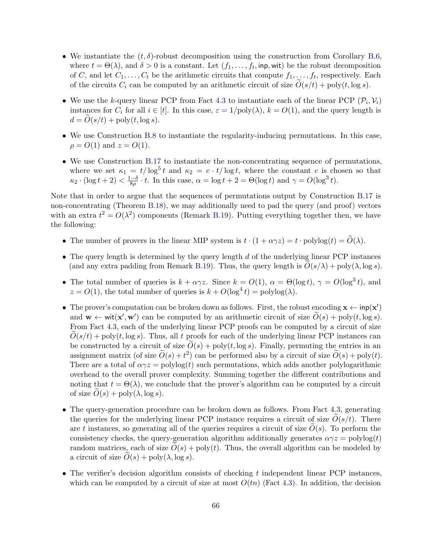- We instantiate the  $(t, \delta)$ -robust decomposition using the construction from Corollary [B.6,](#page-52-1) where  $t = \Theta(\lambda)$ , and  $\delta > 0$  is a constant. Let  $(f_1, \ldots, f_t, \text{inp}, \text{wit})$  be the robust decomposition of C, and let  $C_1, \ldots, C_t$  be the arithmetic circuits that compute  $f_1, \ldots, f_t$ , respectively. Each of the circuits  $C_i$  can be computed by an arithmetic circuit of size  $O(s/t) + \text{poly}(t, \log s)$ .
- We use the k-query linear PCP from Fact [4.3](#page-13-1) to instantiate each of the linear PCP  $(\mathcal{P}_i, \mathcal{V}_i)$ instances for  $C_i$  for all  $i \in [t]$ . In this case,  $\varepsilon = 1/\text{poly}(\lambda)$ ,  $k = O(1)$ , and the query length is  $d = O(s/t) + \text{poly}(t, \log s).$
- We use Construction [B.8](#page-54-1) to instantiate the regularity-inducing permutations. In this case,  $\rho = O(1)$  and  $z = O(1)$ .
- We use Construction [B.17](#page-60-0) to instantiate the non-concentrating sequence of permutations, where we set  $\kappa_1 = t/\log^5 t$  and  $\kappa_2 = c \cdot t/\log t$ , where the constant c is chosen so that  $\kappa_2 \cdot (\log t + 2) < \frac{1-\delta}{8\rho}$  $\frac{-\delta}{8\rho} \cdot t$ . In this case,  $\alpha = \log t + 2 = \Theta(\log t)$  and  $\gamma = O(\log^3 t)$ .

Note that in order to argue that the sequences of permutations output by Construction [B.17](#page-60-0) is non-concentrating (Theorem [B.18\)](#page-61-0), we may additionally need to pad the query (and proof) vectors with an extra  $t^2 = O(\lambda^2)$  components (Remark [B.19\)](#page-62-2). Putting everything together then, we have the following:

- The number of provers in the linear MIP system is  $t \cdot (1 + \alpha \gamma z) = t \cdot \text{polylog}(t) = \widetilde{O}(\lambda)$ .
- The query length is determined by the query length  $d$  of the underlying linear PCP instances (and any extra padding from Remark [B.19\)](#page-62-2). Thus, the query length is  $O(s/\lambda) + \text{poly}(\lambda, \log s)$ .
- The total number of queries is  $k + \alpha \gamma z$ . Since  $k = O(1)$ ,  $\alpha = \Theta(\log t)$ ,  $\gamma = O(\log^3 t)$ , and  $z = O(1)$ , the total number of queries is  $k + O(\log^4 t) = \text{polylog}(\lambda)$ .
- The prover's computation can be broken down as follows. First, the robust encoding  $\mathbf{x} \leftarrow \text{inp}(\mathbf{x}')$ and  $\mathbf{w} \leftarrow \text{wit}(\mathbf{x}', \mathbf{w}')$  can be computed by an arithmetic circuit of size  $\widetilde{O}(s) + \text{poly}(t, \log s)$ . From Fact [4.3,](#page-13-1) each of the underlying linear PCP proofs can be computed by a circuit of size  $O(s/t)$  + poly(t, log s). Thus, all t proofs for each of the underlying linear PCP instances can be constructed by a circuit of size  $O(s) + \text{poly}(t, \log s)$ . Finally, permuting the entries in an assignment matrix (of size  $\widetilde{O}(s) + t^2$ ) can be performed also by a circuit of size  $\widetilde{O}(s) + \text{poly}(t)$ . There are a total of  $\alpha \gamma z = \text{polylog}(t)$  such permutations, which adds another polylogarithmic overhead to the overall prover complexity. Summing together the different contributions and noting that  $t = \Theta(\lambda)$ , we conclude that the prover's algorithm can be computed by a circuit of size  $O(s) + \text{poly}(\lambda, \log s)$ .
- The query-generation procedure can be broken down as follows. From Fact [4.3,](#page-13-1) generating the queries for the underlying linear PCP instance requires a circuit of size  $O(s/t)$ . There are t instances, so generating all of the queries requires a circuit of size  $O(s)$ . To perform the consistency checks, the query-generation algorithm additionally generates  $\alpha \gamma z = \text{polylog}(t)$ random matrices, each of size  $\ddot{O}(s) + \text{poly}(t)$ . Thus, the overall algorithm can be modeled by a circuit of size  $O(s) + \text{poly}(\lambda, \log s)$ .
- The verifier's decision algorithm consists of checking t independent linear PCP instances, which can be computed by a circuit of size at most  $O(tn)$  (Fact [4.3\)](#page-13-1). In addition, the decision